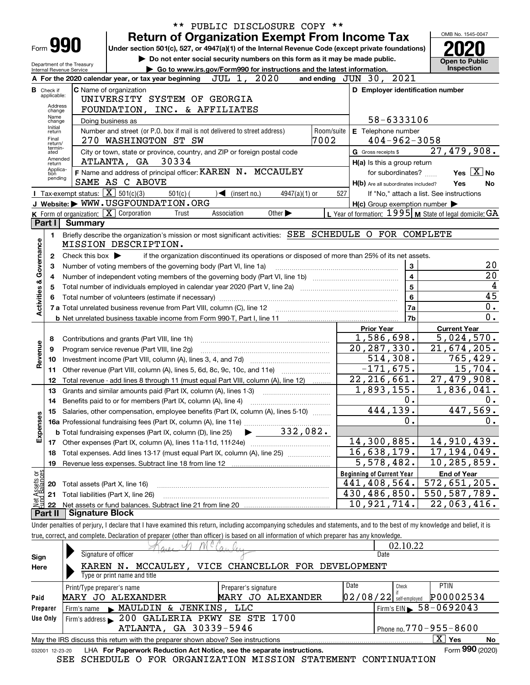|                         |                                  |                                      | PUBLIC DISCLOSURE COPY **                                                                                                                                                  |                                                           |                                                               |
|-------------------------|----------------------------------|--------------------------------------|----------------------------------------------------------------------------------------------------------------------------------------------------------------------------|-----------------------------------------------------------|---------------------------------------------------------------|
|                         |                                  |                                      | <b>Return of Organization Exempt From Income Tax</b>                                                                                                                       |                                                           | OMB No. 1545-0047                                             |
|                         | Form 990                         |                                      | Under section 501(c), 527, or 4947(a)(1) of the Internal Revenue Code (except private foundations)                                                                         |                                                           |                                                               |
|                         |                                  | Department of the Treasury           | Do not enter social security numbers on this form as it may be made public.                                                                                                | <b>Open to Public</b>                                     |                                                               |
|                         | Internal Revenue Service         |                                      | Go to www.irs.gov/Form990 for instructions and the latest information.                                                                                                     |                                                           | Inspection                                                    |
|                         |                                  |                                      | JUL 1, 2020<br>A For the 2020 calendar year, or tax year beginning                                                                                                         | and ending JUN 30, 2021                                   |                                                               |
|                         | <b>B</b> Check if<br>applicable: |                                      | <b>C</b> Name of organization                                                                                                                                              | D Employer identification number                          |                                                               |
|                         | Address                          |                                      | UNIVERSITY SYSTEM OF GEORGIA                                                                                                                                               |                                                           |                                                               |
|                         | change<br>Name                   |                                      | FOUNDATION, INC. & AFFILIATES                                                                                                                                              |                                                           |                                                               |
|                         | change<br>Initial                |                                      | Doing business as                                                                                                                                                          | 58-6333106                                                |                                                               |
|                         | return<br>Final                  |                                      | Number and street (or P.O. box if mail is not delivered to street address)<br>Room/suite<br>7002                                                                           | E Telephone number<br>$404 - 962 - 3058$                  |                                                               |
|                         | return/<br>termin-               |                                      | 270 WASHINGTON ST SW                                                                                                                                                       |                                                           | 27,479,908.                                                   |
|                         | ated<br>Amended                  |                                      | City or town, state or province, country, and ZIP or foreign postal code<br>ATLANTA, GA 30334                                                                              | G Gross receipts \$                                       |                                                               |
|                         | return<br>Applica-               |                                      | F Name and address of principal officer: KAREN N. MCCAULEY                                                                                                                 | H(a) Is this a group return                               | Yes $X$ No                                                    |
|                         | tion<br>pending                  |                                      | SAME AS C ABOVE                                                                                                                                                            | for subordinates?<br>H(b) Are all subordinates included?  | Yes<br>No                                                     |
|                         |                                  |                                      | Tax-exempt status: $\boxed{\mathbf{X}}$ 501(c)(3)<br>$501(c)$ (<br>$\sqrt{\frac{1}{1}}$ (insert no.)<br>$4947(a)(1)$ or                                                    | 527                                                       | If "No," attach a list. See instructions                      |
|                         |                                  |                                      | J Website: WWW.USGFOUNDATION.ORG                                                                                                                                           | $H(c)$ Group exemption number $\blacktriangleright$       |                                                               |
|                         |                                  |                                      | K Form of organization: X Corporation<br>Other $\blacktriangleright$<br>Trust<br>Association                                                                               | L Year of formation: $1995$ M State of legal domicile: GA |                                                               |
|                         | Part I                           | Summarv                              |                                                                                                                                                                            |                                                           |                                                               |
|                         | 1                                |                                      | Briefly describe the organization's mission or most significant activities: SEE SCHEDULE O FOR COMPLETE                                                                    |                                                           |                                                               |
|                         |                                  |                                      | MISSION DESCRIPTION.                                                                                                                                                       |                                                           |                                                               |
| Governance              | 2                                | Check this box $\blacktriangleright$ | if the organization discontinued its operations or disposed of more than 25% of its net assets.                                                                            |                                                           |                                                               |
|                         | з                                |                                      | Number of voting members of the governing body (Part VI, line 1a)                                                                                                          | 3                                                         | 20                                                            |
|                         | 4                                |                                      |                                                                                                                                                                            | 4                                                         | 20                                                            |
|                         | 5                                |                                      |                                                                                                                                                                            | 5                                                         | $\overline{4}$                                                |
| <b>Activities &amp;</b> | 6                                |                                      |                                                                                                                                                                            | 6                                                         | $\overline{45}$                                               |
|                         |                                  |                                      |                                                                                                                                                                            | 7a                                                        | 0.                                                            |
|                         |                                  |                                      |                                                                                                                                                                            | 7b                                                        | $\overline{0}$ .                                              |
|                         |                                  |                                      |                                                                                                                                                                            | <b>Prior Year</b>                                         | <b>Current Year</b>                                           |
|                         | 8                                |                                      | Contributions and grants (Part VIII, line 1h)                                                                                                                              | $\overline{1,}586,698.$                                   | 5,024,570.                                                    |
| Revenue                 | 9                                |                                      | Program service revenue (Part VIII, line 2g)                                                                                                                               | 20, 287, 330.                                             | 21,674,205.                                                   |
|                         | 10                               |                                      |                                                                                                                                                                            | 514,308.                                                  | 765,429.                                                      |
|                         | 11                               |                                      | Other revenue (Part VIII, column (A), lines 5, 6d, 8c, 9c, 10c, and 11e)                                                                                                   | $-171,675.$<br>22, 216, 661.                              | 15,704.<br>27,479,908.                                        |
|                         | 12                               |                                      | Total revenue - add lines 8 through 11 (must equal Part VIII, column (A), line 12)<br>Grants and similar amounts paid (Part IX, column (A), lines 1-3)                     | 1,893,155.                                                | $\overline{1,836,041}.$                                       |
|                         | 13<br>14                         |                                      |                                                                                                                                                                            | 0.                                                        | 0.                                                            |
|                         |                                  |                                      | 15 Salaries, other compensation, employee benefits (Part IX, column (A), lines 5-10)                                                                                       | 444,139.                                                  | 447,569.                                                      |
|                         |                                  |                                      |                                                                                                                                                                            | 0.                                                        | 0.                                                            |
| Expenses                |                                  |                                      | 332,082.<br><b>b</b> Total fundraising expenses (Part IX, column (D), line 25)                                                                                             |                                                           |                                                               |
|                         |                                  |                                      |                                                                                                                                                                            | 14,300,885.                                               | 14,910,439.                                                   |
|                         | 18                               |                                      | Total expenses. Add lines 13-17 (must equal Part IX, column (A), line 25)                                                                                                  | 16,638,179.                                               | 17, 194, 049.                                                 |
|                         | 19                               |                                      |                                                                                                                                                                            | $\overline{5}$ , 578, 482.                                | $\overline{10}$ , 285, 859.                                   |
| ្តុឌ្ន                  |                                  |                                      |                                                                                                                                                                            | <b>Beginning of Current Year</b>                          | <b>End of Year</b>                                            |
| Assets<br>dBalanc       | 20                               |                                      | Total assets (Part X, line 16)                                                                                                                                             | 441,408,564.                                              | $\overline{572}$ , 651, 205.                                  |
|                         | 21                               |                                      | Total liabilities (Part X, line 26)                                                                                                                                        | $\overline{430}$ , 486, 850.                              | 550, 587, 789.                                                |
|                         | 22                               |                                      |                                                                                                                                                                            | 10,921,714.                                               | 22,063,416.                                                   |
|                         | <b>Part II</b>                   | Signature Block                      |                                                                                                                                                                            |                                                           |                                                               |
|                         |                                  |                                      | Under penalties of perjury, I declare that I have examined this return, including accompanying schedules and statements, and to the best of my knowledge and belief, it is |                                                           |                                                               |
|                         |                                  |                                      | true, correct, and complete. Declaration of preparer (other than officer) is based on all information of which preparer has any knowledge.                                 |                                                           |                                                               |
|                         |                                  |                                      |                                                                                                                                                                            | 02.10.22                                                  |                                                               |
| Sign                    |                                  |                                      | Signature of officer                                                                                                                                                       | Date                                                      |                                                               |
| Here                    |                                  |                                      | KAREN N. MCCAULEY, VICE CHANCELLOR FOR DEVELOPMENT                                                                                                                         |                                                           |                                                               |
|                         |                                  |                                      | Type or print name and title                                                                                                                                               | Date                                                      | <b>PTIN</b>                                                   |
|                         |                                  | Print/Type preparer's name           | Preparer's signature                                                                                                                                                       | Check                                                     |                                                               |
|                         |                                  |                                      |                                                                                                                                                                            |                                                           |                                                               |
| Paid                    |                                  |                                      | MARY JO ALEXANDER<br>MARY JO ALEXANDER                                                                                                                                     | $02/08/22$ self-employed                                  | P00002534                                                     |
| Preparer                |                                  | Firm's name                          | MAULDIN & JENKINS, LLC                                                                                                                                                     | Firm's $EIN$                                              | 58-0692043                                                    |
| Use Only                |                                  |                                      | Firm's address 200 GALLERIA PKWY SE STE 1700                                                                                                                               |                                                           |                                                               |
|                         |                                  |                                      | ATLANTA, GA 30339-5946<br>May the IRS discuss this return with the preparer shown above? See instructions                                                                  |                                                           | Phone no. 770 - 955 - 8600<br>$\overline{\text{X}}$ Yes<br>No |

032001 12-23-20 LHA For Paperwork Reduction Act Notice, see the separate instructions.<br>SEE SCHEDULE O FOR ORGANIZATION MISSION STATEMENT CONTINUATION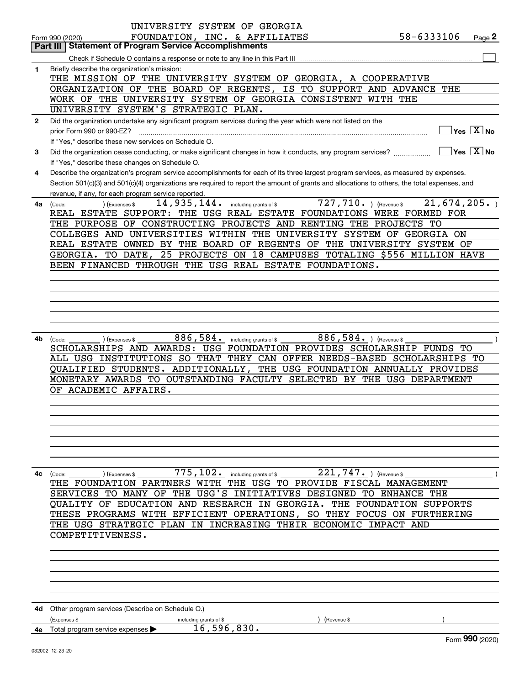|              | UNIVERSITY SYSTEM OF GEORGIA                                                                                                                 |                         |                                           |
|--------------|----------------------------------------------------------------------------------------------------------------------------------------------|-------------------------|-------------------------------------------|
|              | FOUNDATION, INC. & AFFILIATES<br>Form 990 (2020)                                                                                             | 58-6333106              | Page 2                                    |
|              | <b>Statement of Program Service Accomplishments</b><br>Part III                                                                              |                         |                                           |
|              |                                                                                                                                              |                         |                                           |
| 1            | Briefly describe the organization's mission:                                                                                                 |                         |                                           |
|              | THE MISSION OF THE UNIVERSITY SYSTEM OF GEORGIA, A COOPERATIVE                                                                               |                         |                                           |
|              | ORGANIZATION OF THE BOARD OF REGENTS, IS TO SUPPORT AND ADVANCE THE<br>WORK OF THE UNIVERSITY SYSTEM OF GEORGIA CONSISTENT WITH THE          |                         |                                           |
|              | UNIVERSITY SYSTEM'S STRATEGIC PLAN.                                                                                                          |                         |                                           |
| $\mathbf{2}$ | Did the organization undertake any significant program services during the year which were not listed on the                                 |                         |                                           |
|              | prior Form 990 or 990-EZ?                                                                                                                    |                         | $\overline{\ }$ Yes $\overline{\rm X}$ No |
|              | If "Yes," describe these new services on Schedule O.                                                                                         |                         |                                           |
| 3            | Did the organization cease conducting, or make significant changes in how it conducts, any program services?                                 |                         | $\sqrt{}$ Yes $\sqrt{}$ X $\sqrt{}$ No    |
|              | If "Yes," describe these changes on Schedule O.                                                                                              |                         |                                           |
| 4            | Describe the organization's program service accomplishments for each of its three largest program services, as measured by expenses.         |                         |                                           |
|              | Section 501(c)(3) and 501(c)(4) organizations are required to report the amount of grants and allocations to others, the total expenses, and |                         |                                           |
|              | revenue, if any, for each program service reported.                                                                                          |                         |                                           |
| 4a -         | 14,935,144.<br>$727,710.$ (Revenue \$<br>) (Expenses \$<br>including grants of \$<br>(Code:                                                  | 21,674,205.             |                                           |
|              | REAL ESTATE SUPPORT: THE USG REAL ESTATE FOUNDATIONS WERE FORMED FOR                                                                         |                         |                                           |
|              | THE PURPOSE OF CONSTRUCTING PROJECTS AND RENTING THE PROJECTS TO                                                                             |                         |                                           |
|              | COLLEGES AND UNIVERSITIES WITHIN THE UNIVERSITY SYSTEM OF GEORGIA ON                                                                         |                         |                                           |
|              | REAL ESTATE OWNED BY THE BOARD OF REGENTS OF THE UNIVERSITY SYSTEM OF                                                                        |                         |                                           |
|              | GEORGIA. TO DATE, 25 PROJECTS ON 18 CAMPUSES TOTALING \$556 MILLION HAVE                                                                     |                         |                                           |
|              | BEEN FINANCED THROUGH THE USG REAL ESTATE FOUNDATIONS.                                                                                       |                         |                                           |
|              |                                                                                                                                              |                         |                                           |
|              |                                                                                                                                              |                         |                                           |
|              |                                                                                                                                              |                         |                                           |
|              |                                                                                                                                              |                         |                                           |
|              |                                                                                                                                              |                         |                                           |
| 4b           | 886, 584. including grants of \$<br>886,584. ) (Revenue \$<br>) (Expenses \$<br>(Code:                                                       |                         |                                           |
|              | SCHOLARSHIPS AND AWARDS: USG FOUNDATION PROVIDES SCHOLARSHIP FUNDS TO                                                                        |                         |                                           |
|              | ALL USG INSTITUTIONS SO THAT THEY CAN OFFER NEEDS-BASED SCHOLARSHIPS TO                                                                      |                         |                                           |
|              | QUALIFIED STUDENTS. ADDITIONALLY, THE USG FOUNDATION ANNUALLY PROVIDES                                                                       |                         |                                           |
|              | MONETARY AWARDS TO OUTSTANDING FACULTY SELECTED BY THE USG DEPARTMENT                                                                        |                         |                                           |
|              | OF ACADEMIC AFFAIRS.                                                                                                                         |                         |                                           |
|              |                                                                                                                                              |                         |                                           |
|              |                                                                                                                                              |                         |                                           |
|              |                                                                                                                                              |                         |                                           |
|              |                                                                                                                                              |                         |                                           |
|              |                                                                                                                                              |                         |                                           |
|              |                                                                                                                                              |                         |                                           |
|              | 775, 102.<br>$221,747.$ (Revenue \$                                                                                                          |                         |                                           |
| 4с           | including grants of \$<br>(Expenses \$<br>(Code:<br>THE FOUNDATION PARTNERS WITH THE USG TO PROVIDE FISCAL MANAGEMENT                        |                         |                                           |
|              | SERVICES TO MANY OF THE USG'S INITIATIVES DESIGNED TO ENHANCE THE                                                                            |                         |                                           |
|              | QUALITY OF EDUCATION AND RESEARCH IN GEORGIA.                                                                                                | THE FOUNDATION SUPPORTS |                                           |
|              | THESE PROGRAMS WITH EFFICIENT OPERATIONS, SO THEY FOCUS ON FURTHERING                                                                        |                         |                                           |
|              | THE USG STRATEGIC PLAN IN INCREASING THEIR ECONOMIC IMPACT AND                                                                               |                         |                                           |
|              | COMPETITIVENESS.                                                                                                                             |                         |                                           |
|              |                                                                                                                                              |                         |                                           |
|              |                                                                                                                                              |                         |                                           |
|              |                                                                                                                                              |                         |                                           |
|              |                                                                                                                                              |                         |                                           |
|              |                                                                                                                                              |                         |                                           |
|              |                                                                                                                                              |                         |                                           |
| 4d           | Other program services (Describe on Schedule O.)                                                                                             |                         |                                           |
|              | (Expenses \$<br>Revenue \$<br>including grants of \$                                                                                         |                         |                                           |
| 4e           | 16, 596, 830.<br>Total program service expenses                                                                                              |                         |                                           |
|              | 032002 12-23-20                                                                                                                              |                         | Form 990 (2020)                           |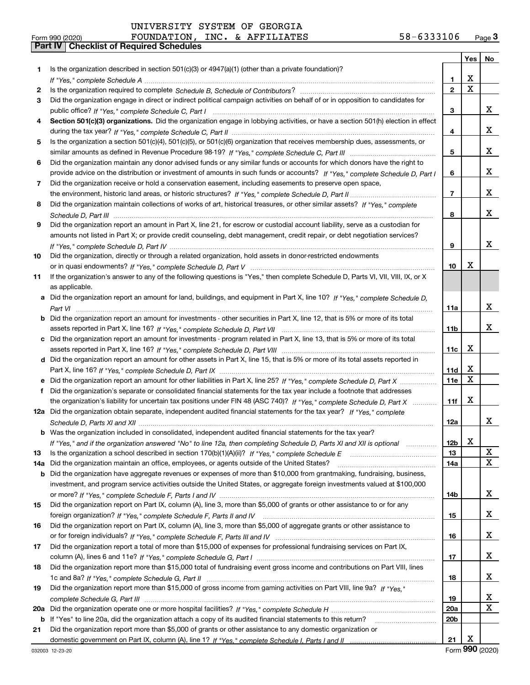|     |                                                                                                                                       |                 | Yes | No |
|-----|---------------------------------------------------------------------------------------------------------------------------------------|-----------------|-----|----|
| 1.  | Is the organization described in section $501(c)(3)$ or $4947(a)(1)$ (other than a private foundation)?                               |                 |     |    |
|     |                                                                                                                                       | 1               | х   |    |
| 2   |                                                                                                                                       | $\mathbf{2}$    | x   |    |
| 3   | Did the organization engage in direct or indirect political campaign activities on behalf of or in opposition to candidates for       |                 |     |    |
|     |                                                                                                                                       | 3               |     | X. |
| 4   | Section 501(c)(3) organizations. Did the organization engage in lobbying activities, or have a section 501(h) election in effect      |                 |     |    |
|     |                                                                                                                                       | 4               |     | X. |
| 5   | Is the organization a section 501(c)(4), 501(c)(5), or 501(c)(6) organization that receives membership dues, assessments, or          |                 |     |    |
|     |                                                                                                                                       | 5               |     | X. |
| 6   | Did the organization maintain any donor advised funds or any similar funds or accounts for which donors have the right to             |                 |     |    |
|     | provide advice on the distribution or investment of amounts in such funds or accounts? If "Yes," complete Schedule D, Part I          | 6               |     | X. |
| 7   | Did the organization receive or hold a conservation easement, including easements to preserve open space,                             |                 |     |    |
|     |                                                                                                                                       | $\overline{7}$  |     | X. |
| 8   | Did the organization maintain collections of works of art, historical treasures, or other similar assets? If "Yes," complete          |                 |     |    |
|     |                                                                                                                                       | 8               |     | x  |
| 9   | Did the organization report an amount in Part X, line 21, for escrow or custodial account liability, serve as a custodian for         |                 |     |    |
|     | amounts not listed in Part X; or provide credit counseling, debt management, credit repair, or debt negotiation services?             |                 |     |    |
|     |                                                                                                                                       | 9               |     | x  |
| 10  | Did the organization, directly or through a related organization, hold assets in donor-restricted endowments                          |                 |     |    |
|     |                                                                                                                                       | 10              | х   |    |
| 11  | If the organization's answer to any of the following questions is "Yes," then complete Schedule D, Parts VI, VII, VIII, IX, or X      |                 |     |    |
|     | as applicable.                                                                                                                        |                 |     |    |
|     | a Did the organization report an amount for land, buildings, and equipment in Part X, line 10? If "Yes," complete Schedule D,         |                 |     |    |
|     |                                                                                                                                       | 11a             |     | x  |
|     | <b>b</b> Did the organization report an amount for investments - other securities in Part X, line 12, that is 5% or more of its total |                 |     |    |
|     |                                                                                                                                       | 11 <sub>b</sub> |     | x  |
|     | c Did the organization report an amount for investments - program related in Part X, line 13, that is 5% or more of its total         |                 |     |    |
|     |                                                                                                                                       | 11c             | х   |    |
|     | d Did the organization report an amount for other assets in Part X, line 15, that is 5% or more of its total assets reported in       |                 |     |    |
|     |                                                                                                                                       | 11d             | X   |    |
|     |                                                                                                                                       | 11e             | X   |    |
| f   | Did the organization's separate or consolidated financial statements for the tax year include a footnote that addresses               |                 |     |    |
|     | the organization's liability for uncertain tax positions under FIN 48 (ASC 740)? If "Yes," complete Schedule D, Part X                | 11f             | X   |    |
|     | 12a Did the organization obtain separate, independent audited financial statements for the tax year? If "Yes," complete               |                 |     |    |
|     |                                                                                                                                       | 12a             |     | X. |
|     | <b>b</b> Was the organization included in consolidated, independent audited financial statements for the tax year?                    |                 |     |    |
|     | If "Yes," and if the organization answered "No" to line 12a, then completing Schedule D, Parts XI and XII is optional                 | 12 <sub>b</sub> | х   |    |
| 13  | Is the organization a school described in section 170(b)(1)(A)(ii)? If "Yes," complete Schedule E                                     | 13              |     | X  |
| 14a | Did the organization maintain an office, employees, or agents outside of the United States?                                           | 14a             |     | X  |
|     | b Did the organization have aggregate revenues or expenses of more than \$10,000 from grantmaking, fundraising, business,             |                 |     |    |
|     | investment, and program service activities outside the United States, or aggregate foreign investments valued at \$100,000            |                 |     |    |
|     |                                                                                                                                       | 14b             |     | X. |
| 15  | Did the organization report on Part IX, column (A), line 3, more than \$5,000 of grants or other assistance to or for any             |                 |     |    |
|     |                                                                                                                                       | 15              |     | X. |
| 16  | Did the organization report on Part IX, column (A), line 3, more than \$5,000 of aggregate grants or other assistance to              |                 |     |    |
|     |                                                                                                                                       | 16              |     | X. |
| 17  | Did the organization report a total of more than \$15,000 of expenses for professional fundraising services on Part IX,               |                 |     |    |
|     |                                                                                                                                       | 17              |     | X. |
| 18  | Did the organization report more than \$15,000 total of fundraising event gross income and contributions on Part VIII, lines          |                 |     |    |
|     |                                                                                                                                       | 18              |     | X. |
| 19  | Did the organization report more than \$15,000 of gross income from gaming activities on Part VIII, line 9a? If "Yes."                |                 |     |    |
|     |                                                                                                                                       | 19              |     | X  |
| 20a |                                                                                                                                       | 20a             |     | x  |
|     | b If "Yes" to line 20a, did the organization attach a copy of its audited financial statements to this return?                        | 20 <sub>b</sub> |     |    |
| 21  | Did the organization report more than \$5,000 of grants or other assistance to any domestic organization or                           |                 |     |    |
|     |                                                                                                                                       | 21              | X   |    |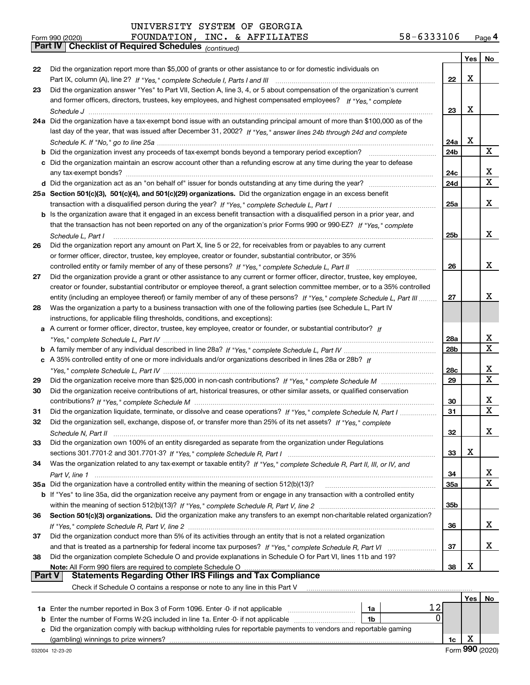| Form 990 (2020) | <b>FOUNDATION,</b>                                           |  | INC. & AFFILIATES | 58-6333106 | Page $4$ |
|-----------------|--------------------------------------------------------------|--|-------------------|------------|----------|
|                 | <b>Part IV   Checklist of Required Schedules (continued)</b> |  |                   |            |          |

|    | <b>Failly</b><br>Critical Continued Scribution (Continued)                                                                   |                 |          |    |
|----|------------------------------------------------------------------------------------------------------------------------------|-----------------|----------|----|
|    |                                                                                                                              |                 | Yes      | No |
| 22 | Did the organization report more than \$5,000 of grants or other assistance to or for domestic individuals on                |                 |          |    |
|    |                                                                                                                              | 22              | X        |    |
| 23 | Did the organization answer "Yes" to Part VII, Section A, line 3, 4, or 5 about compensation of the organization's current   |                 |          |    |
|    | and former officers, directors, trustees, key employees, and highest compensated employees? If "Yes," complete               |                 |          |    |
|    |                                                                                                                              | 23              | х        |    |
|    | 24a Did the organization have a tax-exempt bond issue with an outstanding principal amount of more than \$100,000 as of the  |                 |          |    |
|    | last day of the year, that was issued after December 31, 2002? If "Yes," answer lines 24b through 24d and complete           |                 |          |    |
|    |                                                                                                                              | 24a             | X        |    |
|    | <b>b</b> Did the organization invest any proceeds of tax-exempt bonds beyond a temporary period exception?                   | 24b             |          | x  |
|    | c Did the organization maintain an escrow account other than a refunding escrow at any time during the year to defease       |                 |          |    |
|    |                                                                                                                              | 24c             |          | x  |
|    |                                                                                                                              | 24d             |          | X  |
|    | 25a Section 501(c)(3), 501(c)(4), and 501(c)(29) organizations. Did the organization engage in an excess benefit             |                 |          |    |
|    |                                                                                                                              | 25a             |          | x  |
|    |                                                                                                                              |                 |          |    |
|    | b Is the organization aware that it engaged in an excess benefit transaction with a disqualified person in a prior year, and |                 |          |    |
|    | that the transaction has not been reported on any of the organization's prior Forms 990 or 990-EZ? If "Yes," complete        |                 |          | x  |
|    | Schedule L. Part I                                                                                                           | 25b             |          |    |
| 26 | Did the organization report any amount on Part X, line 5 or 22, for receivables from or payables to any current              |                 |          |    |
|    | or former officer, director, trustee, key employee, creator or founder, substantial contributor, or 35%                      |                 |          |    |
|    |                                                                                                                              | 26              |          | x  |
| 27 | Did the organization provide a grant or other assistance to any current or former officer, director, trustee, key employee,  |                 |          |    |
|    | creator or founder, substantial contributor or employee thereof, a grant selection committee member, or to a 35% controlled  |                 |          |    |
|    | entity (including an employee thereof) or family member of any of these persons? If "Yes," complete Schedule L. Part III     | 27              |          | x  |
| 28 | Was the organization a party to a business transaction with one of the following parties (see Schedule L, Part IV            |                 |          |    |
|    | instructions, for applicable filing thresholds, conditions, and exceptions):                                                 |                 |          |    |
|    | a A current or former officer, director, trustee, key employee, creator or founder, or substantial contributor? If           |                 |          |    |
|    |                                                                                                                              | 28a             |          | x  |
|    |                                                                                                                              | 28 <sub>b</sub> |          | x  |
|    | c A 35% controlled entity of one or more individuals and/or organizations described in lines 28a or 28b? If                  |                 |          |    |
|    |                                                                                                                              | 28c             |          | x  |
| 29 |                                                                                                                              | 29              |          | х  |
| 30 | Did the organization receive contributions of art, historical treasures, or other similar assets, or qualified conservation  |                 |          |    |
|    |                                                                                                                              | 30              |          | x  |
| 31 | Did the organization liquidate, terminate, or dissolve and cease operations? If "Yes," complete Schedule N, Part I           | 31              |          | х  |
| 32 | Did the organization sell, exchange, dispose of, or transfer more than 25% of its net assets? If "Yes," complete             |                 |          |    |
|    | Schedule N. Part II                                                                                                          | 32              |          | х  |
| 33 | Did the organization own 100% of an entity disregarded as separate from the organization under Regulations                   |                 |          |    |
|    |                                                                                                                              | 33              | х        |    |
| 34 | Was the organization related to any tax-exempt or taxable entity? If "Yes," complete Schedule R, Part II, III, or IV, and    |                 |          |    |
|    |                                                                                                                              | 34              |          | x  |
|    | 35a Did the organization have a controlled entity within the meaning of section 512(b)(13)?                                  | <b>35a</b>      |          | X  |
|    |                                                                                                                              |                 |          |    |
|    | b If "Yes" to line 35a, did the organization receive any payment from or engage in any transaction with a controlled entity  |                 |          |    |
|    |                                                                                                                              | 35b             |          |    |
| 36 | Section 501(c)(3) organizations. Did the organization make any transfers to an exempt non-charitable related organization?   |                 |          |    |
|    |                                                                                                                              | 36              |          | x  |
| 37 | Did the organization conduct more than 5% of its activities through an entity that is not a related organization             |                 |          |    |
|    | and that is treated as a partnership for federal income tax purposes? If "Yes," complete Schedule R, Part VI                 | 37              |          | x  |
| 38 | Did the organization complete Schedule O and provide explanations in Schedule O for Part VI, lines 11b and 19?               |                 |          |    |
|    | Note: All Form 990 filers are required to complete Schedule O                                                                | 38              | х        |    |
|    | <b>Part V</b><br><b>Statements Regarding Other IRS Filings and Tax Compliance</b>                                            |                 |          |    |
|    | Check if Schedule O contains a response or note to any line in this Part V                                                   |                 |          |    |
|    |                                                                                                                              |                 | Yes   No |    |

|                                                                                                                      |    |  |    |  | No |
|----------------------------------------------------------------------------------------------------------------------|----|--|----|--|----|
| <b>1a</b> Enter the number reported in Box 3 of Form 1096. Enter -0- if not applicable                               | 1a |  |    |  |    |
| <b>b</b> Enter the number of Forms W-2G included in line 1a. Enter -0- if not applicable                             | 1b |  |    |  |    |
| c Did the organization comply with backup withholding rules for reportable payments to vendors and reportable gaming |    |  |    |  |    |
| (gambling) winnings to prize winners?                                                                                |    |  | 1c |  |    |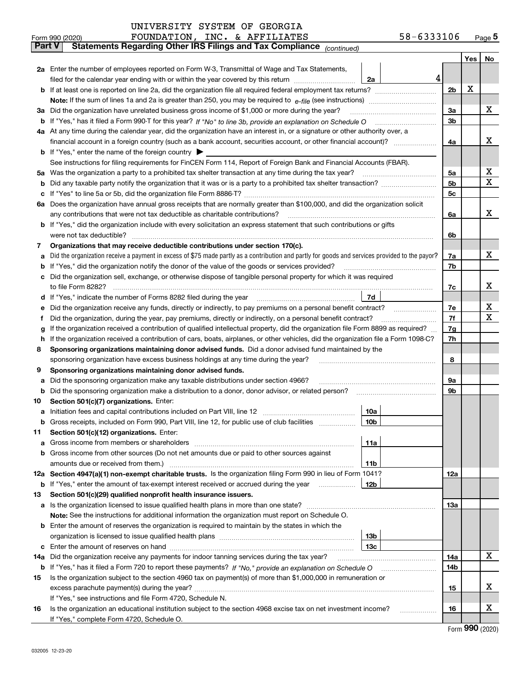| rai l V | Statements Regarding Other IRS Fillings and Tax Compilance $_{(continued)}$                                                                     |                |     |        |  |  |  |
|---------|-------------------------------------------------------------------------------------------------------------------------------------------------|----------------|-----|--------|--|--|--|
|         |                                                                                                                                                 |                | Yes | No     |  |  |  |
|         | 2a Enter the number of employees reported on Form W-3, Transmittal of Wage and Tax Statements,                                                  |                |     |        |  |  |  |
|         | 4<br>filed for the calendar year ending with or within the year covered by this return <i>manumumumum</i><br>2a                                 |                |     |        |  |  |  |
|         |                                                                                                                                                 | 2 <sub>b</sub> | X   |        |  |  |  |
|         |                                                                                                                                                 |                |     |        |  |  |  |
|         | 3a Did the organization have unrelated business gross income of \$1,000 or more during the year?                                                | За             |     | x      |  |  |  |
|         |                                                                                                                                                 | 3b             |     |        |  |  |  |
|         | 4a At any time during the calendar year, did the organization have an interest in, or a signature or other authority over, a                    |                |     |        |  |  |  |
|         |                                                                                                                                                 | 4a             |     | x      |  |  |  |
|         | <b>b</b> If "Yes," enter the name of the foreign country                                                                                        |                |     |        |  |  |  |
|         | See instructions for filing requirements for FinCEN Form 114, Report of Foreign Bank and Financial Accounts (FBAR).                             |                |     |        |  |  |  |
|         | 5a Was the organization a party to a prohibited tax shelter transaction at any time during the tax year?                                        | 5a             |     | х      |  |  |  |
|         |                                                                                                                                                 | 5b             |     | х      |  |  |  |
|         |                                                                                                                                                 | 5c             |     |        |  |  |  |
|         | 6a Does the organization have annual gross receipts that are normally greater than \$100,000, and did the organization solicit                  |                |     |        |  |  |  |
|         | any contributions that were not tax deductible as charitable contributions?                                                                     | 6a             |     | x      |  |  |  |
|         | <b>b</b> If "Yes," did the organization include with every solicitation an express statement that such contributions or gifts                   |                |     |        |  |  |  |
|         | were not tax deductible?                                                                                                                        | 6b             |     |        |  |  |  |
| 7       | Organizations that may receive deductible contributions under section 170(c).                                                                   |                |     |        |  |  |  |
| а       | Did the organization receive a payment in excess of \$75 made partly as a contribution and partly for goods and services provided to the payor? | 7a             |     | x      |  |  |  |
|         | <b>b</b> If "Yes," did the organization notify the donor of the value of the goods or services provided?                                        | 7b             |     |        |  |  |  |
|         | c Did the organization sell, exchange, or otherwise dispose of tangible personal property for which it was required                             |                |     |        |  |  |  |
|         | to file Form 8282?                                                                                                                              | 7c             |     | x      |  |  |  |
|         | 7d<br>d If "Yes," indicate the number of Forms 8282 filed during the year                                                                       |                |     |        |  |  |  |
|         | e Did the organization receive any funds, directly or indirectly, to pay premiums on a personal benefit contract?                               | 7е<br>7f       |     | х<br>х |  |  |  |
|         | Did the organization, during the year, pay premiums, directly or indirectly, on a personal benefit contract?                                    |                |     |        |  |  |  |
| g       | If the organization received a contribution of qualified intellectual property, did the organization file Form 8899 as required?                |                |     |        |  |  |  |
|         | h If the organization received a contribution of cars, boats, airplanes, or other vehicles, did the organization file a Form 1098-C?            |                |     |        |  |  |  |
| 8       | Sponsoring organizations maintaining donor advised funds. Did a donor advised fund maintained by the                                            |                |     |        |  |  |  |
|         | sponsoring organization have excess business holdings at any time during the year?                                                              | 8              |     |        |  |  |  |
| 9       | Sponsoring organizations maintaining donor advised funds.                                                                                       |                |     |        |  |  |  |
|         | a Did the sponsoring organization make any taxable distributions under section 4966?                                                            | 9а             |     |        |  |  |  |
|         | <b>b</b> Did the sponsoring organization make a distribution to a donor, donor advisor, or related person?                                      | 9b             |     |        |  |  |  |
| 10      | Section 501(c)(7) organizations. Enter:                                                                                                         |                |     |        |  |  |  |
|         | 10a                                                                                                                                             |                |     |        |  |  |  |
|         | b Gross receipts, included on Form 990, Part VIII, line 12, for public use of club facilities<br>10b                                            |                |     |        |  |  |  |
| 11.     | Section 501(c)(12) organizations. Enter:                                                                                                        |                |     |        |  |  |  |
|         | 11a                                                                                                                                             |                |     |        |  |  |  |
|         | <b>b</b> Gross income from other sources (Do not net amounts due or paid to other sources against                                               |                |     |        |  |  |  |
|         | 11b                                                                                                                                             |                |     |        |  |  |  |
|         | 12a Section 4947(a)(1) non-exempt charitable trusts. Is the organization filing Form 990 in lieu of Form 1041?                                  | 12a            |     |        |  |  |  |
|         | 12b<br><b>b</b> If "Yes," enter the amount of tax-exempt interest received or accrued during the year                                           |                |     |        |  |  |  |
| 13      | Section 501(c)(29) qualified nonprofit health insurance issuers.                                                                                |                |     |        |  |  |  |
|         | a Is the organization licensed to issue qualified health plans in more than one state?                                                          | 13а            |     |        |  |  |  |
|         | Note: See the instructions for additional information the organization must report on Schedule O.                                               |                |     |        |  |  |  |
|         | <b>b</b> Enter the amount of reserves the organization is required to maintain by the states in which the                                       |                |     |        |  |  |  |
|         | 13 <sub>b</sub>                                                                                                                                 |                |     |        |  |  |  |
|         | 13с                                                                                                                                             |                |     |        |  |  |  |
|         | 14a Did the organization receive any payments for indoor tanning services during the tax year?                                                  | 14a            |     | X      |  |  |  |
|         |                                                                                                                                                 | 14b            |     |        |  |  |  |
| 15      | Is the organization subject to the section 4960 tax on payment(s) of more than \$1,000,000 in remuneration or                                   |                |     |        |  |  |  |
|         |                                                                                                                                                 | 15             |     | х      |  |  |  |
|         | If "Yes," see instructions and file Form 4720, Schedule N.                                                                                      |                |     |        |  |  |  |
| 16      | Is the organization an educational institution subject to the section 4968 excise tax on net investment income?                                 | 16             |     | x      |  |  |  |
|         | If "Yes," complete Form 4720, Schedule O.                                                                                                       |                |     |        |  |  |  |

Form (2020) **990**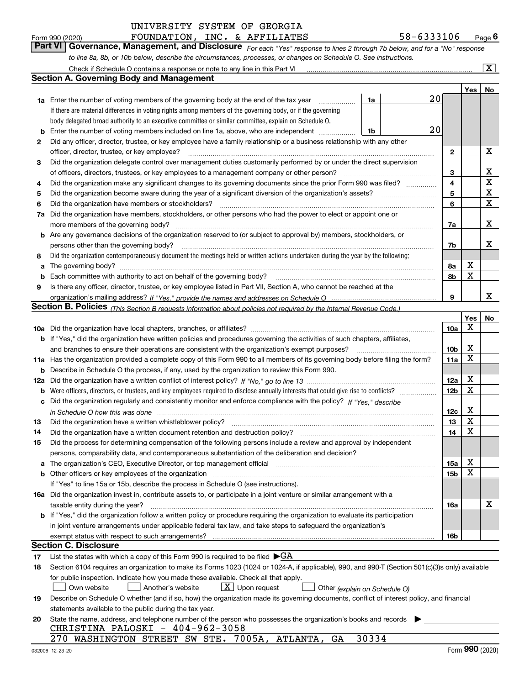*For each "Yes" response to lines 2 through 7b below, and for a "No" response*

|     | to line 8a, 8b, or 10b below, describe the circumstances, processes, or changes on Schedule O. See instructions.                                                             |                         |             |                         |  |
|-----|------------------------------------------------------------------------------------------------------------------------------------------------------------------------------|-------------------------|-------------|-------------------------|--|
|     | Check if Schedule O contains a response or note to any line in this Part VI                                                                                                  |                         |             | $\overline{\mathbf{x}}$ |  |
|     | <b>Section A. Governing Body and Management</b>                                                                                                                              |                         |             |                         |  |
|     |                                                                                                                                                                              |                         | Yes         | No                      |  |
|     | 20<br>1a Enter the number of voting members of the governing body at the end of the tax year<br>1a                                                                           |                         |             |                         |  |
|     | If there are material differences in voting rights among members of the governing body, or if the governing                                                                  |                         |             |                         |  |
|     | body delegated broad authority to an executive committee or similar committee, explain on Schedule O.                                                                        |                         |             |                         |  |
| b   | 20<br>Enter the number of voting members included on line 1a, above, who are independent<br>1b                                                                               |                         |             |                         |  |
| 2   | Did any officer, director, trustee, or key employee have a family relationship or a business relationship with any other                                                     |                         |             |                         |  |
|     | officer, director, trustee, or key employee?                                                                                                                                 | $\mathbf{2}$            |             | X                       |  |
| 3   | Did the organization delegate control over management duties customarily performed by or under the direct supervision                                                        |                         |             |                         |  |
|     | of officers, directors, trustees, or key employees to a management company or other person?                                                                                  | 3                       |             | X                       |  |
| 4   | Did the organization make any significant changes to its governing documents since the prior Form 990 was filed?                                                             | $\overline{\mathbf{4}}$ |             | X                       |  |
| 5   |                                                                                                                                                                              | 5                       |             | X                       |  |
| 6   | Did the organization have members or stockholders?                                                                                                                           | 6                       |             | X                       |  |
| 7a  | Did the organization have members, stockholders, or other persons who had the power to elect or appoint one or                                                               |                         |             |                         |  |
|     | more members of the governing body?                                                                                                                                          | 7a                      |             | x                       |  |
| b   | Are any governance decisions of the organization reserved to (or subject to approval by) members, stockholders, or                                                           |                         |             |                         |  |
|     | persons other than the governing body?                                                                                                                                       | 7b                      |             | x                       |  |
| 8   | Did the organization contemporaneously document the meetings held or written actions undertaken during the year by the following:                                            |                         |             |                         |  |
| a   |                                                                                                                                                                              | 8a                      | х           |                         |  |
| b   |                                                                                                                                                                              | 8b                      | X           |                         |  |
| 9   | Is there any officer, director, trustee, or key employee listed in Part VII, Section A, who cannot be reached at the                                                         |                         |             |                         |  |
|     |                                                                                                                                                                              | 9                       |             | x                       |  |
|     | <b>Section B. Policies</b> (This Section B requests information about policies not required by the Internal Revenue Code.)                                                   |                         |             |                         |  |
|     |                                                                                                                                                                              |                         | Yes         | No                      |  |
|     |                                                                                                                                                                              | 10a                     | X           |                         |  |
|     | <b>b</b> If "Yes," did the organization have written policies and procedures governing the activities of such chapters, affiliates,                                          |                         |             |                         |  |
|     | and branches to ensure their operations are consistent with the organization's exempt purposes?                                                                              |                         |             |                         |  |
|     | 11a Has the organization provided a complete copy of this Form 990 to all members of its governing body before filing the form?                                              | 11a                     | $\mathbf X$ |                         |  |
| b   | Describe in Schedule O the process, if any, used by the organization to review this Form 990.                                                                                | 12a                     | X           |                         |  |
| 12a | Were officers, directors, or trustees, and key employees required to disclose annually interests that could give rise to conflicts?                                          | 12 <sub>b</sub>         | X           |                         |  |
| b   | Did the organization regularly and consistently monitor and enforce compliance with the policy? If "Yes." describe                                                           |                         |             |                         |  |
| с   |                                                                                                                                                                              | 12c                     | X           |                         |  |
| 13  | in Schedule O how this was done measured and the control of the control of the state of the control of the cont<br>Did the organization have a written whistleblower policy? | 13                      | X           |                         |  |
| 14  |                                                                                                                                                                              | 14                      | X           |                         |  |
| 15  | Did the process for determining compensation of the following persons include a review and approval by independent                                                           |                         |             |                         |  |
|     | persons, comparability data, and contemporaneous substantiation of the deliberation and decision?                                                                            |                         |             |                         |  |
| a   | The organization's CEO, Executive Director, or top management official manufactured content of the organization's CEO, Executive Director, or top management official        | 15a                     | х           |                         |  |
|     | Other officers or key employees of the organization                                                                                                                          | 15b                     | X           |                         |  |
|     | If "Yes" to line 15a or 15b, describe the process in Schedule O (see instructions).                                                                                          |                         |             |                         |  |
|     | 16a Did the organization invest in, contribute assets to, or participate in a joint venture or similar arrangement with a                                                    |                         |             |                         |  |
|     | taxable entity during the year?                                                                                                                                              | 16a                     |             | X                       |  |
|     | b If "Yes," did the organization follow a written policy or procedure requiring the organization to evaluate its participation                                               |                         |             |                         |  |
|     | in joint venture arrangements under applicable federal tax law, and take steps to safequard the organization's                                                               |                         |             |                         |  |
|     | exempt status with respect to such arrangements?                                                                                                                             | 16b                     |             |                         |  |
|     | <b>Section C. Disclosure</b>                                                                                                                                                 |                         |             |                         |  |
| 17  | List the states with which a copy of this Form 990 is required to be filed $\blacktriangleright$ GA                                                                          |                         |             |                         |  |
| 18  | Section 6104 requires an organization to make its Forms 1023 (1024 or 1024-A, if applicable), 990, and 990-T (Section 501(c)(3)s only) available                             |                         |             |                         |  |
|     | for public inspection. Indicate how you made these available. Check all that apply.                                                                                          |                         |             |                         |  |
|     | $X$ Upon request<br>Another's website<br>Own website<br>Other (explain on Schedule O)                                                                                        |                         |             |                         |  |
| 19  | Describe on Schedule O whether (and if so, how) the organization made its governing documents, conflict of interest policy, and financial                                    |                         |             |                         |  |
|     | statements available to the public during the tax year.                                                                                                                      |                         |             |                         |  |
| 20  | State the name, address, and telephone number of the person who possesses the organization's books and records                                                               |                         |             |                         |  |
|     | CHRISTINA PALOSKI - 404-962-3058                                                                                                                                             |                         |             |                         |  |
|     | 30334<br>WASHINGTON STREET SW STE. 7005A,<br>ATLANTA,<br>GA<br>270                                                                                                           |                         |             |                         |  |
|     | 032006 12-23-20                                                                                                                                                              |                         |             | Form 990 (2020)         |  |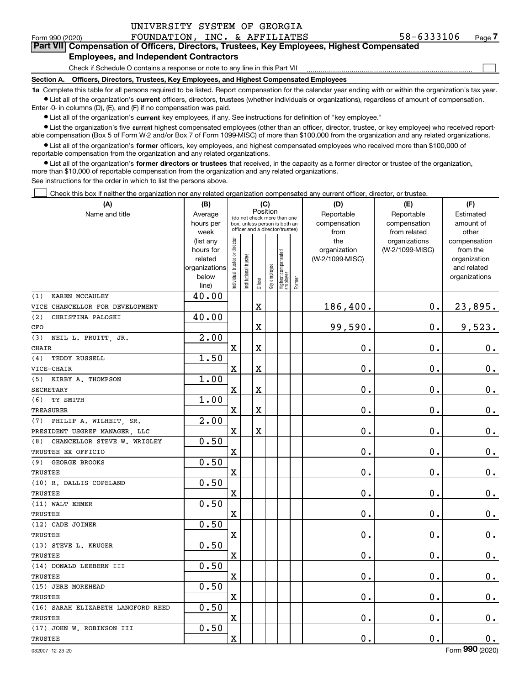$\mathcal{L}^{\text{max}}$ 

#### Form 990 (2020) FOUNDATION, INC. & AFFILIATES 58-6333106 <sub>Page</sub> **7Part VII Compensation of Officers, Directors, Trustees, Key Employees, Highest Compensated Employees, and Independent Contractors**

Check if Schedule O contains a response or note to any line in this Part VII

**Section A. Officers, Directors, Trustees, Key Employees, and Highest Compensated Employees**

**1a**  Complete this table for all persons required to be listed. Report compensation for the calendar year ending with or within the organization's tax year. **•** List all of the organization's current officers, directors, trustees (whether individuals or organizations), regardless of amount of compensation.

Enter -0- in columns (D), (E), and (F) if no compensation was paid.

 $\bullet$  List all of the organization's  $\,$ current key employees, if any. See instructions for definition of "key employee."

**•** List the organization's five current highest compensated employees (other than an officer, director, trustee, or key employee) who received reportable compensation (Box 5 of Form W-2 and/or Box 7 of Form 1099-MISC) of more than \$100,000 from the organization and any related organizations.

**•** List all of the organization's former officers, key employees, and highest compensated employees who received more than \$100,000 of reportable compensation from the organization and any related organizations.

**former directors or trustees**  ¥ List all of the organization's that received, in the capacity as a former director or trustee of the organization, more than \$10,000 of reportable compensation from the organization and any related organizations.

See instructions for the order in which to list the persons above.

Check this box if neither the organization nor any related organization compensated any current officer, director, or trustee.  $\mathcal{L}^{\text{max}}$ 

| (A)                                | (B)                    |                               |                                                                                                 | (C)                     |              |                                  |           | (D)             | (E)                              | (F)                   |
|------------------------------------|------------------------|-------------------------------|-------------------------------------------------------------------------------------------------|-------------------------|--------------|----------------------------------|-----------|-----------------|----------------------------------|-----------------------|
| Name and title                     | Average                |                               |                                                                                                 | Position                |              |                                  |           | Reportable      | Reportable                       | Estimated             |
|                                    | hours per              |                               | (do not check more than one<br>box, unless person is both an<br>officer and a director/trustee) |                         | compensation | compensation                     | amount of |                 |                                  |                       |
|                                    | week                   |                               |                                                                                                 |                         |              |                                  |           | from<br>the     | from related                     | other<br>compensation |
|                                    | (list any<br>hours for | ndividual trustee or director |                                                                                                 |                         |              |                                  |           | organization    | organizations<br>(W-2/1099-MISC) | from the              |
|                                    | related                |                               |                                                                                                 |                         |              |                                  |           | (W-2/1099-MISC) |                                  | organization          |
|                                    | organizations          |                               |                                                                                                 |                         |              |                                  |           |                 |                                  | and related           |
|                                    | below                  |                               | nstitutional trustee                                                                            |                         | Key employee |                                  |           |                 |                                  | organizations         |
|                                    | line)                  |                               |                                                                                                 | Officer                 |              | Highest compensated<br> employee | Former    |                 |                                  |                       |
| KAREN MCCAULEY<br>(1)              | 40.00                  |                               |                                                                                                 |                         |              |                                  |           |                 |                                  |                       |
| VICE CHANCELLOR FOR DEVELOPMENT    |                        |                               |                                                                                                 | X                       |              |                                  |           | 186,400.        | 0.                               | 23,895.               |
| (2)<br>CHRISTINA PALOSKI           | 40.00                  |                               |                                                                                                 |                         |              |                                  |           |                 |                                  |                       |
| CFO                                |                        |                               |                                                                                                 | X                       |              |                                  |           | 99,590.         | $\mathbf 0$ .                    | 9,523.                |
| NEIL L. PRUITT, JR.<br>(3)         | $\overline{2.00}$      |                               |                                                                                                 |                         |              |                                  |           |                 |                                  |                       |
| <b>CHAIR</b>                       |                        | $\mathbf X$                   |                                                                                                 | X                       |              |                                  |           | 0.              | $\mathbf 0$ .                    | $0_{.}$               |
| (4)<br>TEDDY RUSSELL               | 1.50                   |                               |                                                                                                 |                         |              |                                  |           |                 |                                  |                       |
| VICE-CHAIR                         |                        | $\mathbf X$                   |                                                                                                 | X                       |              |                                  |           | $\mathbf 0$ .   | 0.                               | $\mathbf 0$ .         |
| (5)<br>KIRBY A. THOMPSON           | 1.00                   |                               |                                                                                                 |                         |              |                                  |           |                 |                                  |                       |
| <b>SECRETARY</b>                   |                        | $\mathbf X$                   |                                                                                                 | X                       |              |                                  |           | $\mathbf 0$ .   | 0.                               | $0_{.}$               |
| TY SMITH<br>(6)                    | 1.00                   |                               |                                                                                                 |                         |              |                                  |           |                 |                                  |                       |
| TREASURER                          |                        | $\mathbf X$                   |                                                                                                 | $\overline{\textbf{X}}$ |              |                                  |           | 0.              | $\mathbf 0$ .                    | $\mathbf 0$ .         |
| (7)<br>PHILIP A. WILHEIT, SR.      | 2.00                   |                               |                                                                                                 |                         |              |                                  |           |                 |                                  |                       |
| PRESIDENT USGREF MANAGER, LLC      |                        | $\mathbf X$                   |                                                                                                 | $\overline{\textbf{X}}$ |              |                                  |           | $\mathbf 0$ .   | $\mathbf 0$ .                    | $0_{.}$               |
| CHANCELLOR STEVE W. WRIGLEY<br>(8) | 0.50                   |                               |                                                                                                 |                         |              |                                  |           |                 |                                  |                       |
| TRUSTEE EX OFFICIO                 |                        | $\overline{\mathbf{X}}$       |                                                                                                 |                         |              |                                  |           | $\mathbf 0$ .   | $\mathbf 0$ .                    | $\mathbf 0$ .         |
| <b>GEORGE BROOKS</b><br>(9)        | 0.50                   |                               |                                                                                                 |                         |              |                                  |           |                 |                                  |                       |
| TRUSTEE                            |                        | $\overline{\mathbf{X}}$       |                                                                                                 |                         |              |                                  |           | 0.              | $\mathbf 0$ .                    | $\mathbf 0$ .         |
| (10) R. DALLIS COPELAND            | 0.50                   |                               |                                                                                                 |                         |              |                                  |           |                 |                                  |                       |
| TRUSTEE                            |                        | $\mathbf X$                   |                                                                                                 |                         |              |                                  |           | $\mathbf 0$ .   | $\mathbf 0$ .                    | 0.                    |
| (11) WALT EHMER                    | 0.50                   |                               |                                                                                                 |                         |              |                                  |           |                 |                                  |                       |
| TRUSTEE                            |                        | $\mathbf X$                   |                                                                                                 |                         |              |                                  |           | $\mathbf 0$ .   | $\mathbf 0$ .                    | $\mathbf 0$ .         |
| (12) CADE JOINER                   | 0.50                   |                               |                                                                                                 |                         |              |                                  |           |                 |                                  |                       |
| <b>TRUSTEE</b>                     |                        | $\mathbf x$                   |                                                                                                 |                         |              |                                  |           | $\mathbf 0$ .   | $\mathbf 0$ .                    | $\mathbf 0$ .         |
| (13) STEVE L. KRUGER               | 0.50                   |                               |                                                                                                 |                         |              |                                  |           |                 |                                  |                       |
| TRUSTEE                            |                        | $\mathbf x$                   |                                                                                                 |                         |              |                                  |           | $\mathbf 0$ .   | $\mathbf 0$ .                    | $0_{.}$               |
| (14) DONALD LEEBERN III            | 0.50                   |                               |                                                                                                 |                         |              |                                  |           |                 |                                  |                       |
| TRUSTEE                            |                        | $\mathbf x$                   |                                                                                                 |                         |              |                                  |           | $\mathbf 0$ .   | $\mathbf 0$ .                    | $\mathbf 0$ .         |
| (15) JERE MOREHEAD                 | 0.50                   |                               |                                                                                                 |                         |              |                                  |           |                 |                                  |                       |
| TRUSTEE                            |                        | $\mathbf X$                   |                                                                                                 |                         |              |                                  |           | 0.              | $\mathbf 0$ .                    | $0_{.}$               |
| (16) SARAH ELIZABETH LANGFORD REED | 0.50                   |                               |                                                                                                 |                         |              |                                  |           |                 |                                  |                       |
| TRUSTEE                            |                        | $\mathbf x$                   |                                                                                                 |                         |              |                                  |           | $\mathbf 0$ .   | $\mathbf 0$ .                    | $\mathbf 0$ .         |
| (17) JOHN W. ROBINSON III          | 0.50                   |                               |                                                                                                 |                         |              |                                  |           |                 |                                  |                       |
| TRUSTEE                            |                        | $\mathbf X$                   |                                                                                                 |                         |              |                                  |           | 0.              | $\mathbf 0$ .                    | 0.                    |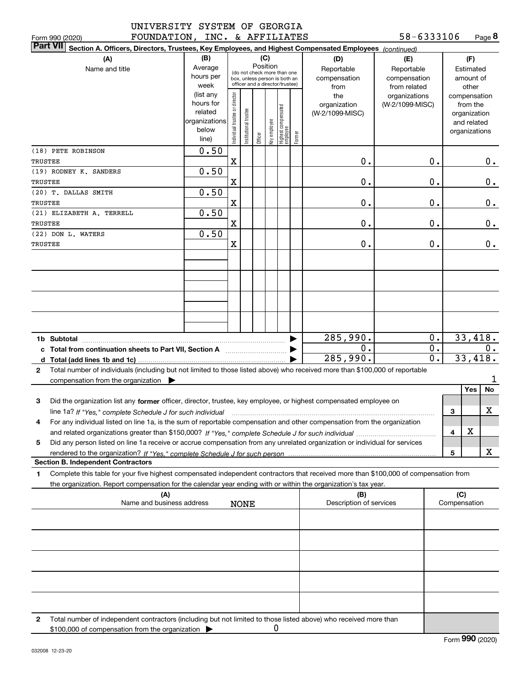| UNIVERSITY SYSTEM OF GEORGIA |      |   |
|------------------------------|------|---|
|                              | ---- | . |

| 58-6333106 | Page 8 |
|------------|--------|
|------------|--------|

| FOUNDATION, INC. & AFFILIATES<br>Form 990 (2020)                                                                                                |               |                               |                                                              |                         |                                 |        |                         | 58-6333106      |                  |               |              | Page 8  |
|-------------------------------------------------------------------------------------------------------------------------------------------------|---------------|-------------------------------|--------------------------------------------------------------|-------------------------|---------------------------------|--------|-------------------------|-----------------|------------------|---------------|--------------|---------|
| <b>Part VII</b><br>Section A. Officers, Directors, Trustees, Key Employees, and Highest Compensated Employees (continued)                       |               |                               |                                                              |                         |                                 |        |                         |                 |                  |               |              |         |
| (A)                                                                                                                                             | (B)           |                               |                                                              | (C)                     |                                 |        | (D)                     | (E)             |                  |               | (F)          |         |
| Name and title                                                                                                                                  | Average       |                               |                                                              | Position                |                                 |        | Reportable              | Reportable      |                  |               | Estimated    |         |
|                                                                                                                                                 | hours per     |                               | (do not check more than one<br>box, unless person is both an |                         |                                 |        | compensation            | compensation    |                  |               | amount of    |         |
|                                                                                                                                                 | week          |                               | officer and a director/trustee)                              |                         |                                 |        | from                    | from related    |                  |               | other        |         |
|                                                                                                                                                 | (list any     |                               |                                                              |                         |                                 |        | the                     | organizations   |                  | compensation  |              |         |
|                                                                                                                                                 | hours for     |                               |                                                              |                         |                                 |        | organization            | (W-2/1099-MISC) |                  |               | from the     |         |
|                                                                                                                                                 | related       |                               |                                                              |                         |                                 |        | (W-2/1099-MISC)         |                 |                  |               | organization |         |
|                                                                                                                                                 | organizations |                               |                                                              |                         |                                 |        |                         |                 |                  |               | and related  |         |
|                                                                                                                                                 | below         |                               |                                                              |                         |                                 |        |                         |                 |                  | organizations |              |         |
|                                                                                                                                                 | line)         | ndividual trustee or director | nstitutional trustee                                         | Officer<br>Key employee | Highest compensated<br>employee | Former |                         |                 |                  |               |              |         |
| (18) PETE ROBINSON                                                                                                                              | 0.50          |                               |                                                              |                         |                                 |        |                         |                 |                  |               |              |         |
| TRUSTEE                                                                                                                                         |               | $\mathbf X$                   |                                                              |                         |                                 |        | 0.                      |                 | 0.               |               |              | 0.      |
| (19) RODNEY K. SANDERS                                                                                                                          |               |                               |                                                              |                         |                                 |        |                         |                 |                  |               |              |         |
|                                                                                                                                                 | 0.50          |                               |                                                              |                         |                                 |        |                         |                 |                  |               |              |         |
| TRUSTEE                                                                                                                                         |               | $\mathbf X$                   |                                                              |                         |                                 |        | 0.                      |                 | 0.               |               |              | 0.      |
| (20) T. DALLAS SMITH                                                                                                                            | 0.50          |                               |                                                              |                         |                                 |        |                         |                 |                  |               |              |         |
| TRUSTEE                                                                                                                                         |               | $\mathbf X$                   |                                                              |                         |                                 |        | 0.                      |                 | 0.               |               |              | 0.      |
| (21) ELIZABETH A. TERRELL                                                                                                                       | 0.50          |                               |                                                              |                         |                                 |        |                         |                 |                  |               |              |         |
| TRUSTEE                                                                                                                                         |               | $\mathbf X$                   |                                                              |                         |                                 |        | 0.                      |                 | 0.               |               |              | 0.      |
| (22) DON L. WATERS                                                                                                                              | 0.50          |                               |                                                              |                         |                                 |        |                         |                 |                  |               |              |         |
| <b>TRUSTEE</b>                                                                                                                                  |               | X                             |                                                              |                         |                                 |        | Ο.                      |                 | 0.               |               |              | 0.      |
|                                                                                                                                                 |               |                               |                                                              |                         |                                 |        |                         |                 |                  |               |              |         |
|                                                                                                                                                 |               |                               |                                                              |                         |                                 |        |                         |                 |                  |               |              |         |
|                                                                                                                                                 |               |                               |                                                              |                         |                                 |        |                         |                 |                  |               |              |         |
|                                                                                                                                                 |               |                               |                                                              |                         |                                 |        |                         |                 |                  |               |              |         |
|                                                                                                                                                 |               |                               |                                                              |                         |                                 |        |                         |                 |                  |               |              |         |
|                                                                                                                                                 |               |                               |                                                              |                         |                                 |        |                         |                 |                  |               |              |         |
|                                                                                                                                                 |               |                               |                                                              |                         |                                 |        |                         |                 |                  |               |              |         |
|                                                                                                                                                 |               |                               |                                                              |                         |                                 |        |                         |                 |                  |               |              |         |
|                                                                                                                                                 |               |                               |                                                              |                         |                                 |        |                         |                 |                  |               |              |         |
|                                                                                                                                                 |               |                               |                                                              |                         |                                 |        |                         |                 |                  |               |              |         |
|                                                                                                                                                 |               |                               |                                                              |                         |                                 | ▶      | 285,990.                |                 | 0.               |               |              | 33,418. |
| c Total from continuation sheets to Part VII, Section A <b>witch the Continuum</b>                                                              |               |                               |                                                              |                         |                                 |        | 0.                      |                 | 0.               |               |              | 0.      |
|                                                                                                                                                 |               |                               |                                                              |                         |                                 |        | 285,990.                |                 | $\overline{0}$ . |               |              | 33,418. |
| Total number of individuals (including but not limited to those listed above) who received more than \$100,000 of reportable<br>$\mathbf{2}$    |               |                               |                                                              |                         |                                 |        |                         |                 |                  |               |              |         |
| compensation from the organization $\blacktriangleright$                                                                                        |               |                               |                                                              |                         |                                 |        |                         |                 |                  |               |              |         |
|                                                                                                                                                 |               |                               |                                                              |                         |                                 |        |                         |                 |                  |               | Yes          | No      |
| 3<br>Did the organization list any former officer, director, trustee, key employee, or highest compensated employee on                          |               |                               |                                                              |                         |                                 |        |                         |                 |                  |               |              |         |
|                                                                                                                                                 |               |                               |                                                              |                         |                                 |        |                         |                 |                  | 3             |              | x       |
| line 1a? If "Yes," complete Schedule J for such individual manufactured contained and the 1a? If "Yes," complete Schedule J for such individual |               |                               |                                                              |                         |                                 |        |                         |                 |                  |               |              |         |
| For any individual listed on line 1a, is the sum of reportable compensation and other compensation from the organization                        |               |                               |                                                              |                         |                                 |        |                         |                 |                  |               |              |         |
|                                                                                                                                                 |               |                               |                                                              |                         |                                 |        |                         |                 |                  | 4             | х            |         |
| Did any person listed on line 1a receive or accrue compensation from any unrelated organization or individual for services<br>5                 |               |                               |                                                              |                         |                                 |        |                         |                 |                  |               |              |         |
|                                                                                                                                                 |               |                               |                                                              |                         |                                 |        |                         |                 |                  | 5             |              | x       |
| <b>Section B. Independent Contractors</b>                                                                                                       |               |                               |                                                              |                         |                                 |        |                         |                 |                  |               |              |         |
| Complete this table for your five highest compensated independent contractors that received more than \$100,000 of compensation from<br>1.      |               |                               |                                                              |                         |                                 |        |                         |                 |                  |               |              |         |
| the organization. Report compensation for the calendar year ending with or within the organization's tax year.                                  |               |                               |                                                              |                         |                                 |        |                         |                 |                  |               |              |         |
| (A)                                                                                                                                             |               |                               |                                                              |                         |                                 |        | (B)                     |                 |                  | (C)           |              |         |
| Name and business address                                                                                                                       |               |                               | <b>NONE</b>                                                  |                         |                                 |        | Description of services |                 |                  | Compensation  |              |         |
|                                                                                                                                                 |               |                               |                                                              |                         |                                 |        |                         |                 |                  |               |              |         |
|                                                                                                                                                 |               |                               |                                                              |                         |                                 |        |                         |                 |                  |               |              |         |
|                                                                                                                                                 |               |                               |                                                              |                         |                                 |        |                         |                 |                  |               |              |         |
|                                                                                                                                                 |               |                               |                                                              |                         |                                 |        |                         |                 |                  |               |              |         |
|                                                                                                                                                 |               |                               |                                                              |                         |                                 |        |                         |                 |                  |               |              |         |
|                                                                                                                                                 |               |                               |                                                              |                         |                                 |        |                         |                 |                  |               |              |         |
|                                                                                                                                                 |               |                               |                                                              |                         |                                 |        |                         |                 |                  |               |              |         |
|                                                                                                                                                 |               |                               |                                                              |                         |                                 |        |                         |                 |                  |               |              |         |
|                                                                                                                                                 |               |                               |                                                              |                         |                                 |        |                         |                 |                  |               |              |         |
|                                                                                                                                                 |               |                               |                                                              |                         |                                 |        |                         |                 |                  |               |              |         |
|                                                                                                                                                 |               |                               |                                                              |                         |                                 |        |                         |                 |                  |               |              |         |
|                                                                                                                                                 |               |                               |                                                              |                         |                                 |        |                         |                 |                  |               |              |         |
| Total number of independent contractors (including but not limited to those listed above) who received more than<br>2                           |               |                               |                                                              |                         |                                 |        |                         |                 |                  |               |              |         |
| \$100,000 of compensation from the organization                                                                                                 |               |                               |                                                              |                         |                                 |        |                         |                 |                  |               |              |         |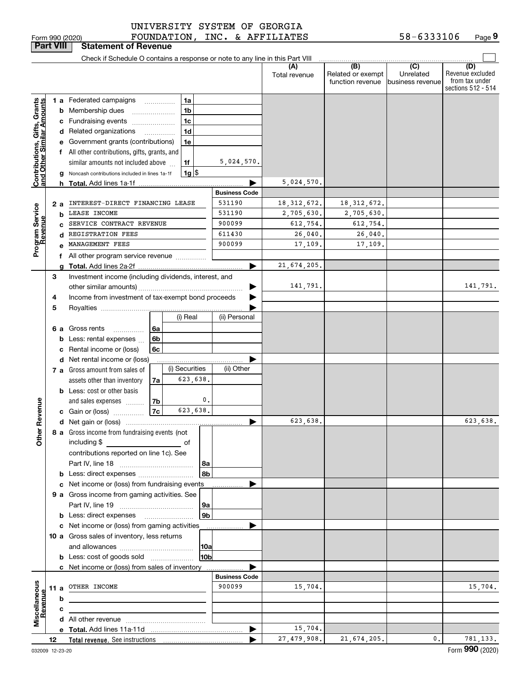|  | Form 990 (2020 |
|--|----------------|

**Part VIII Statement of Revenue**

# UNIVERSITY SYSTEM OF GEORGIA

Form 990 (2020) FOUNDATION,INC.& AFFILIATES 58-6333106 Page FOUNDATION, INC. & AFFILIATES

|                                                           |     |   | Check if Schedule O contains a response or note to any line in this Part VIII |                      |               |                                       |                  |                                    |
|-----------------------------------------------------------|-----|---|-------------------------------------------------------------------------------|----------------------|---------------|---------------------------------------|------------------|------------------------------------|
|                                                           |     |   |                                                                               |                      |               | (B)                                   | (C)              | (D)                                |
|                                                           |     |   |                                                                               |                      | Total revenue | Related or exempt<br>function revenue | Unrelated        | Revenue excluded<br>from tax under |
|                                                           |     |   |                                                                               |                      |               |                                       | business revenue | sections 512 - 514                 |
|                                                           |     |   | 1a<br>1 a Federated campaigns                                                 |                      |               |                                       |                  |                                    |
|                                                           |     |   | 1 <sub>b</sub><br><b>b</b> Membership dues<br>$\overline{\phantom{a}}$        |                      |               |                                       |                  |                                    |
|                                                           |     |   | 1 <sub>c</sub><br>c Fundraising events                                        |                      |               |                                       |                  |                                    |
|                                                           |     |   | 1 <sub>d</sub><br>d Related organizations                                     |                      |               |                                       |                  |                                    |
|                                                           |     |   | e Government grants (contributions)<br>1e                                     |                      |               |                                       |                  |                                    |
|                                                           |     |   | f All other contributions, gifts, grants, and                                 |                      |               |                                       |                  |                                    |
|                                                           |     |   | similar amounts not included above<br>1f                                      | 5,024,570.           |               |                                       |                  |                                    |
| Contributions, Gifts, Grants<br>and Other Similar Amounts |     |   | $1g$ $\frac{1}{3}$<br><b>g</b> Noncash contributions included in lines 1a-1f  |                      |               |                                       |                  |                                    |
|                                                           |     |   |                                                                               |                      | 5,024,570.    |                                       |                  |                                    |
|                                                           |     |   |                                                                               | <b>Business Code</b> |               |                                       |                  |                                    |
|                                                           | 2 a |   | INTEREST-DIRECT FINANCING LEASE                                               | 531190               | 18, 312, 672. | 18, 312, 672.                         |                  |                                    |
|                                                           |     | b | LEASE INCOME                                                                  | 531190               | 2,705,630.    | 2,705,630.                            |                  |                                    |
|                                                           |     |   | SERVICE CONTRACT REVENUE                                                      | 900099               | 612,754.      | 612,754.                              |                  |                                    |
|                                                           |     |   | REGISTRATION FEES                                                             | 611430               | 26,040.       | 26,040.                               |                  |                                    |
| Program Service<br>Revenue                                |     |   | MANAGEMENT FEES                                                               | 900099               | 17,109.       | 17,109.                               |                  |                                    |
|                                                           |     |   | f All other program service revenue                                           |                      |               |                                       |                  |                                    |
|                                                           |     |   |                                                                               |                      | 21,674,205.   |                                       |                  |                                    |
|                                                           | 3   |   | Investment income (including dividends, interest, and                         |                      |               |                                       |                  |                                    |
|                                                           |     |   |                                                                               |                      | 141,791.      |                                       |                  | 141,791.                           |
|                                                           | 4   |   | Income from investment of tax-exempt bond proceeds                            |                      |               |                                       |                  |                                    |
|                                                           | 5   |   |                                                                               |                      |               |                                       |                  |                                    |
|                                                           |     |   | (i) Real                                                                      | (ii) Personal        |               |                                       |                  |                                    |
|                                                           |     |   | 6 a Gross rents<br>6a                                                         |                      |               |                                       |                  |                                    |
|                                                           |     |   | 6 <sub>b</sub><br><b>b</b> Less: rental expenses                              |                      |               |                                       |                  |                                    |
|                                                           |     |   | 6c<br>c Rental income or (loss)                                               |                      |               |                                       |                  |                                    |
|                                                           |     |   | d Net rental income or (loss)                                                 |                      |               |                                       |                  |                                    |
|                                                           |     |   | (i) Securities<br><b>7 a</b> Gross amount from sales of                       | (ii) Other           |               |                                       |                  |                                    |
|                                                           |     |   | 623,638.<br>assets other than inventory<br>7a                                 |                      |               |                                       |                  |                                    |
|                                                           |     |   | <b>b</b> Less: cost or other basis                                            |                      |               |                                       |                  |                                    |
|                                                           |     |   | 0.<br>and sales expenses  7b                                                  |                      |               |                                       |                  |                                    |
| Revenue                                                   |     |   | <b>7c</b><br>623,638.<br>c Gain or (loss)                                     |                      |               |                                       |                  |                                    |
|                                                           |     |   |                                                                               |                      | 623,638.      |                                       |                  | 623,638.                           |
| Other                                                     |     |   | 8 a Gross income from fundraising events (not                                 |                      |               |                                       |                  |                                    |
|                                                           |     |   | including \$                                                                  |                      |               |                                       |                  |                                    |
|                                                           |     |   | contributions reported on line 1c). See                                       |                      |               |                                       |                  |                                    |
|                                                           |     |   | 8a                                                                            |                      |               |                                       |                  |                                    |
|                                                           |     |   | 8b                                                                            |                      |               |                                       |                  |                                    |
|                                                           |     |   | c Net income or (loss) from fundraising events                                |                      |               |                                       |                  |                                    |
|                                                           |     |   | 9 a Gross income from gaming activities. See                                  |                      |               |                                       |                  |                                    |
|                                                           |     |   | <b>9a</b>                                                                     |                      |               |                                       |                  |                                    |
|                                                           |     |   | 9 <sub>b</sub>                                                                |                      |               |                                       |                  |                                    |
|                                                           |     |   | c Net income or (loss) from gaming activities                                 |                      |               |                                       |                  |                                    |
|                                                           |     |   | 10 a Gross sales of inventory, less returns                                   |                      |               |                                       |                  |                                    |
|                                                           |     |   | 10a                                                                           |                      |               |                                       |                  |                                    |
|                                                           |     |   | 10 <sub>b</sub><br><b>b</b> Less: cost of goods sold                          |                      |               |                                       |                  |                                    |
|                                                           |     |   | <b>c</b> Net income or (loss) from sales of inventory                         | <b>Business Code</b> |               |                                       |                  |                                    |
|                                                           |     |   | 11 a OTHER INCOME                                                             | 900099               | 15,704.       |                                       |                  | 15,704.                            |
|                                                           |     | b |                                                                               |                      |               |                                       |                  |                                    |
|                                                           |     | с |                                                                               |                      |               |                                       |                  |                                    |
| Miscellaneous<br>Revenue                                  |     |   |                                                                               |                      |               |                                       |                  |                                    |
|                                                           |     |   |                                                                               |                      | 15,704.       |                                       |                  |                                    |
|                                                           | 12  |   |                                                                               |                      | 27,479,908.   | 21,674,205.                           | $\mathbf{0}$ .   | 781,133.                           |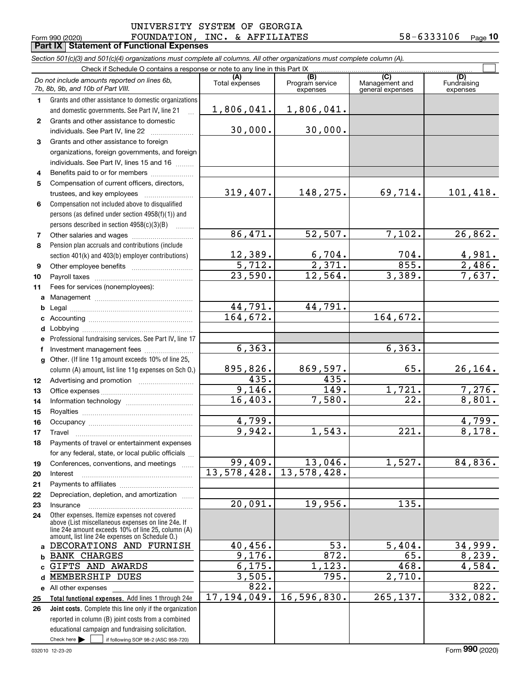## FOUNDATION, INC. & AFFILIATES 58-6333106 UNIVERSITY SYSTEM OF GEORGIA

|              | Section 501(c)(3) and 501(c)(4) organizations must complete all columns. All other organizations must complete column (A).                                                                                 |                          |                                    |                                           |                                |  |  |
|--------------|------------------------------------------------------------------------------------------------------------------------------------------------------------------------------------------------------------|--------------------------|------------------------------------|-------------------------------------------|--------------------------------|--|--|
|              | Check if Schedule O contains a response or note to any line in this Part IX                                                                                                                                |                          |                                    |                                           |                                |  |  |
|              | Do not include amounts reported on lines 6b,<br>7b, 8b, 9b, and 10b of Part VIII.                                                                                                                          | Total expenses           | (B)<br>Program service<br>expenses | (C)<br>Management and<br>general expenses | (D)<br>Fundraising<br>expenses |  |  |
| 1            | Grants and other assistance to domestic organizations                                                                                                                                                      |                          |                                    |                                           |                                |  |  |
|              | and domestic governments. See Part IV, line 21                                                                                                                                                             | 1,806,041.               | 1,806,041.                         |                                           |                                |  |  |
| $\mathbf{2}$ | Grants and other assistance to domestic                                                                                                                                                                    |                          |                                    |                                           |                                |  |  |
|              | individuals. See Part IV, line 22                                                                                                                                                                          | 30,000.                  | 30,000.                            |                                           |                                |  |  |
| 3            | Grants and other assistance to foreign                                                                                                                                                                     |                          |                                    |                                           |                                |  |  |
|              | organizations, foreign governments, and foreign                                                                                                                                                            |                          |                                    |                                           |                                |  |  |
|              | individuals. See Part IV, lines 15 and 16                                                                                                                                                                  |                          |                                    |                                           |                                |  |  |
| 4            | Benefits paid to or for members                                                                                                                                                                            |                          |                                    |                                           |                                |  |  |
| 5            | Compensation of current officers, directors,                                                                                                                                                               |                          |                                    |                                           |                                |  |  |
|              | trustees, and key employees                                                                                                                                                                                | 319,407.                 | 148,275.                           | 69,714.                                   | 101,418.                       |  |  |
| 6            | Compensation not included above to disqualified                                                                                                                                                            |                          |                                    |                                           |                                |  |  |
|              | persons (as defined under section 4958(f)(1)) and                                                                                                                                                          |                          |                                    |                                           |                                |  |  |
|              | persons described in section 4958(c)(3)(B)                                                                                                                                                                 |                          |                                    |                                           |                                |  |  |
| 7            |                                                                                                                                                                                                            | 86,471.                  | 52,507.                            | 7,102.                                    | 26,862.                        |  |  |
| 8            | Pension plan accruals and contributions (include                                                                                                                                                           |                          |                                    |                                           |                                |  |  |
|              | section 401(k) and 403(b) employer contributions)                                                                                                                                                          | $\frac{12,389.}{5,712.}$ | $\frac{6,704.}{2,371.}$            | 704.                                      | $\frac{4,981}{2,486}$          |  |  |
| 9            | Other employee benefits                                                                                                                                                                                    |                          |                                    | 855.                                      |                                |  |  |
| 10           |                                                                                                                                                                                                            | 23,590.                  | 12,564.                            | 3,389.                                    | 7,637.                         |  |  |
| 11           | Fees for services (nonemployees):                                                                                                                                                                          |                          |                                    |                                           |                                |  |  |
| a            |                                                                                                                                                                                                            |                          |                                    |                                           |                                |  |  |
| b            |                                                                                                                                                                                                            | 44, 791.                 | 44,791.                            |                                           |                                |  |  |
|              |                                                                                                                                                                                                            | 164,672.                 |                                    | 164,672.                                  |                                |  |  |
| d            |                                                                                                                                                                                                            |                          |                                    |                                           |                                |  |  |
| е            | Professional fundraising services. See Part IV, line 17                                                                                                                                                    |                          |                                    |                                           |                                |  |  |
| f            | Investment management fees                                                                                                                                                                                 | 6, 363.                  |                                    | 6, 363.                                   |                                |  |  |
| g            | Other. (If line 11g amount exceeds 10% of line 25,                                                                                                                                                         |                          |                                    |                                           |                                |  |  |
|              | column (A) amount, list line 11g expenses on Sch O.)                                                                                                                                                       | 895,826.                 | 869,597.                           | 65.                                       | 26,164.                        |  |  |
| 12           |                                                                                                                                                                                                            | 435.<br>9,146.           | 435.<br>149.                       |                                           |                                |  |  |
| 13           |                                                                                                                                                                                                            | 16,403.                  | 7,580.                             | 1,721.<br>22.                             | 7,276.<br>8,801.               |  |  |
| 14           |                                                                                                                                                                                                            |                          |                                    |                                           |                                |  |  |
| 15           |                                                                                                                                                                                                            | 4,799.                   |                                    |                                           | 4,799.                         |  |  |
| 16           |                                                                                                                                                                                                            | 9,942.                   | 1,543.                             | 221.                                      | 8,178.                         |  |  |
| 17           | Payments of travel or entertainment expenses                                                                                                                                                               |                          |                                    |                                           |                                |  |  |
| 18           | for any federal, state, or local public officials                                                                                                                                                          |                          |                                    |                                           |                                |  |  |
| 19           | Conferences, conventions, and meetings                                                                                                                                                                     | 99,409.                  | 13,046.                            | 1,527.                                    | 84,836.                        |  |  |
| 20           | Interest                                                                                                                                                                                                   | 13,578,428.              | 13,578,428.                        |                                           |                                |  |  |
| 21           |                                                                                                                                                                                                            |                          |                                    |                                           |                                |  |  |
| 22           | Depreciation, depletion, and amortization                                                                                                                                                                  |                          |                                    |                                           |                                |  |  |
| 23           | Insurance                                                                                                                                                                                                  | $\overline{20,091}$ .    | 19,956.                            | 135.                                      |                                |  |  |
| 24           | Other expenses. Itemize expenses not covered<br>above (List miscellaneous expenses on line 24e. If<br>line 24e amount exceeds 10% of line 25, column (A)<br>amount, list line 24e expenses on Schedule O.) |                          |                                    |                                           |                                |  |  |
| a            | DECORATIONS AND FURNISH                                                                                                                                                                                    | 40, 456.                 | 53.                                | 5,404.                                    | 34,999.                        |  |  |
|              | <b>BANK CHARGES</b>                                                                                                                                                                                        | 9,176.                   | 872.                               | 65.                                       | 8,239.                         |  |  |
|              | GIFTS AND AWARDS                                                                                                                                                                                           | 6,175.                   | 1,123.                             | 468.                                      | 4,584.                         |  |  |
| d            | MEMBERSHIP DUES                                                                                                                                                                                            | 3,505.                   | 795.                               | 2,710.                                    |                                |  |  |
|              | e All other expenses                                                                                                                                                                                       | 822.                     |                                    |                                           | 822.                           |  |  |
| 25           | Total functional expenses. Add lines 1 through 24e                                                                                                                                                         | 17, 194, 049.            | 16,596,830.                        | 265, 137.                                 | 332,082.                       |  |  |
| 26           | Joint costs. Complete this line only if the organization                                                                                                                                                   |                          |                                    |                                           |                                |  |  |
|              | reported in column (B) joint costs from a combined                                                                                                                                                         |                          |                                    |                                           |                                |  |  |
|              | educational campaign and fundraising solicitation.                                                                                                                                                         |                          |                                    |                                           |                                |  |  |
|              | Check here $\blacktriangleright$<br>if following SOP 98-2 (ASC 958-720)                                                                                                                                    |                          |                                    |                                           |                                |  |  |

032010 12-23-20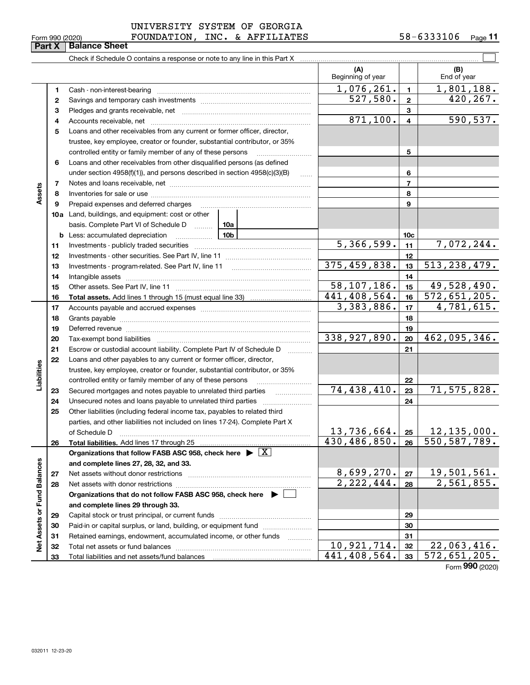**33**

Total liabilities and net assets/fund balances

| UNIVERSITY SYSTEM OF GEORGIA |  |                    |
|------------------------------|--|--------------------|
| $\blacksquare$               |  | . מה היה היה היה ה |

 $\mathcal{L}^{\text{max}}$ Check if Schedule O contains a response or note to any line in this Part X **(A) (B)** Beginning of year | | End of year  $1,076,261.$  1, 1,801,188. **11**Cash - non-interest-bearing ~~~~~~~~~~~~~~~~~~~~~~~~~  $527,580.$  2 420,267. **22**Savings and temporary cash investments ~~~~~~~~~~~~~~~~~~**33**Pledges and grants receivable, net ~~~~~~~~~~~~~~~~~~~~~ $871, 100. | 4 | 590, 537.$ Accounts receivable, net ~~~~~~~~~~~~~~~~~~~~~~~~~~ **44**Loans and other receivables from any current or former officer, director, **5**trustee, key employee, creator or founder, substantial contributor, or 35% controlled entity or family member of any of these persons ~~~~~~~~~ **56**Loans and other receivables from other disqualified persons (as defined under section  $4958(f)(1)$ , and persons described in section  $4958(c)(3)(B)$ **677**Notes and loans receivable, net ~~~~~~~~~~~~~~~~~~~~~~~ **Assets 88**Inventories for sale or use ~~~~~~~~~~~~~~~~~~~~~~~~~~Prepaid expenses and deferred charges **9910a**Land, buildings, and equipment: cost or other basis. Complete Part VI of Schedule D will aller **10cb** Less: accumulated depreciation  $\ldots$  **10b**  $5,366,599.$  11 7,072,244. **1111**Investments - publicly traded securities ~~~~~~~~~~~~~~~~~~~ **1212**Investments - other securities. See Part IV, line 11 ~~~~~~~~~~~~~~  $375,459,838.$   $13 \mid 513,238,479.$ **1313**Investments - program-related. See Part IV, line 11 ~~~~~~~~~~~~~**1414**Intangible assets ~~~~~~~~~~~~~~~~~~~~~~~~~~~~~~ Other assets. See Part IV, line 11 ~~~~~~~~~~~~~~~~~~~~~~ 58,107,186. 49,528,490. **1515**441,408,564. 16 572,651,205. **1616Total assets.**  Add lines 1 through 15 (must equal line 33)  $3,383,886.$   $|17|$  4,781,615. **1717**Accounts payable and accrued expenses ~~~~~~~~~~~~~~~~~~ **1818**Grants payable ~~~~~~~~~~~~~~~~~~~~~~~~~~~~~~~ **1919**Deferred revenue ~~~~~~~~~~~~~~~~~~~~~~~~~~~~~~ 338,927,890. 462,095,346. **2020**Tax-exempt bond liabilities …………………………………………………………… Escrow or custodial account liability. Complete Part IV of Schedule D **212122**Loans and other payables to any current or former officer, director, iabilities **Liabilities** trustee, key employee, creator or founder, substantial contributor, or 35% controlled entity or family member of any of these persons ~~~~~~~~~**22**74,438,410. 71,575,828. **23**Secured mortgages and notes payable to unrelated third parties **23**Unsecured notes and loans payable to unrelated third parties ~~~~~~~~ **242425**Other liabilities (including federal income tax, payables to related third parties, and other liabilities not included on lines 17-24). Complete Part X  $13,736,664.$  |  $25$  |  $12,135,000.$ **25**of Schedule D ~~~~~~~~~~~~~~~~~~~~~~~~~~~~~~~ 430,486,850. 550,587,789. **2626Total liabilities.**  Add lines 17 through 25 **Organizations that follow FASB ASC 958, check here** | X **Assets or Fund Balances Net Assets or Fund Balances and complete lines 27, 28, 32, and 33.**  $8,699,270. |z_7| 19,501,561.$ **2727**Net assets without donor restrictions ~~~~~~~~~~~~~~~~~~~~  $2,222,444. |28 | 2,561,855.$ **2828**Net assets with donor restrictions ~~~~~~~~~~~~~~~~~~~~~~ **Organizations that do not follow FASB ASC 958, check here** | **and complete lines 29 through 33. 2929**Capital stock or trust principal, or current funds ~~~~~~~~~~~~~~~**3030**Paid-in or capital surplus, or land, building, or equipment fund www.commun.com **3131**Retained earnings, endowment, accumulated income, or other funds www.com Total net assets or fund balances ~~~~~~~~~~~~~~~~~~~~~~ اقع<br>ح  $10,921,714.$   $32 \mid 22,063,416.$ **3232**441,408,564. 572,651,205. **33**

Form (2020) **990**

# **Part X** Balance Sheet

|  | Form 990 (2020) |
|--|-----------------|
|  |                 |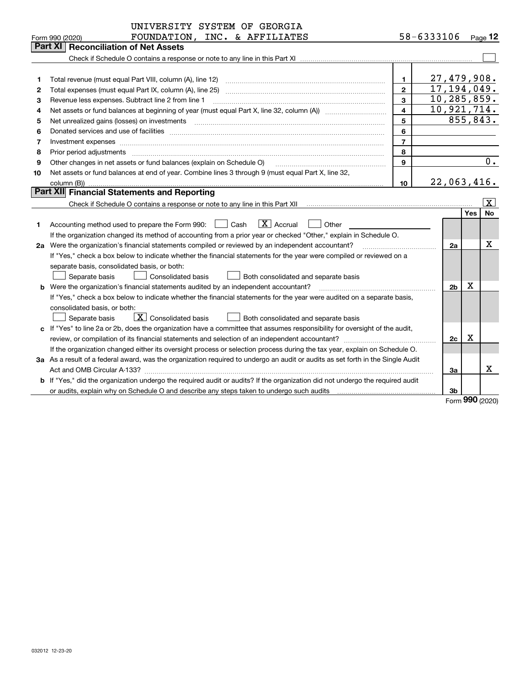|    | UNIVERSITY SYSTEM OF GEORGIA                                                                                                                                                                                                   |                         |                |     |                        |
|----|--------------------------------------------------------------------------------------------------------------------------------------------------------------------------------------------------------------------------------|-------------------------|----------------|-----|------------------------|
|    | FOUNDATION, INC. & AFFILIATES<br>Form 990 (2020)                                                                                                                                                                               |                         | 58-6333106     |     | Page 12                |
|    | <b>Reconciliation of Net Assets</b><br>Part XI                                                                                                                                                                                 |                         |                |     |                        |
|    |                                                                                                                                                                                                                                |                         |                |     |                        |
|    |                                                                                                                                                                                                                                |                         |                |     |                        |
| 1  |                                                                                                                                                                                                                                | 1                       | 27, 479, 908.  |     |                        |
| 2  |                                                                                                                                                                                                                                | $\mathbf{2}$            | 17, 194, 049.  |     |                        |
| З  | Revenue less expenses. Subtract line 2 from line 1                                                                                                                                                                             | 3                       | 10,285,859.    |     |                        |
| 4  |                                                                                                                                                                                                                                | $\overline{\mathbf{4}}$ | 10,921,714.    |     |                        |
| 5  |                                                                                                                                                                                                                                | 5                       |                |     | 855,843.               |
| 6  | Donated services and use of facilities [111] matter contracts and the facilities in the matter of facilities [11] matter contracts and use of facilities [11] matter contracts and the service of the service of the service o | 6                       |                |     |                        |
| 7  | Investment expenses www.communication.com/www.communication.com/www.communication.com/www.com                                                                                                                                  | $\overline{7}$          |                |     |                        |
| 8  | Prior period adjustments                                                                                                                                                                                                       | 8                       |                |     |                        |
| 9  | Other changes in net assets or fund balances (explain on Schedule O)                                                                                                                                                           | $\mathbf{Q}$            |                |     | 0.                     |
| 10 | Net assets or fund balances at end of year. Combine lines 3 through 9 (must equal Part X, line 32,                                                                                                                             |                         |                |     |                        |
|    | column (B))                                                                                                                                                                                                                    | 10                      | 22,063,416.    |     |                        |
|    | <b>Part XII</b> Financial Statements and Reporting                                                                                                                                                                             |                         |                |     |                        |
|    |                                                                                                                                                                                                                                |                         |                |     | $\vert \text{X} \vert$ |
|    |                                                                                                                                                                                                                                |                         |                | Yes | No                     |
| 1. | $\boxed{\text{X}}$ Accrual<br>Accounting method used to prepare the Form 990: <u>I</u> Cash<br>Other                                                                                                                           |                         |                |     |                        |
|    | If the organization changed its method of accounting from a prior year or checked "Other," explain in Schedule O.                                                                                                              |                         |                |     |                        |
|    | 2a Were the organization's financial statements compiled or reviewed by an independent accountant?                                                                                                                             |                         | 2a             |     | x                      |
|    | If "Yes," check a box below to indicate whether the financial statements for the year were compiled or reviewed on a                                                                                                           |                         |                |     |                        |
|    | separate basis, consolidated basis, or both:                                                                                                                                                                                   |                         |                |     |                        |
|    | Separate basis<br>Both consolidated and separate basis<br>Consolidated basis                                                                                                                                                   |                         |                |     |                        |
|    | <b>b</b> Were the organization's financial statements audited by an independent accountant?                                                                                                                                    |                         | 2 <sub>b</sub> | х   |                        |
|    | If "Yes," check a box below to indicate whether the financial statements for the year were audited on a separate basis,                                                                                                        |                         |                |     |                        |
|    | consolidated basis, or both:                                                                                                                                                                                                   |                         |                |     |                        |
|    | $\boxed{\textbf{X}}$ Consolidated basis<br>Separate basis<br>Both consolidated and separate basis                                                                                                                              |                         |                |     |                        |
|    | c If "Yes" to line 2a or 2b, does the organization have a committee that assumes responsibility for oversight of the audit,                                                                                                    |                         |                |     |                        |
|    |                                                                                                                                                                                                                                |                         | 2c             | X   |                        |
|    | If the organization changed either its oversight process or selection process during the tax year, explain on Schedule O.                                                                                                      |                         |                |     |                        |
|    | 3a As a result of a federal award, was the organization required to undergo an audit or audits as set forth in the Single Audit                                                                                                |                         |                |     |                        |
|    |                                                                                                                                                                                                                                |                         | 3a             |     | x.                     |
|    | b If "Yes," did the organization undergo the required audit or audits? If the organization did not undergo the required audit                                                                                                  |                         |                |     |                        |
|    | or audits, explain why on Schedule O and describe any steps taken to undergo such audits [11] outcome university on Schedule O and describe any steps taken to undergo such audits                                             |                         | 3b             |     |                        |
|    |                                                                                                                                                                                                                                |                         |                |     | Form 990 (2020)        |
|    |                                                                                                                                                                                                                                |                         |                |     |                        |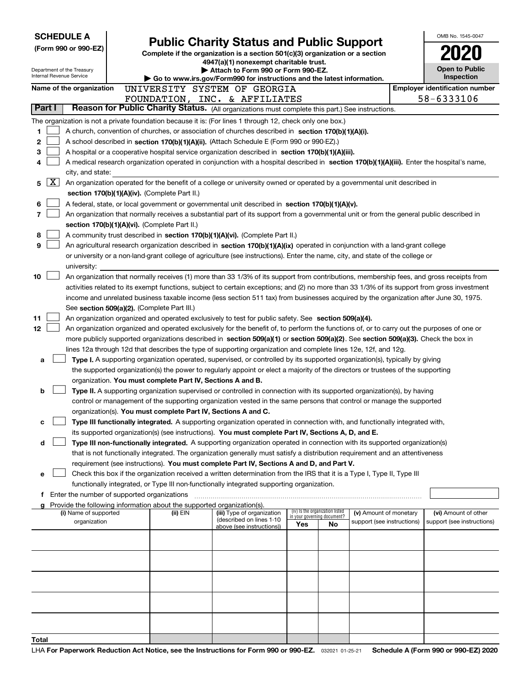| <b>SCHEDULE A</b>                                      |                                               |                                                                        |                                                                                                                                                                                                                                                                                       |                             |                                 |                            | OMB No. 1545-0047                     |
|--------------------------------------------------------|-----------------------------------------------|------------------------------------------------------------------------|---------------------------------------------------------------------------------------------------------------------------------------------------------------------------------------------------------------------------------------------------------------------------------------|-----------------------------|---------------------------------|----------------------------|---------------------------------------|
| (Form 990 or 990-EZ)                                   |                                               |                                                                        | <b>Public Charity Status and Public Support</b><br>Complete if the organization is a section 501(c)(3) organization or a section                                                                                                                                                      |                             |                                 |                            |                                       |
|                                                        |                                               |                                                                        | 4947(a)(1) nonexempt charitable trust.                                                                                                                                                                                                                                                |                             |                                 |                            |                                       |
| Department of the Treasury<br>Internal Revenue Service |                                               |                                                                        | Attach to Form 990 or Form 990-EZ.                                                                                                                                                                                                                                                    |                             |                                 |                            | Open to Public<br>Inspection          |
|                                                        |                                               |                                                                        | Go to www.irs.gov/Form990 for instructions and the latest information.                                                                                                                                                                                                                |                             |                                 |                            |                                       |
| Name of the organization                               |                                               |                                                                        | UNIVERSITY SYSTEM OF GEORGIA<br>FOUNDATION, INC. & AFFILIATES                                                                                                                                                                                                                         |                             |                                 |                            | <b>Employer identification number</b> |
| Part I                                                 |                                               |                                                                        | Reason for Public Charity Status. (All organizations must complete this part.) See instructions.                                                                                                                                                                                      |                             |                                 |                            | 58-6333106                            |
|                                                        |                                               |                                                                        | The organization is not a private foundation because it is: (For lines 1 through 12, check only one box.)                                                                                                                                                                             |                             |                                 |                            |                                       |
| 1                                                      |                                               |                                                                        | A church, convention of churches, or association of churches described in section 170(b)(1)(A)(i).                                                                                                                                                                                    |                             |                                 |                            |                                       |
| 2                                                      |                                               |                                                                        | A school described in section 170(b)(1)(A)(ii). (Attach Schedule E (Form 990 or 990-EZ).)                                                                                                                                                                                             |                             |                                 |                            |                                       |
| 3                                                      |                                               |                                                                        | A hospital or a cooperative hospital service organization described in section 170(b)(1)(A)(iii).                                                                                                                                                                                     |                             |                                 |                            |                                       |
| 4                                                      |                                               |                                                                        | A medical research organization operated in conjunction with a hospital described in section 170(b)(1)(A)(iii). Enter the hospital's name,                                                                                                                                            |                             |                                 |                            |                                       |
| city, and state:                                       |                                               |                                                                        |                                                                                                                                                                                                                                                                                       |                             |                                 |                            |                                       |
| X <br>5                                                |                                               |                                                                        | An organization operated for the benefit of a college or university owned or operated by a governmental unit described in                                                                                                                                                             |                             |                                 |                            |                                       |
|                                                        | section 170(b)(1)(A)(iv). (Complete Part II.) |                                                                        |                                                                                                                                                                                                                                                                                       |                             |                                 |                            |                                       |
| 6                                                      |                                               |                                                                        | A federal, state, or local government or governmental unit described in section 170(b)(1)(A)(v).                                                                                                                                                                                      |                             |                                 |                            |                                       |
| 7                                                      |                                               |                                                                        | An organization that normally receives a substantial part of its support from a governmental unit or from the general public described in                                                                                                                                             |                             |                                 |                            |                                       |
|                                                        | section 170(b)(1)(A)(vi). (Complete Part II.) |                                                                        |                                                                                                                                                                                                                                                                                       |                             |                                 |                            |                                       |
| 8                                                      |                                               |                                                                        | A community trust described in section 170(b)(1)(A)(vi). (Complete Part II.)                                                                                                                                                                                                          |                             |                                 |                            |                                       |
| 9                                                      |                                               |                                                                        | An agricultural research organization described in section 170(b)(1)(A)(ix) operated in conjunction with a land-grant college                                                                                                                                                         |                             |                                 |                            |                                       |
|                                                        |                                               |                                                                        | or university or a non-land-grant college of agriculture (see instructions). Enter the name, city, and state of the college or                                                                                                                                                        |                             |                                 |                            |                                       |
| university:                                            |                                               |                                                                        |                                                                                                                                                                                                                                                                                       |                             |                                 |                            |                                       |
| 10                                                     |                                               |                                                                        | An organization that normally receives (1) more than 33 1/3% of its support from contributions, membership fees, and gross receipts from                                                                                                                                              |                             |                                 |                            |                                       |
|                                                        |                                               |                                                                        | activities related to its exempt functions, subject to certain exceptions; and (2) no more than 33 1/3% of its support from gross investment<br>income and unrelated business taxable income (less section 511 tax) from businesses acquired by the organization after June 30, 1975. |                             |                                 |                            |                                       |
|                                                        | See section 509(a)(2). (Complete Part III.)   |                                                                        |                                                                                                                                                                                                                                                                                       |                             |                                 |                            |                                       |
| 11                                                     |                                               |                                                                        | An organization organized and operated exclusively to test for public safety. See section 509(a)(4).                                                                                                                                                                                  |                             |                                 |                            |                                       |
| 12                                                     |                                               |                                                                        | An organization organized and operated exclusively for the benefit of, to perform the functions of, or to carry out the purposes of one or                                                                                                                                            |                             |                                 |                            |                                       |
|                                                        |                                               |                                                                        | more publicly supported organizations described in section 509(a)(1) or section 509(a)(2). See section 509(a)(3). Check the box in                                                                                                                                                    |                             |                                 |                            |                                       |
|                                                        |                                               |                                                                        | lines 12a through 12d that describes the type of supporting organization and complete lines 12e, 12f, and 12g.                                                                                                                                                                        |                             |                                 |                            |                                       |
| a                                                      |                                               |                                                                        | Type I. A supporting organization operated, supervised, or controlled by its supported organization(s), typically by giving                                                                                                                                                           |                             |                                 |                            |                                       |
|                                                        |                                               |                                                                        | the supported organization(s) the power to regularly appoint or elect a majority of the directors or trustees of the supporting                                                                                                                                                       |                             |                                 |                            |                                       |
|                                                        |                                               | organization. You must complete Part IV, Sections A and B.             |                                                                                                                                                                                                                                                                                       |                             |                                 |                            |                                       |
| b                                                      |                                               |                                                                        | Type II. A supporting organization supervised or controlled in connection with its supported organization(s), by having                                                                                                                                                               |                             |                                 |                            |                                       |
|                                                        |                                               |                                                                        | control or management of the supporting organization vested in the same persons that control or manage the supported                                                                                                                                                                  |                             |                                 |                            |                                       |
|                                                        |                                               | organization(s). You must complete Part IV, Sections A and C.          |                                                                                                                                                                                                                                                                                       |                             |                                 |                            |                                       |
| с                                                      |                                               |                                                                        | Type III functionally integrated. A supporting organization operated in connection with, and functionally integrated with,                                                                                                                                                            |                             |                                 |                            |                                       |
| d                                                      |                                               |                                                                        | its supported organization(s) (see instructions). You must complete Part IV, Sections A, D, and E.<br>Type III non-functionally integrated. A supporting organization operated in connection with its supported organization(s)                                                       |                             |                                 |                            |                                       |
|                                                        |                                               |                                                                        | that is not functionally integrated. The organization generally must satisfy a distribution requirement and an attentiveness                                                                                                                                                          |                             |                                 |                            |                                       |
|                                                        |                                               |                                                                        | requirement (see instructions). You must complete Part IV, Sections A and D, and Part V.                                                                                                                                                                                              |                             |                                 |                            |                                       |
| е                                                      |                                               |                                                                        | Check this box if the organization received a written determination from the IRS that it is a Type I, Type II, Type III                                                                                                                                                               |                             |                                 |                            |                                       |
|                                                        |                                               |                                                                        | functionally integrated, or Type III non-functionally integrated supporting organization.                                                                                                                                                                                             |                             |                                 |                            |                                       |
| <b>f</b> Enter the number of supported organizations   |                                               |                                                                        |                                                                                                                                                                                                                                                                                       |                             |                                 |                            |                                       |
|                                                        |                                               | Provide the following information about the supported organization(s). |                                                                                                                                                                                                                                                                                       |                             |                                 |                            |                                       |
| (i) Name of supported                                  |                                               | (ii) EIN                                                               | (iii) Type of organization<br>(described on lines 1-10                                                                                                                                                                                                                                | in your governing document? | (iv) Is the organization listed | (v) Amount of monetary     | (vi) Amount of other                  |
| organization                                           |                                               |                                                                        | above (see instructions))                                                                                                                                                                                                                                                             | Yes                         | No                              | support (see instructions) | support (see instructions)            |
|                                                        |                                               |                                                                        |                                                                                                                                                                                                                                                                                       |                             |                                 |                            |                                       |
|                                                        |                                               |                                                                        |                                                                                                                                                                                                                                                                                       |                             |                                 |                            |                                       |
|                                                        |                                               |                                                                        |                                                                                                                                                                                                                                                                                       |                             |                                 |                            |                                       |
|                                                        |                                               |                                                                        |                                                                                                                                                                                                                                                                                       |                             |                                 |                            |                                       |
|                                                        |                                               |                                                                        |                                                                                                                                                                                                                                                                                       |                             |                                 |                            |                                       |
|                                                        |                                               |                                                                        |                                                                                                                                                                                                                                                                                       |                             |                                 |                            |                                       |
|                                                        |                                               |                                                                        |                                                                                                                                                                                                                                                                                       |                             |                                 |                            |                                       |
|                                                        |                                               |                                                                        |                                                                                                                                                                                                                                                                                       |                             |                                 |                            |                                       |
|                                                        |                                               |                                                                        |                                                                                                                                                                                                                                                                                       |                             |                                 |                            |                                       |
| Total                                                  |                                               |                                                                        |                                                                                                                                                                                                                                                                                       |                             |                                 |                            |                                       |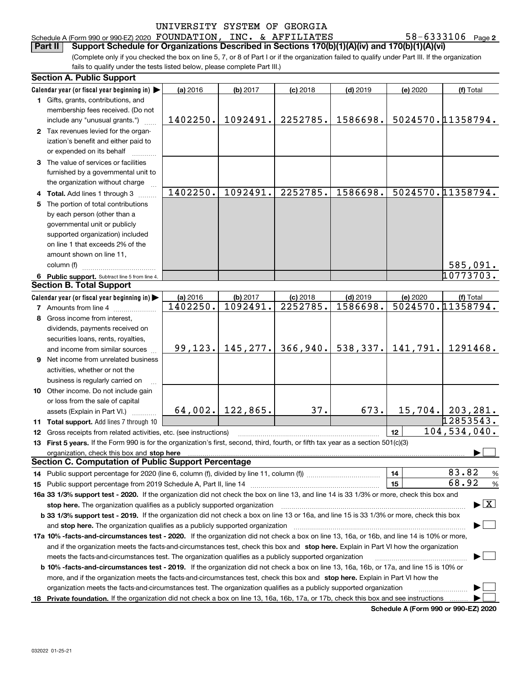|  |  | 20 FOUNDATION, INC. & AFFILIATES |  |  |  | $58 - 6333106$ Page 2 |  |
|--|--|----------------------------------|--|--|--|-----------------------|--|
|--|--|----------------------------------|--|--|--|-----------------------|--|

Schedule A (Form 990 or 990-EZ) 20 **Part II Support Schedule for Organizations Described in Sections 170(b)(1)(A)(iv) and 170(b)(1)(A)(vi)**

(Complete only if you checked the box on line 5, 7, or 8 of Part I or if the organization failed to qualify under Part III. If the organization fails to qualify under the tests listed below, please complete Part III.)

| <b>Section A. Public Support</b>                                                                                                                                                                                       |          |                    |            |            |          |                                          |
|------------------------------------------------------------------------------------------------------------------------------------------------------------------------------------------------------------------------|----------|--------------------|------------|------------|----------|------------------------------------------|
| Calendar year (or fiscal year beginning in)                                                                                                                                                                            | (a) 2016 | (b) 2017           | $(c)$ 2018 | $(d)$ 2019 | (e) 2020 | (f) Total                                |
| 1 Gifts, grants, contributions, and                                                                                                                                                                                    |          |                    |            |            |          |                                          |
| membership fees received. (Do not                                                                                                                                                                                      |          |                    |            |            |          |                                          |
| include any "unusual grants.")                                                                                                                                                                                         | 1402250. | 1092491.           | 2252785.   | 1586698.   |          | 5024570.11358794.                        |
| 2 Tax revenues levied for the organ-                                                                                                                                                                                   |          |                    |            |            |          |                                          |
| ization's benefit and either paid to                                                                                                                                                                                   |          |                    |            |            |          |                                          |
| or expended on its behalf                                                                                                                                                                                              |          |                    |            |            |          |                                          |
| 3 The value of services or facilities                                                                                                                                                                                  |          |                    |            |            |          |                                          |
| furnished by a governmental unit to                                                                                                                                                                                    |          |                    |            |            |          |                                          |
| the organization without charge                                                                                                                                                                                        |          |                    |            |            |          |                                          |
| 4 Total. Add lines 1 through 3                                                                                                                                                                                         | 1402250. | 1092491.           | 2252785.   | 1586698.   |          | 5024570.11358794.                        |
| 5 The portion of total contributions                                                                                                                                                                                   |          |                    |            |            |          |                                          |
| by each person (other than a                                                                                                                                                                                           |          |                    |            |            |          |                                          |
| governmental unit or publicly                                                                                                                                                                                          |          |                    |            |            |          |                                          |
| supported organization) included                                                                                                                                                                                       |          |                    |            |            |          |                                          |
| on line 1 that exceeds 2% of the                                                                                                                                                                                       |          |                    |            |            |          |                                          |
| amount shown on line 11,                                                                                                                                                                                               |          |                    |            |            |          |                                          |
| column (f)                                                                                                                                                                                                             |          |                    |            |            |          | 585,091.                                 |
| 6 Public support. Subtract line 5 from line 4.                                                                                                                                                                         |          |                    |            |            |          | 10773703.                                |
| <b>Section B. Total Support</b>                                                                                                                                                                                        |          |                    |            |            |          |                                          |
| Calendar year (or fiscal year beginning in)                                                                                                                                                                            | (a) 2016 | (b) 2017           | $(c)$ 2018 | $(d)$ 2019 | (e) 2020 | (f) Total                                |
| <b>7</b> Amounts from line 4                                                                                                                                                                                           | 1402250. | 1092491.           | 2252785.   | 1586698.   |          | 5024570.11358794.                        |
| 8 Gross income from interest,                                                                                                                                                                                          |          |                    |            |            |          |                                          |
| dividends, payments received on                                                                                                                                                                                        |          |                    |            |            |          |                                          |
| securities loans, rents, royalties,                                                                                                                                                                                    |          |                    |            |            |          |                                          |
| and income from similar sources                                                                                                                                                                                        | 99, 123. | 145, 277.          | 366,940.   | 538,337.   | 141,791. | 1291468.                                 |
| 9 Net income from unrelated business                                                                                                                                                                                   |          |                    |            |            |          |                                          |
| activities, whether or not the                                                                                                                                                                                         |          |                    |            |            |          |                                          |
| business is regularly carried on                                                                                                                                                                                       |          |                    |            |            |          |                                          |
| 10 Other income. Do not include gain                                                                                                                                                                                   |          |                    |            |            |          |                                          |
| or loss from the sale of capital                                                                                                                                                                                       |          |                    |            |            |          |                                          |
|                                                                                                                                                                                                                        |          | $64,002.$ 122,865. | 37.        | 673.       |          | $15,704.$ 203, 281.                      |
| assets (Explain in Part VI.) <b>Constant</b><br>11 Total support. Add lines 7 through 10                                                                                                                               |          |                    |            |            |          | 12853543.                                |
|                                                                                                                                                                                                                        |          |                    |            |            | 12       | 104, 534, 040.                           |
| 12 Gross receipts from related activities, etc. (see instructions)                                                                                                                                                     |          |                    |            |            |          |                                          |
| 13 First 5 years. If the Form 990 is for the organization's first, second, third, fourth, or fifth tax year as a section 501(c)(3)                                                                                     |          |                    |            |            |          |                                          |
| organization, check this box and stop here<br><b>Section C. Computation of Public Support Percentage</b>                                                                                                               |          |                    |            |            |          |                                          |
|                                                                                                                                                                                                                        |          |                    |            |            | 14       | 83.82<br>$\frac{9}{6}$                   |
|                                                                                                                                                                                                                        |          |                    |            |            | 15       | 68.92<br>%                               |
| 16a 33 1/3% support test - 2020. If the organization did not check the box on line 13, and line 14 is 33 1/3% or more, check this box and                                                                              |          |                    |            |            |          |                                          |
|                                                                                                                                                                                                                        |          |                    |            |            |          | $\blacktriangleright$ $\boxed{\text{X}}$ |
| stop here. The organization qualifies as a publicly supported organization<br>b 33 1/3% support test - 2019. If the organization did not check a box on line 13 or 16a, and line 15 is 33 1/3% or more, check this box |          |                    |            |            |          |                                          |
|                                                                                                                                                                                                                        |          |                    |            |            |          |                                          |
| and stop here. The organization qualifies as a publicly supported organization                                                                                                                                         |          |                    |            |            |          |                                          |
| 17a 10% -facts-and-circumstances test - 2020. If the organization did not check a box on line 13, 16a, or 16b, and line 14 is 10% or more,                                                                             |          |                    |            |            |          |                                          |
| and if the organization meets the facts-and-circumstances test, check this box and stop here. Explain in Part VI how the organization                                                                                  |          |                    |            |            |          |                                          |
| meets the facts-and-circumstances test. The organization qualifies as a publicly supported organization                                                                                                                |          |                    |            |            |          |                                          |
| <b>b 10% -facts-and-circumstances test - 2019.</b> If the organization did not check a box on line 13, 16a, 16b, or 17a, and line 15 is 10% or                                                                         |          |                    |            |            |          |                                          |
| more, and if the organization meets the facts-and-circumstances test, check this box and stop here. Explain in Part VI how the                                                                                         |          |                    |            |            |          |                                          |
| organization meets the facts-and-circumstances test. The organization qualifies as a publicly supported organization                                                                                                   |          |                    |            |            |          |                                          |
| 18 Private foundation. If the organization did not check a box on line 13, 16a, 16b, 17a, or 17b, check this box and see instructions                                                                                  |          |                    |            |            |          |                                          |

**Schedule A (Form 990 or 990-EZ) 2020**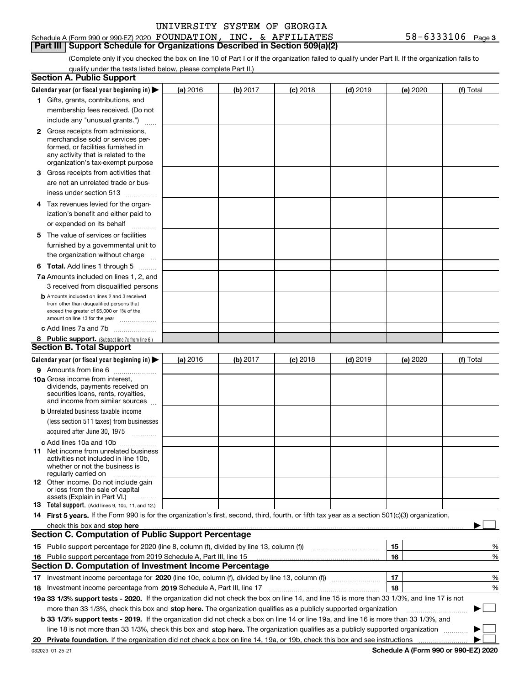| UNIVERSITY SYSTEM OF GEORGIA |  |  |  |  |
|------------------------------|--|--|--|--|
|------------------------------|--|--|--|--|

#### Schedule A (Form 990 or 990-EZ) 2020 FOUNDATION, **Part III Support Schedule for Organizations Described in Section 509(a)(2)**  INC. & AFFILIATES

(Complete only if you checked the box on line 10 of Part I or if the organization failed to qualify under Part II. If the organization fails to qualify under the tests listed below, please complete Part II.)

|    | <b>Section A. Public Support</b>                                                                                                                 |          |          |            |            |          |           |
|----|--------------------------------------------------------------------------------------------------------------------------------------------------|----------|----------|------------|------------|----------|-----------|
|    | Calendar year (or fiscal year beginning in) $\blacktriangleright$                                                                                | (a) 2016 | (b) 2017 | $(c)$ 2018 | $(d)$ 2019 | (e) 2020 | (f) Total |
|    | 1 Gifts, grants, contributions, and                                                                                                              |          |          |            |            |          |           |
|    | membership fees received. (Do not                                                                                                                |          |          |            |            |          |           |
|    | include any "unusual grants.")                                                                                                                   |          |          |            |            |          |           |
|    | <b>2</b> Gross receipts from admissions,                                                                                                         |          |          |            |            |          |           |
|    | merchandise sold or services per-                                                                                                                |          |          |            |            |          |           |
|    | formed, or facilities furnished in                                                                                                               |          |          |            |            |          |           |
|    | any activity that is related to the<br>organization's tax-exempt purpose                                                                         |          |          |            |            |          |           |
|    | 3 Gross receipts from activities that                                                                                                            |          |          |            |            |          |           |
|    | are not an unrelated trade or bus-                                                                                                               |          |          |            |            |          |           |
|    | iness under section 513                                                                                                                          |          |          |            |            |          |           |
|    |                                                                                                                                                  |          |          |            |            |          |           |
|    | 4 Tax revenues levied for the organ-                                                                                                             |          |          |            |            |          |           |
|    | ization's benefit and either paid to                                                                                                             |          |          |            |            |          |           |
|    | or expended on its behalf<br>.                                                                                                                   |          |          |            |            |          |           |
|    | 5 The value of services or facilities                                                                                                            |          |          |            |            |          |           |
|    | furnished by a governmental unit to                                                                                                              |          |          |            |            |          |           |
|    | the organization without charge                                                                                                                  |          |          |            |            |          |           |
|    | <b>6 Total.</b> Add lines 1 through 5                                                                                                            |          |          |            |            |          |           |
|    | 7a Amounts included on lines 1, 2, and                                                                                                           |          |          |            |            |          |           |
|    | 3 received from disqualified persons                                                                                                             |          |          |            |            |          |           |
|    | <b>b</b> Amounts included on lines 2 and 3 received                                                                                              |          |          |            |            |          |           |
|    | from other than disqualified persons that<br>exceed the greater of \$5,000 or 1% of the                                                          |          |          |            |            |          |           |
|    | amount on line 13 for the year                                                                                                                   |          |          |            |            |          |           |
|    | c Add lines 7a and 7b                                                                                                                            |          |          |            |            |          |           |
|    | 8 Public support. (Subtract line 7c from line 6.)                                                                                                |          |          |            |            |          |           |
|    | <b>Section B. Total Support</b>                                                                                                                  |          |          |            |            |          |           |
|    | Calendar year (or fiscal year beginning in)                                                                                                      | (a) 2016 | (b) 2017 | $(c)$ 2018 | $(d)$ 2019 | (e) 2020 | (f) Total |
|    | 9 Amounts from line 6                                                                                                                            |          |          |            |            |          |           |
|    | 10a Gross income from interest,                                                                                                                  |          |          |            |            |          |           |
|    | dividends, payments received on                                                                                                                  |          |          |            |            |          |           |
|    | securities loans, rents, royalties,<br>and income from similar sources                                                                           |          |          |            |            |          |           |
|    | <b>b</b> Unrelated business taxable income                                                                                                       |          |          |            |            |          |           |
|    | (less section 511 taxes) from businesses                                                                                                         |          |          |            |            |          |           |
|    | acquired after June 30, 1975                                                                                                                     |          |          |            |            |          |           |
|    |                                                                                                                                                  |          |          |            |            |          |           |
|    | c Add lines 10a and 10b<br>11 Net income from unrelated business                                                                                 |          |          |            |            |          |           |
|    | activities not included in line 10b,                                                                                                             |          |          |            |            |          |           |
|    | whether or not the business is                                                                                                                   |          |          |            |            |          |           |
|    | regularly carried on                                                                                                                             |          |          |            |            |          |           |
|    | <b>12</b> Other income. Do not include gain<br>or loss from the sale of capital                                                                  |          |          |            |            |          |           |
|    | assets (Explain in Part VI.)                                                                                                                     |          |          |            |            |          |           |
|    | 13 Total support. (Add lines 9, 10c, 11, and 12.)                                                                                                |          |          |            |            |          |           |
|    | 14 First 5 years. If the Form 990 is for the organization's first, second, third, fourth, or fifth tax year as a section 501(c)(3) organization, |          |          |            |            |          |           |
|    | check this box and stop here <i>macuum content and accordination and accordination and stop here</i> macuum content and                          |          |          |            |            |          |           |
|    | <b>Section C. Computation of Public Support Percentage</b>                                                                                       |          |          |            |            |          |           |
|    | 15 Public support percentage for 2020 (line 8, column (f), divided by line 13, column (f))                                                       |          |          |            |            | 15       | %         |
|    | 16 Public support percentage from 2019 Schedule A, Part III, line 15                                                                             |          |          |            |            | 16       | %         |
|    | <b>Section D. Computation of Investment Income Percentage</b>                                                                                    |          |          |            |            |          |           |
|    | 17 Investment income percentage for 2020 (line 10c, column (f), divided by line 13, column (f))                                                  |          |          |            |            | 17       | %         |
|    | 18 Investment income percentage from 2019 Schedule A, Part III, line 17                                                                          |          |          |            |            | 18       | %         |
|    | 19a 33 1/3% support tests - 2020. If the organization did not check the box on line 14, and line 15 is more than 33 1/3%, and line 17 is not     |          |          |            |            |          |           |
|    | more than 33 1/3%, check this box and stop here. The organization qualifies as a publicly supported organization                                 |          |          |            |            |          | $\sim$ 1  |
|    | b 33 1/3% support tests - 2019. If the organization did not check a box on line 14 or line 19a, and line 16 is more than 33 1/3%, and            |          |          |            |            |          |           |
|    | line 18 is not more than 33 1/3%, check this box and stop here. The organization qualifies as a publicly supported organization                  |          |          |            |            |          |           |
| 20 |                                                                                                                                                  |          |          |            |            |          |           |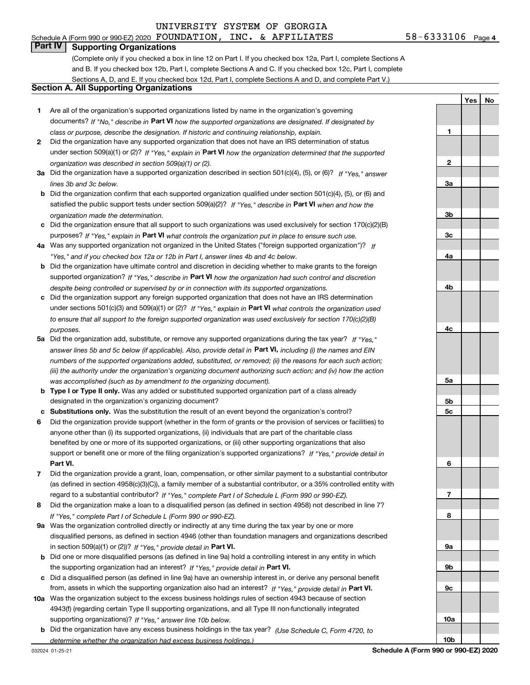# Schedule A (Form 990 or 990-EZ) 2020 Page FOUNDATION, INC. & AFFILIATES 58-6333106

**Part IV Supporting Organizations**

(Complete only if you checked a box in line 12 on Part I. If you checked box 12a, Part I, complete Sections A and B. If you checked box 12b, Part I, complete Sections A and C. If you checked box 12c, Part I, complete Sections A, D, and E. If you checked box 12d, Part I, complete Sections A and D, and complete Part V.)

# **Section A. All Supporting Organizations**

- **1** Are all of the organization's supported organizations listed by name in the organization's governing documents? If "No," describe in **Part VI** how the supported organizations are designated. If designated by *class or purpose, describe the designation. If historic and continuing relationship, explain.*
- **2** Did the organization have any supported organization that does not have an IRS determination of status under section 509(a)(1) or (2)? If "Yes," explain in Part VI how the organization determined that the supported *organization was described in section 509(a)(1) or (2).*
- **3a** Did the organization have a supported organization described in section 501(c)(4), (5), or (6)? If "Yes," answer *lines 3b and 3c below.*
- **b** Did the organization confirm that each supported organization qualified under section 501(c)(4), (5), or (6) and satisfied the public support tests under section 509(a)(2)? If "Yes," describe in **Part VI** when and how the *organization made the determination.*
- **c**Did the organization ensure that all support to such organizations was used exclusively for section 170(c)(2)(B) purposes? If "Yes," explain in **Part VI** what controls the organization put in place to ensure such use.
- **4a***If* Was any supported organization not organized in the United States ("foreign supported organization")? *"Yes," and if you checked box 12a or 12b in Part I, answer lines 4b and 4c below.*
- **b** Did the organization have ultimate control and discretion in deciding whether to make grants to the foreign supported organization? If "Yes," describe in **Part VI** how the organization had such control and discretion *despite being controlled or supervised by or in connection with its supported organizations.*
- **c** Did the organization support any foreign supported organization that does not have an IRS determination under sections 501(c)(3) and 509(a)(1) or (2)? If "Yes," explain in **Part VI** what controls the organization used *to ensure that all support to the foreign supported organization was used exclusively for section 170(c)(2)(B) purposes.*
- **5a***If "Yes,"* Did the organization add, substitute, or remove any supported organizations during the tax year? answer lines 5b and 5c below (if applicable). Also, provide detail in **Part VI,** including (i) the names and EIN *numbers of the supported organizations added, substituted, or removed; (ii) the reasons for each such action; (iii) the authority under the organization's organizing document authorizing such action; and (iv) how the action was accomplished (such as by amendment to the organizing document).*
- **b** Type I or Type II only. Was any added or substituted supported organization part of a class already designated in the organization's organizing document?
- **cSubstitutions only.**  Was the substitution the result of an event beyond the organization's control?
- **6** Did the organization provide support (whether in the form of grants or the provision of services or facilities) to **Part VI.** *If "Yes," provide detail in* support or benefit one or more of the filing organization's supported organizations? anyone other than (i) its supported organizations, (ii) individuals that are part of the charitable class benefited by one or more of its supported organizations, or (iii) other supporting organizations that also
- **7**Did the organization provide a grant, loan, compensation, or other similar payment to a substantial contributor *If "Yes," complete Part I of Schedule L (Form 990 or 990-EZ).* regard to a substantial contributor? (as defined in section 4958(c)(3)(C)), a family member of a substantial contributor, or a 35% controlled entity with
- **8** Did the organization make a loan to a disqualified person (as defined in section 4958) not described in line 7? *If "Yes," complete Part I of Schedule L (Form 990 or 990-EZ).*
- **9a** Was the organization controlled directly or indirectly at any time during the tax year by one or more in section 509(a)(1) or (2))? If "Yes," *provide detail in* <code>Part VI.</code> disqualified persons, as defined in section 4946 (other than foundation managers and organizations described
- **b** Did one or more disqualified persons (as defined in line 9a) hold a controlling interest in any entity in which the supporting organization had an interest? If "Yes," provide detail in P**art VI**.
- **c**Did a disqualified person (as defined in line 9a) have an ownership interest in, or derive any personal benefit from, assets in which the supporting organization also had an interest? If "Yes," provide detail in P**art VI.**
- **10a** Was the organization subject to the excess business holdings rules of section 4943 because of section supporting organizations)? If "Yes," answer line 10b below. 4943(f) (regarding certain Type II supporting organizations, and all Type III non-functionally integrated
- **b** Did the organization have any excess business holdings in the tax year? (Use Schedule C, Form 4720, to *determine whether the organization had excess business holdings.)*

032024 01-25-21

**Schedule A (Form 990 or 990-EZ) 2020**

**1**

**2**

**3a**

**3b**

**3c**

**4a**

**4b**

**4c**

**5a**

**5b5c**

**6**

**7**

**8**

**9a**

**9b**

**9c**

**10a**

**10b**

**YesNo**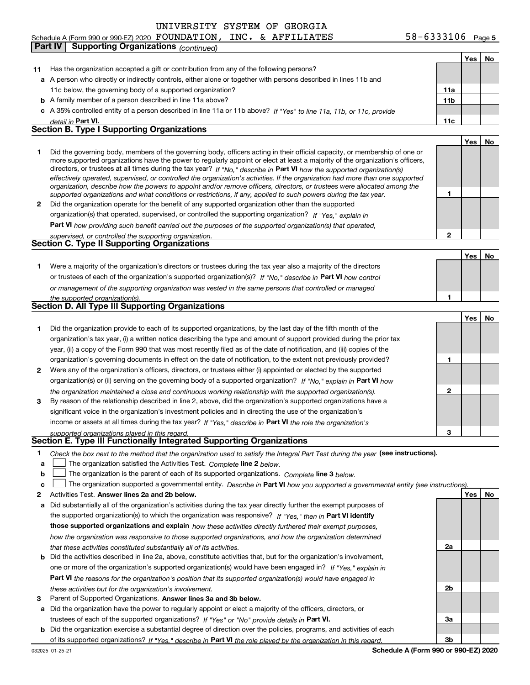#### **Yes No 11** Has the organization accepted a gift or contribution from any of the following persons? **a**A person who directly or indirectly controls, either alone or together with persons described in lines 11b and **b** A family member of a person described in line 11a above? **c** A 35% controlled entity of a person described in line 11a or 11b above? If "Yes" to line 11a, 11b, or 11c, provide **11a11bPart VI. 11c Yes No** *detail in*  Schedule A (Form 990 or 990-EZ) 2020 FOUNDATION, 11c below, the governing body of a supported organization? **Part IV Supporting Organizations** *(continued)* **Section B. Type I Supporting Organizations** INC. & AFFILIATES

|              |                                                                                                                                                                                                                                                                                                                                                                                                                                                                                                                                                                                                                                                      |  | $\cdot\,$ |
|--------------|------------------------------------------------------------------------------------------------------------------------------------------------------------------------------------------------------------------------------------------------------------------------------------------------------------------------------------------------------------------------------------------------------------------------------------------------------------------------------------------------------------------------------------------------------------------------------------------------------------------------------------------------------|--|-----------|
|              | Did the governing body, members of the governing body, officers acting in their official capacity, or membership of one or<br>more supported organizations have the power to regularly appoint or elect at least a majority of the organization's officers,<br>directors, or trustees at all times during the tax year? If "No," describe in Part VI how the supported organization(s)<br>effectively operated, supervised, or controlled the organization's activities. If the organization had more than one supported<br>organization, describe how the powers to appoint and/or remove officers, directors, or trustees were allocated among the |  |           |
|              | supported organizations and what conditions or restrictions, if any, applied to such powers during the tax year.                                                                                                                                                                                                                                                                                                                                                                                                                                                                                                                                     |  |           |
| $\mathbf{2}$ | Did the organization operate for the benefit of any supported organization other than the supported                                                                                                                                                                                                                                                                                                                                                                                                                                                                                                                                                  |  |           |
|              | organization(s) that operated, supervised, or controlled the supporting organization? If "Yes," explain in                                                                                                                                                                                                                                                                                                                                                                                                                                                                                                                                           |  |           |
|              | Part VI how providing such benefit carried out the purposes of the supported organization(s) that operated,                                                                                                                                                                                                                                                                                                                                                                                                                                                                                                                                          |  |           |

*supervised, or controlled the supporting organization.* **Section C. Type II Supporting Organizations**

**Yes1** Were a majority of the organization's directors or trustees during the tax year also a majority of the directors or trustees of each of the organization's supported organization(s)? If "No," describe in **Part VI** how control **1***or management of the supporting organization was vested in the same persons that controlled or managed the supported organization(s).* **Section D. All Type III Supporting Organizations**

| 0000000 D. All Type III 00pp010119 Organizations |                                                                                                                        |   |     |  |  |  |  |
|--------------------------------------------------|------------------------------------------------------------------------------------------------------------------------|---|-----|--|--|--|--|
|                                                  |                                                                                                                        |   | Yes |  |  |  |  |
|                                                  | Did the organization provide to each of its supported organizations, by the last day of the fifth month of the         |   |     |  |  |  |  |
|                                                  | organization's tax year, (i) a written notice describing the type and amount of support provided during the prior tax  |   |     |  |  |  |  |
|                                                  | year, (ii) a copy of the Form 990 that was most recently filed as of the date of notification, and (iii) copies of the |   |     |  |  |  |  |
|                                                  | organization's governing documents in effect on the date of notification, to the extent not previously provided?       |   |     |  |  |  |  |
| 2                                                | Were any of the organization's officers, directors, or trustees either (i) appointed or elected by the supported       |   |     |  |  |  |  |
|                                                  | organization(s) or (ii) serving on the governing body of a supported organization? If "No," explain in Part VI how     |   |     |  |  |  |  |
|                                                  | the organization maintained a close and continuous working relationship with the supported organization(s).            | 2 |     |  |  |  |  |
| 3                                                | By reason of the relationship described in line 2, above, did the organization's supported organizations have a        |   |     |  |  |  |  |
|                                                  |                                                                                                                        |   |     |  |  |  |  |

income or assets at all times during the tax year? If "Yes," describe in **Part VI** the role the organization's significant voice in the organization's investment policies and in directing the use of the organization's

#### *supported organizations played in this regard.* **Section E. Type III Functionally Integrated Supporting Organizations**

- **1**Check the box next to the method that the organization used to satisfy the Integral Part Test during the year (see instructions).
- **alinupy** The organization satisfied the Activities Test. Complete line 2 below.
- **b**The organization is the parent of each of its supported organizations. *Complete* line 3 *below.*  $\mathcal{L}^{\text{max}}$

|  |  |  | $\epsilon$ The organization supported a governmental entity. Describe in Part VI how you supported a governmental entity (see instructions). |  |
|--|--|--|----------------------------------------------------------------------------------------------------------------------------------------------|--|
|--|--|--|----------------------------------------------------------------------------------------------------------------------------------------------|--|

- **2Answer lines 2a and 2b below. Yes No** Activities Test.
- **a** Did substantially all of the organization's activities during the tax year directly further the exempt purposes of the supported organization(s) to which the organization was responsive? If "Yes," then in **Part VI identify those supported organizations and explain**  *how these activities directly furthered their exempt purposes, how the organization was responsive to those supported organizations, and how the organization determined that these activities constituted substantially all of its activities.*
- **b** Did the activities described in line 2a, above, constitute activities that, but for the organization's involvement, **Part VI**  *the reasons for the organization's position that its supported organization(s) would have engaged in* one or more of the organization's supported organization(s) would have been engaged in? If "Yes," e*xplain in these activities but for the organization's involvement.*
- **3**Parent of Supported Organizations. Answer lines 3a and 3b below.

**a** Did the organization have the power to regularly appoint or elect a majority of the officers, directors, or trustees of each of the supported organizations? If "Yes" or "No" provide details in P**art VI.** 

**b** Did the organization exercise a substantial degree of direction over the policies, programs, and activities of each of its supported organizations? If "Yes," describe in Part VI the role played by the organization in this regard.

**2**

**3**

**No**

**No**

**3a**

**2a**

**2b**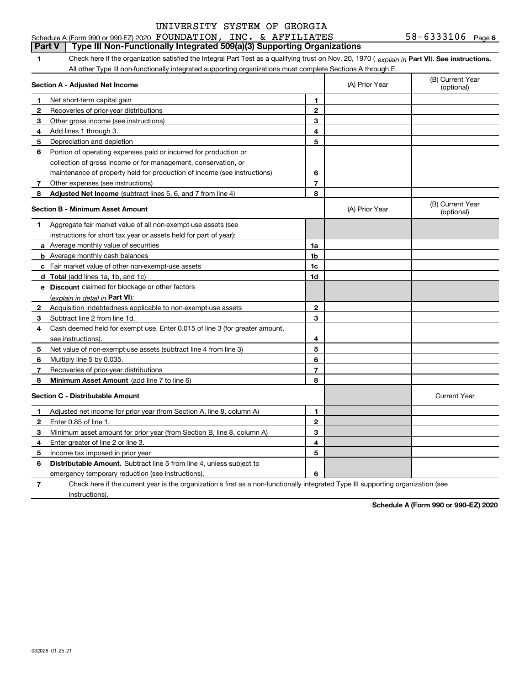#### **1Part VI** Check here if the organization satisfied the Integral Part Test as a qualifying trust on Nov. 20, 1970 ( *explain in* Part VI). See instructions.<br>All other Type III pen functionally integrated supporting examizat **Section A - Adjusted Net Income 123** Other gross income (see instructions) **4**Add lines 1 through 3. **56** Portion of operating expenses paid or incurred for production or **7** Other expenses (see instructions) **8** Adjusted Net Income (subtract lines 5, 6, and 7 from line 4) **8 8 1234567Section B - Minimum Asset Amount 1**Aggregate fair market value of all non-exempt-use assets (see **2**Acquisition indebtedness applicable to non-exempt-use assets **3** Subtract line 2 from line 1d. **4**Cash deemed held for exempt use. Enter 0.015 of line 3 (for greater amount, **5** Net value of non-exempt-use assets (subtract line 4 from line 3) **678a** Average monthly value of securities **b** Average monthly cash balances **c**Fair market value of other non-exempt-use assets **dTotal**  (add lines 1a, 1b, and 1c) **eDiscount** claimed for blockage or other factors **1a1b1c1d2345678**<u>(explain in detail in **Part VI**):</u> **Minimum Asset Amount**  (add line 7 to line 6) **Section C - Distributable Amount 123456123456Distributable Amount.** Subtract line 5 from line 4, unless subject to All other Type III non-functionally integrated supporting organizations must complete Sections A through E. (B) Current Year (optional)(A) Prior Year Net short-term capital gain Recoveries of prior-year distributions Depreciation and depletion collection of gross income or for management, conservation, or maintenance of property held for production of income (see instructions) (B) Current Year (optional)(A) Prior Year instructions for short tax year or assets held for part of year): see instructions). Multiply line 5 by 0.035. Recoveries of prior-year distributions Current Year Adjusted net income for prior year (from Section A, line 8, column A) Enter 0.85 of line 1. Minimum asset amount for prior year (from Section B, line 8, column A) Enter greater of line 2 or line 3. Income tax imposed in prior year emergency temporary reduction (see instructions). **Part V** Type III Non-Functionally Integrated 509(a)(3) Supporting Organizations

**7**Check here if the current year is the organization's first as a non-functionally integrated Type III supporting organization (see instructions).

**Schedule A (Form 990 or 990-EZ) 2020**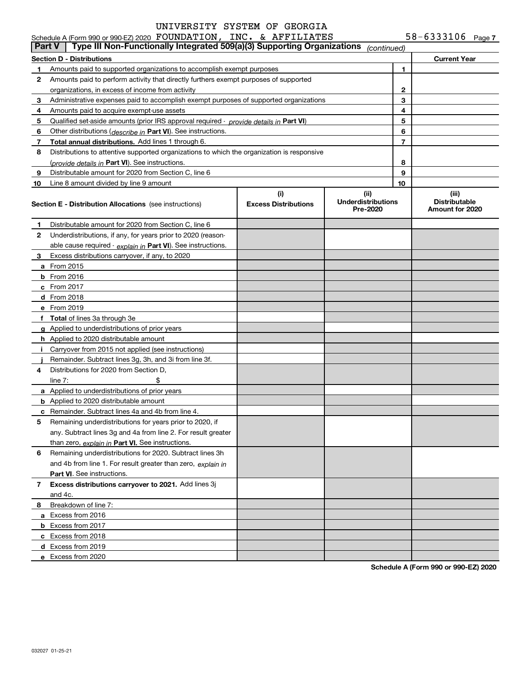|               | Schedule A (Form 990 or 990-EZ) 2020 FOUNDATION, INC. & AFFILIATES                            |                                    |                                               |                | 58-6333106 Page 7                                |  |
|---------------|-----------------------------------------------------------------------------------------------|------------------------------------|-----------------------------------------------|----------------|--------------------------------------------------|--|
| <b>Part V</b> | Type III Non-Functionally Integrated 509(a)(3) Supporting Organizations                       |                                    | (continued)                                   |                |                                                  |  |
|               | Section D - Distributions                                                                     |                                    |                                               |                | <b>Current Year</b>                              |  |
| 1.            | Amounts paid to supported organizations to accomplish exempt purposes                         |                                    |                                               | 1              |                                                  |  |
| 2             | Amounts paid to perform activity that directly furthers exempt purposes of supported          |                                    |                                               |                |                                                  |  |
|               | organizations, in excess of income from activity                                              |                                    | $\mathbf{2}$                                  |                |                                                  |  |
| 3             | Administrative expenses paid to accomplish exempt purposes of supported organizations         |                                    |                                               | 3              |                                                  |  |
| 4             | Amounts paid to acquire exempt-use assets                                                     |                                    |                                               | 4              |                                                  |  |
| 5             | Qualified set-aside amounts (prior IRS approval required - <i>provide details in</i> Part VI) |                                    |                                               | 5              |                                                  |  |
| 6             | Other distributions ( <i>describe in</i> Part VI). See instructions.                          |                                    |                                               | 6              |                                                  |  |
| 7             | Total annual distributions. Add lines 1 through 6.                                            |                                    |                                               | $\overline{7}$ |                                                  |  |
| 8             | Distributions to attentive supported organizations to which the organization is responsive    |                                    |                                               |                |                                                  |  |
|               | (provide details in Part VI). See instructions.                                               |                                    |                                               | 8              |                                                  |  |
| 9             | Distributable amount for 2020 from Section C, line 6                                          |                                    |                                               | 9              |                                                  |  |
| 10            | Line 8 amount divided by line 9 amount                                                        |                                    |                                               | 10             |                                                  |  |
|               | <b>Section E - Distribution Allocations</b> (see instructions)                                | (i)<br><b>Excess Distributions</b> | (ii)<br><b>Underdistributions</b><br>Pre-2020 |                | (iii)<br><b>Distributable</b><br>Amount for 2020 |  |
| 1             | Distributable amount for 2020 from Section C, line 6                                          |                                    |                                               |                |                                                  |  |
| 2             | Underdistributions, if any, for years prior to 2020 (reason-                                  |                                    |                                               |                |                                                  |  |
|               | able cause required $\cdot$ explain in Part VI). See instructions.                            |                                    |                                               |                |                                                  |  |
| 3             | Excess distributions carryover, if any, to 2020                                               |                                    |                                               |                |                                                  |  |
|               | <b>a</b> From 2015                                                                            |                                    |                                               |                |                                                  |  |
|               | $b$ From 2016                                                                                 |                                    |                                               |                |                                                  |  |
|               | <b>c</b> From 2017                                                                            |                                    |                                               |                |                                                  |  |
|               | d From 2018                                                                                   |                                    |                                               |                |                                                  |  |
|               | e From 2019                                                                                   |                                    |                                               |                |                                                  |  |
|               | f Total of lines 3a through 3e                                                                |                                    |                                               |                |                                                  |  |
|               | g Applied to underdistributions of prior years                                                |                                    |                                               |                |                                                  |  |
|               | <b>h</b> Applied to 2020 distributable amount                                                 |                                    |                                               |                |                                                  |  |
|               | i Carryover from 2015 not applied (see instructions)                                          |                                    |                                               |                |                                                  |  |
|               | Remainder. Subtract lines 3g, 3h, and 3i from line 3f.                                        |                                    |                                               |                |                                                  |  |
| 4             | Distributions for 2020 from Section D.                                                        |                                    |                                               |                |                                                  |  |
|               | \$<br>line $7:$                                                                               |                                    |                                               |                |                                                  |  |
|               | a Applied to underdistributions of prior years                                                |                                    |                                               |                |                                                  |  |
|               | <b>b</b> Applied to 2020 distributable amount                                                 |                                    |                                               |                |                                                  |  |
|               | <b>c</b> Remainder. Subtract lines 4a and 4b from line 4.                                     |                                    |                                               |                |                                                  |  |
|               | Remaining underdistributions for years prior to 2020, if                                      |                                    |                                               |                |                                                  |  |
|               | any. Subtract lines 3g and 4a from line 2. For result greater                                 |                                    |                                               |                |                                                  |  |
|               | than zero, explain in Part VI. See instructions.                                              |                                    |                                               |                |                                                  |  |
| 6             | Remaining underdistributions for 2020. Subtract lines 3h                                      |                                    |                                               |                |                                                  |  |
|               | and 4b from line 1. For result greater than zero, explain in                                  |                                    |                                               |                |                                                  |  |
|               | Part VI. See instructions.                                                                    |                                    |                                               |                |                                                  |  |
| 7             | Excess distributions carryover to 2021. Add lines 3j                                          |                                    |                                               |                |                                                  |  |
|               | and 4c.                                                                                       |                                    |                                               |                |                                                  |  |
| 8             | Breakdown of line 7:                                                                          |                                    |                                               |                |                                                  |  |
|               | a Excess from 2016                                                                            |                                    |                                               |                |                                                  |  |
|               | <b>b</b> Excess from 2017                                                                     |                                    |                                               |                |                                                  |  |
|               | c Excess from 2018                                                                            |                                    |                                               |                |                                                  |  |
|               | d Excess from 2019                                                                            |                                    |                                               |                |                                                  |  |
|               | e Excess from 2020                                                                            |                                    |                                               |                |                                                  |  |

**Schedule A (Form 990 or 990-EZ) 2020**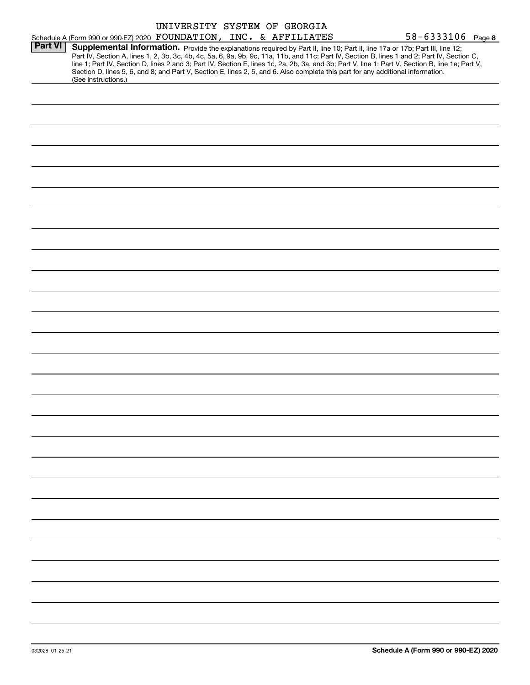|         |                                                                    | UNIVERSITY SYSTEM OF GEORGIA |  |                                                                                                                                                                                                                                                                                                                                                                                                                                                                                                                                                                      |  |
|---------|--------------------------------------------------------------------|------------------------------|--|----------------------------------------------------------------------------------------------------------------------------------------------------------------------------------------------------------------------------------------------------------------------------------------------------------------------------------------------------------------------------------------------------------------------------------------------------------------------------------------------------------------------------------------------------------------------|--|
|         | Schedule A (Form 990 or 990-EZ) 2020 FOUNDATION, INC. & AFFILIATES |                              |  | 58-6333106 Page 8                                                                                                                                                                                                                                                                                                                                                                                                                                                                                                                                                    |  |
| Part VI | (See instructions.)                                                |                              |  | Supplemental Information. Provide the explanations required by Part II, line 10; Part II, line 17a or 17b; Part III, line 12;<br>Part IV, Section A, lines 1, 2, 3b, 3c, 4b, 4c, 5a, 6, 9a, 9b, 9c, 11a, 11b, and 11c; Part IV, Section B, lines 1 and 2; Part IV, Section C,<br>line 1; Part IV, Section D, lines 2 and 3; Part IV, Section E, lines 1c, 2a, 2b, 3a, and 3b; Part V, line 1; Part V, Section B, line 1e; Part V,<br>Section D, lines 5, 6, and 8; and Part V, Section E, lines 2, 5, and 6. Also complete this part for any additional information. |  |
|         |                                                                    |                              |  |                                                                                                                                                                                                                                                                                                                                                                                                                                                                                                                                                                      |  |
|         |                                                                    |                              |  |                                                                                                                                                                                                                                                                                                                                                                                                                                                                                                                                                                      |  |
|         |                                                                    |                              |  |                                                                                                                                                                                                                                                                                                                                                                                                                                                                                                                                                                      |  |
|         |                                                                    |                              |  |                                                                                                                                                                                                                                                                                                                                                                                                                                                                                                                                                                      |  |
|         |                                                                    |                              |  |                                                                                                                                                                                                                                                                                                                                                                                                                                                                                                                                                                      |  |
|         |                                                                    |                              |  |                                                                                                                                                                                                                                                                                                                                                                                                                                                                                                                                                                      |  |
|         |                                                                    |                              |  |                                                                                                                                                                                                                                                                                                                                                                                                                                                                                                                                                                      |  |
|         |                                                                    |                              |  |                                                                                                                                                                                                                                                                                                                                                                                                                                                                                                                                                                      |  |
|         |                                                                    |                              |  |                                                                                                                                                                                                                                                                                                                                                                                                                                                                                                                                                                      |  |
|         |                                                                    |                              |  |                                                                                                                                                                                                                                                                                                                                                                                                                                                                                                                                                                      |  |
|         |                                                                    |                              |  |                                                                                                                                                                                                                                                                                                                                                                                                                                                                                                                                                                      |  |
|         |                                                                    |                              |  |                                                                                                                                                                                                                                                                                                                                                                                                                                                                                                                                                                      |  |
|         |                                                                    |                              |  |                                                                                                                                                                                                                                                                                                                                                                                                                                                                                                                                                                      |  |
|         |                                                                    |                              |  |                                                                                                                                                                                                                                                                                                                                                                                                                                                                                                                                                                      |  |
|         |                                                                    |                              |  |                                                                                                                                                                                                                                                                                                                                                                                                                                                                                                                                                                      |  |
|         |                                                                    |                              |  |                                                                                                                                                                                                                                                                                                                                                                                                                                                                                                                                                                      |  |
|         |                                                                    |                              |  |                                                                                                                                                                                                                                                                                                                                                                                                                                                                                                                                                                      |  |
|         |                                                                    |                              |  |                                                                                                                                                                                                                                                                                                                                                                                                                                                                                                                                                                      |  |
|         |                                                                    |                              |  |                                                                                                                                                                                                                                                                                                                                                                                                                                                                                                                                                                      |  |
|         |                                                                    |                              |  |                                                                                                                                                                                                                                                                                                                                                                                                                                                                                                                                                                      |  |
|         |                                                                    |                              |  |                                                                                                                                                                                                                                                                                                                                                                                                                                                                                                                                                                      |  |
|         |                                                                    |                              |  |                                                                                                                                                                                                                                                                                                                                                                                                                                                                                                                                                                      |  |
|         |                                                                    |                              |  |                                                                                                                                                                                                                                                                                                                                                                                                                                                                                                                                                                      |  |
|         |                                                                    |                              |  |                                                                                                                                                                                                                                                                                                                                                                                                                                                                                                                                                                      |  |
|         |                                                                    |                              |  |                                                                                                                                                                                                                                                                                                                                                                                                                                                                                                                                                                      |  |
|         |                                                                    |                              |  |                                                                                                                                                                                                                                                                                                                                                                                                                                                                                                                                                                      |  |
|         |                                                                    |                              |  |                                                                                                                                                                                                                                                                                                                                                                                                                                                                                                                                                                      |  |
|         |                                                                    |                              |  |                                                                                                                                                                                                                                                                                                                                                                                                                                                                                                                                                                      |  |
|         |                                                                    |                              |  |                                                                                                                                                                                                                                                                                                                                                                                                                                                                                                                                                                      |  |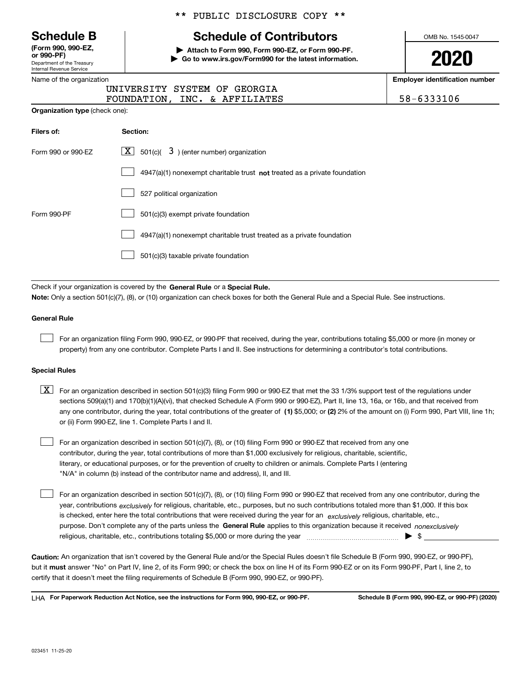Department of the Treasury Internal Revenue Service **(Form 990, 990-EZ, or 990-PF)**

Name of the organization

|  |  | ** PUBLIC DISCLOSURE COPY ** |  |  |
|--|--|------------------------------|--|--|
|--|--|------------------------------|--|--|

# **Schedule B Schedule of Contributors**

**| Attach to Form 990, Form 990-EZ, or Form 990-PF. | Go to www.irs.gov/Form990 for the latest information.** OMB No. 1545-0047

**Employer identification number**

|  | FOUNDATION, INC. & AFFILIATES | 58-6333106 |
|--|-------------------------------|------------|

| Organization type (check one): |  |  |
|--------------------------------|--|--|
|                                |  |  |

| Filers of:         | Section:                                                                    |
|--------------------|-----------------------------------------------------------------------------|
| Form 990 or 990-EZ | $\underline{X}$ 501(c)( 3) (enter number) organization                      |
|                    | $4947(a)(1)$ nonexempt charitable trust not treated as a private foundation |
|                    | 527 political organization                                                  |
| Form 990-PF        | 501(c)(3) exempt private foundation                                         |
|                    | 4947(a)(1) nonexempt charitable trust treated as a private foundation       |
|                    | 501(c)(3) taxable private foundation                                        |

UNIVERSITY SYSTEM OF GEORGIA

Check if your organization is covered by the **General Rule** or a **Special Rule. Note:**  Only a section 501(c)(7), (8), or (10) organization can check boxes for both the General Rule and a Special Rule. See instructions.

#### **General Rule**

 $\mathcal{L}^{\text{max}}$ 

For an organization filing Form 990, 990-EZ, or 990-PF that received, during the year, contributions totaling \$5,000 or more (in money or property) from any one contributor. Complete Parts I and II. See instructions for determining a contributor's total contributions.

#### **Special Rules**

any one contributor, during the year, total contributions of the greater of  $\,$  (1) \$5,000; or **(2)** 2% of the amount on (i) Form 990, Part VIII, line 1h;  $\boxed{\textbf{X}}$  For an organization described in section 501(c)(3) filing Form 990 or 990-EZ that met the 33 1/3% support test of the regulations under sections 509(a)(1) and 170(b)(1)(A)(vi), that checked Schedule A (Form 990 or 990-EZ), Part II, line 13, 16a, or 16b, and that received from or (ii) Form 990-EZ, line 1. Complete Parts I and II.

For an organization described in section 501(c)(7), (8), or (10) filing Form 990 or 990-EZ that received from any one contributor, during the year, total contributions of more than \$1,000 exclusively for religious, charitable, scientific, literary, or educational purposes, or for the prevention of cruelty to children or animals. Complete Parts I (entering "N/A" in column (b) instead of the contributor name and address), II, and III.  $\mathcal{L}^{\text{max}}$ 

purpose. Don't complete any of the parts unless the **General Rule** applies to this organization because it received *nonexclusively* year, contributions <sub>exclusively</sub> for religious, charitable, etc., purposes, but no such contributions totaled more than \$1,000. If this box is checked, enter here the total contributions that were received during the year for an  $\;$ exclusively religious, charitable, etc., For an organization described in section 501(c)(7), (8), or (10) filing Form 990 or 990-EZ that received from any one contributor, during the religious, charitable, etc., contributions totaling \$5,000 or more during the year  $\Box$ — $\Box$   $\Box$  $\mathcal{L}^{\text{max}}$ 

**Caution:**  An organization that isn't covered by the General Rule and/or the Special Rules doesn't file Schedule B (Form 990, 990-EZ, or 990-PF),  **must** but it answer "No" on Part IV, line 2, of its Form 990; or check the box on line H of its Form 990-EZ or on its Form 990-PF, Part I, line 2, to certify that it doesn't meet the filing requirements of Schedule B (Form 990, 990-EZ, or 990-PF).

**For Paperwork Reduction Act Notice, see the instructions for Form 990, 990-EZ, or 990-PF. Schedule B (Form 990, 990-EZ, or 990-PF) (2020)** LHA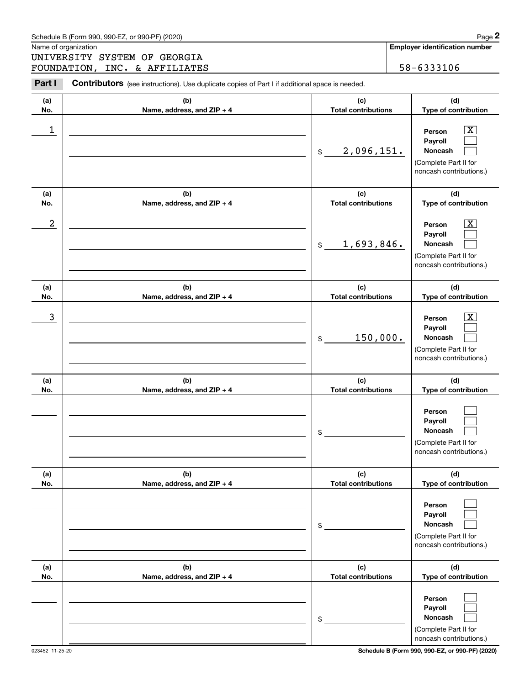|            | Schedule B (Form 990, 990-EZ, or 990-PF) (2020)                                                |                                   | Page 2                                                                                                      |
|------------|------------------------------------------------------------------------------------------------|-----------------------------------|-------------------------------------------------------------------------------------------------------------|
|            | Name of organization<br>UNIVERSITY SYSTEM OF GEORGIA<br>FOUNDATION, INC. & AFFILIATES          |                                   | Employer identification number<br>58-6333106                                                                |
| Part I     | Contributors (see instructions). Use duplicate copies of Part I if additional space is needed. |                                   |                                                                                                             |
| (a)<br>No. | (b)<br>Name, address, and ZIP + 4                                                              | (c)<br><b>Total contributions</b> | (d)<br>Type of contribution                                                                                 |
| 1          |                                                                                                | 2,096,151.<br>\$                  | $\overline{\mathbf{X}}$<br>Person<br>Payroll<br>Noncash<br>(Complete Part II for<br>noncash contributions.) |
| (a)<br>No. | (b)<br>Name, address, and ZIP + 4                                                              | (c)<br><b>Total contributions</b> | (d)<br>Type of contribution                                                                                 |
| 2          |                                                                                                | 1,693,846.<br>\$                  | $\overline{\mathbf{X}}$<br>Person<br>Payroll<br>Noncash<br>(Complete Part II for<br>noncash contributions.) |
| (a)<br>No. | (b)<br>Name, address, and ZIP + 4                                                              | (c)<br><b>Total contributions</b> | (d)<br>Type of contribution                                                                                 |
| 3          |                                                                                                | 150,000.<br>\$                    | $\overline{\mathbf{X}}$<br>Person<br>Payroll<br>Noncash<br>(Complete Part II for<br>noncash contributions.) |
| (a)<br>No. | (b)<br>Name, address, and ZIP + 4                                                              | (c)<br><b>Total contributions</b> | (d)<br>Type of contribution                                                                                 |
|            |                                                                                                | \$                                | Person<br>Payroll<br>Noncash<br>(Complete Part II for<br>noncash contributions.)                            |
| (a)<br>No. | (b)<br>Name, address, and ZIP + 4                                                              | (c)<br><b>Total contributions</b> | (d)<br>Type of contribution                                                                                 |
|            |                                                                                                | \$                                | Person<br>Payroll<br>Noncash<br>(Complete Part II for<br>noncash contributions.)                            |
| (a)<br>No. | (b)<br>Name, address, and ZIP + 4                                                              | (c)<br><b>Total contributions</b> | (d)<br>Type of contribution                                                                                 |
|            |                                                                                                | \$                                | Person<br>Payroll<br>Noncash<br>(Complete Part II for<br>noncash contributions.)                            |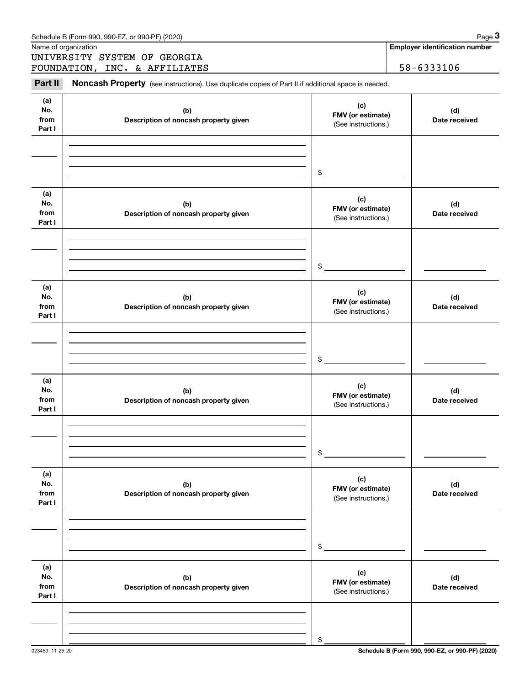|                              | Schedule B (Form 990, 990-EZ, or 990-PF) (2020)                                                     |                                                 | Page 3<br><b>Employer identification number</b> |
|------------------------------|-----------------------------------------------------------------------------------------------------|-------------------------------------------------|-------------------------------------------------|
|                              | Name of organization<br>UNIVERSITY SYSTEM OF GEORGIA                                                |                                                 |                                                 |
|                              | FOUNDATION, INC. & AFFILIATES                                                                       |                                                 | 58-6333106                                      |
| Part II                      | Noncash Property (see instructions). Use duplicate copies of Part II if additional space is needed. |                                                 |                                                 |
| (a)<br>No.<br>from<br>Part I | (b)<br>Description of noncash property given                                                        | (c)<br>FMV (or estimate)<br>(See instructions.) | (d)<br>Date received                            |
|                              |                                                                                                     | \$                                              |                                                 |
| (a)<br>No.<br>from<br>Part I | (b)<br>Description of noncash property given                                                        | (c)<br>FMV (or estimate)<br>(See instructions.) | (d)<br>Date received                            |
|                              |                                                                                                     | \$                                              |                                                 |
| (a)<br>No.<br>from<br>Part I | (b)<br>Description of noncash property given                                                        | (c)<br>FMV (or estimate)<br>(See instructions.) | (d)<br>Date received                            |
|                              |                                                                                                     | \$                                              |                                                 |
| (a)<br>No.<br>from<br>Part I | (b)<br>Description of noncash property given                                                        | (c)<br>FMV (or estimate)<br>(See instructions.) | (d)<br>Date received                            |
|                              |                                                                                                     | \$                                              |                                                 |
| (a)<br>No.<br>from<br>Part I | (b)<br>Description of noncash property given                                                        | (c)<br>FMV (or estimate)<br>(See instructions.) | (d)<br>Date received                            |
|                              |                                                                                                     | \$                                              |                                                 |
| (a)<br>No.<br>from<br>Part I | (b)<br>Description of noncash property given                                                        | (c)<br>FMV (or estimate)<br>(See instructions.) | (d)<br>Date received                            |
|                              |                                                                                                     | \$                                              |                                                 |
| 023453 11-25-20              |                                                                                                     |                                                 | Schedule B (Form 990, 990-EZ, or 990-PF) (2020) |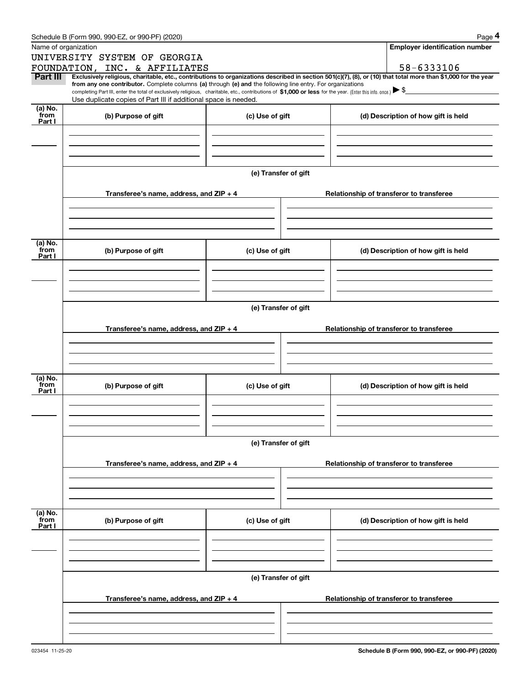|                 | Schedule B (Form 990, 990-EZ, or 990-PF) (2020)                                                                                                                                   |                      |                                                                                                                                                                | Page 4 |  |  |  |  |
|-----------------|-----------------------------------------------------------------------------------------------------------------------------------------------------------------------------------|----------------------|----------------------------------------------------------------------------------------------------------------------------------------------------------------|--------|--|--|--|--|
|                 | Name of organization                                                                                                                                                              |                      | Employer identification number                                                                                                                                 |        |  |  |  |  |
|                 | UNIVERSITY SYSTEM OF GEORGIA                                                                                                                                                      |                      |                                                                                                                                                                |        |  |  |  |  |
|                 | FOUNDATION, INC. & AFFILIATES                                                                                                                                                     |                      | 58-6333106                                                                                                                                                     |        |  |  |  |  |
| Part III        | from any one contributor. Complete columns (a) through (e) and the following line entry. For organizations                                                                        |                      | Exclusively religious, charitable, etc., contributions to organizations described in section 501(c)(7), (8), or (10) that total more than \$1,000 for the year |        |  |  |  |  |
|                 | completing Part III, enter the total of exclusively religious, charitable, etc., contributions of \$1,000 or less for the year. (Enter this info. once.) $\blacktriangleright$ \$ |                      |                                                                                                                                                                |        |  |  |  |  |
|                 | Use duplicate copies of Part III if additional space is needed.                                                                                                                   |                      |                                                                                                                                                                |        |  |  |  |  |
| (a) No.<br>from | (b) Purpose of gift                                                                                                                                                               | (c) Use of gift      | (d) Description of how gift is held                                                                                                                            |        |  |  |  |  |
| Part I          |                                                                                                                                                                                   |                      |                                                                                                                                                                |        |  |  |  |  |
|                 |                                                                                                                                                                                   |                      |                                                                                                                                                                |        |  |  |  |  |
|                 |                                                                                                                                                                                   |                      |                                                                                                                                                                |        |  |  |  |  |
|                 |                                                                                                                                                                                   |                      |                                                                                                                                                                |        |  |  |  |  |
|                 |                                                                                                                                                                                   | (e) Transfer of gift |                                                                                                                                                                |        |  |  |  |  |
|                 |                                                                                                                                                                                   |                      |                                                                                                                                                                |        |  |  |  |  |
|                 | Transferee's name, address, and $ZIP + 4$                                                                                                                                         |                      | Relationship of transferor to transferee                                                                                                                       |        |  |  |  |  |
|                 |                                                                                                                                                                                   |                      |                                                                                                                                                                |        |  |  |  |  |
|                 |                                                                                                                                                                                   |                      |                                                                                                                                                                |        |  |  |  |  |
|                 |                                                                                                                                                                                   |                      |                                                                                                                                                                |        |  |  |  |  |
|                 |                                                                                                                                                                                   |                      |                                                                                                                                                                |        |  |  |  |  |
| (a) No.<br>from | (b) Purpose of gift                                                                                                                                                               | (c) Use of gift      | (d) Description of how gift is held                                                                                                                            |        |  |  |  |  |
| Part I          |                                                                                                                                                                                   |                      |                                                                                                                                                                |        |  |  |  |  |
|                 |                                                                                                                                                                                   |                      |                                                                                                                                                                |        |  |  |  |  |
|                 |                                                                                                                                                                                   |                      |                                                                                                                                                                |        |  |  |  |  |
|                 |                                                                                                                                                                                   |                      |                                                                                                                                                                |        |  |  |  |  |
|                 |                                                                                                                                                                                   |                      |                                                                                                                                                                |        |  |  |  |  |
|                 | (e) Transfer of gift                                                                                                                                                              |                      |                                                                                                                                                                |        |  |  |  |  |
|                 | Transferee's name, address, and ZIP + 4                                                                                                                                           |                      | Relationship of transferor to transferee                                                                                                                       |        |  |  |  |  |
|                 |                                                                                                                                                                                   |                      |                                                                                                                                                                |        |  |  |  |  |
|                 |                                                                                                                                                                                   |                      |                                                                                                                                                                |        |  |  |  |  |
|                 |                                                                                                                                                                                   |                      |                                                                                                                                                                |        |  |  |  |  |
|                 |                                                                                                                                                                                   |                      |                                                                                                                                                                |        |  |  |  |  |
| (a) No.<br>from |                                                                                                                                                                                   |                      |                                                                                                                                                                |        |  |  |  |  |
| Part I          | (b) Purpose of gift                                                                                                                                                               | (c) Use of gift      | (d) Description of how gift is held                                                                                                                            |        |  |  |  |  |
|                 |                                                                                                                                                                                   |                      |                                                                                                                                                                |        |  |  |  |  |
|                 |                                                                                                                                                                                   |                      |                                                                                                                                                                |        |  |  |  |  |
|                 |                                                                                                                                                                                   |                      |                                                                                                                                                                |        |  |  |  |  |
|                 |                                                                                                                                                                                   |                      |                                                                                                                                                                |        |  |  |  |  |
|                 |                                                                                                                                                                                   | (e) Transfer of gift |                                                                                                                                                                |        |  |  |  |  |
|                 | Transferee's name, address, and ZIP + 4                                                                                                                                           |                      | Relationship of transferor to transferee                                                                                                                       |        |  |  |  |  |
|                 |                                                                                                                                                                                   |                      |                                                                                                                                                                |        |  |  |  |  |
|                 |                                                                                                                                                                                   |                      |                                                                                                                                                                |        |  |  |  |  |
|                 |                                                                                                                                                                                   |                      |                                                                                                                                                                |        |  |  |  |  |
|                 |                                                                                                                                                                                   |                      |                                                                                                                                                                |        |  |  |  |  |
| (a) No.<br>from | (b) Purpose of gift                                                                                                                                                               |                      |                                                                                                                                                                |        |  |  |  |  |
| Part I          |                                                                                                                                                                                   | (c) Use of gift      | (d) Description of how gift is held                                                                                                                            |        |  |  |  |  |
|                 |                                                                                                                                                                                   |                      |                                                                                                                                                                |        |  |  |  |  |
|                 |                                                                                                                                                                                   |                      |                                                                                                                                                                |        |  |  |  |  |
|                 |                                                                                                                                                                                   |                      |                                                                                                                                                                |        |  |  |  |  |
|                 |                                                                                                                                                                                   |                      |                                                                                                                                                                |        |  |  |  |  |
|                 |                                                                                                                                                                                   | (e) Transfer of gift |                                                                                                                                                                |        |  |  |  |  |
|                 |                                                                                                                                                                                   |                      |                                                                                                                                                                |        |  |  |  |  |
|                 | Transferee's name, address, and ZIP + 4                                                                                                                                           |                      | Relationship of transferor to transferee                                                                                                                       |        |  |  |  |  |
|                 |                                                                                                                                                                                   |                      |                                                                                                                                                                |        |  |  |  |  |
|                 |                                                                                                                                                                                   |                      |                                                                                                                                                                |        |  |  |  |  |
|                 |                                                                                                                                                                                   |                      |                                                                                                                                                                |        |  |  |  |  |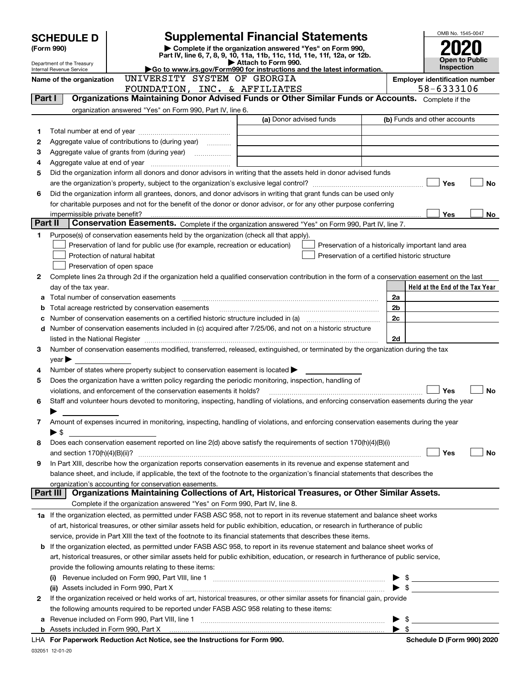|         | <b>SCHEDULE D</b><br>(Form 990)                          |                                                                                                                                                                                                                               | <b>Supplemental Financial Statements</b><br>Complete if the organization answered "Yes" on Form 990, |                                                    |    | OMB No. 1545-0047                     |
|---------|----------------------------------------------------------|-------------------------------------------------------------------------------------------------------------------------------------------------------------------------------------------------------------------------------|------------------------------------------------------------------------------------------------------|----------------------------------------------------|----|---------------------------------------|
|         |                                                          | Part IV, line 6, 7, 8, 9, 10, 11a, 11b, 11c, 11d, 11e, 11f, 12a, or 12b.                                                                                                                                                      |                                                                                                      |                                                    |    | Open to Public                        |
|         | Department of the Treasury<br>Internal Revenue Service   | Go to www.irs.gov/Form990 for instructions and the latest information.                                                                                                                                                        | Attach to Form 990.                                                                                  |                                                    |    | Inspection                            |
|         | UNIVERSITY SYSTEM OF GEORGIA<br>Name of the organization |                                                                                                                                                                                                                               |                                                                                                      |                                                    |    | <b>Employer identification number</b> |
|         |                                                          | FOUNDATION, INC. & AFFILIATES                                                                                                                                                                                                 |                                                                                                      |                                                    |    | 58-6333106                            |
| Part I  |                                                          | Organizations Maintaining Donor Advised Funds or Other Similar Funds or Accounts. Complete if the                                                                                                                             |                                                                                                      |                                                    |    |                                       |
|         |                                                          | organization answered "Yes" on Form 990, Part IV, line 6.                                                                                                                                                                     |                                                                                                      |                                                    |    |                                       |
|         |                                                          |                                                                                                                                                                                                                               | (a) Donor advised funds                                                                              |                                                    |    | (b) Funds and other accounts          |
| 1       |                                                          |                                                                                                                                                                                                                               |                                                                                                      |                                                    |    |                                       |
| 2       |                                                          | Aggregate value of contributions to (during year)                                                                                                                                                                             |                                                                                                      |                                                    |    |                                       |
| з       |                                                          | Aggregate value of grants from (during year)                                                                                                                                                                                  |                                                                                                      |                                                    |    |                                       |
| 4       |                                                          |                                                                                                                                                                                                                               |                                                                                                      |                                                    |    |                                       |
| 5       |                                                          | Did the organization inform all donors and donor advisors in writing that the assets held in donor advised funds                                                                                                              |                                                                                                      |                                                    |    |                                       |
|         |                                                          |                                                                                                                                                                                                                               |                                                                                                      |                                                    |    | Yes<br>No                             |
| 6       |                                                          | Did the organization inform all grantees, donors, and donor advisors in writing that grant funds can be used only                                                                                                             |                                                                                                      |                                                    |    |                                       |
|         |                                                          | for charitable purposes and not for the benefit of the donor or donor advisor, or for any other purpose conferring                                                                                                            |                                                                                                      |                                                    |    |                                       |
|         |                                                          |                                                                                                                                                                                                                               |                                                                                                      |                                                    |    | Yes<br>No                             |
| Part II |                                                          | Conservation Easements. Complete if the organization answered "Yes" on Form 990, Part IV, line 7.                                                                                                                             |                                                                                                      |                                                    |    |                                       |
| 1       |                                                          | Purpose(s) of conservation easements held by the organization (check all that apply).                                                                                                                                         |                                                                                                      |                                                    |    |                                       |
|         |                                                          | Preservation of land for public use (for example, recreation or education)                                                                                                                                                    |                                                                                                      | Preservation of a historically important land area |    |                                       |
|         |                                                          | Protection of natural habitat                                                                                                                                                                                                 |                                                                                                      | Preservation of a certified historic structure     |    |                                       |
|         |                                                          | Preservation of open space                                                                                                                                                                                                    |                                                                                                      |                                                    |    |                                       |
| 2       |                                                          | Complete lines 2a through 2d if the organization held a qualified conservation contribution in the form of a conservation easement on the last                                                                                |                                                                                                      |                                                    |    |                                       |
|         | day of the tax year.                                     |                                                                                                                                                                                                                               |                                                                                                      |                                                    |    | Held at the End of the Tax Year       |
| a       |                                                          |                                                                                                                                                                                                                               |                                                                                                      |                                                    | 2a |                                       |
| b       |                                                          | Total acreage restricted by conservation easements                                                                                                                                                                            |                                                                                                      |                                                    | 2b |                                       |
| с       |                                                          |                                                                                                                                                                                                                               |                                                                                                      |                                                    | 2c |                                       |
| d       |                                                          | Number of conservation easements included in (c) acquired after 7/25/06, and not on a historic structure                                                                                                                      |                                                                                                      |                                                    |    |                                       |
|         |                                                          | listed in the National Register [11, 1200] [12] The National Register [11, 1200] [12] The National Register [11, 1200] [12] The National Register [11, 1200] [12] The National Register [11, 1200] [12] The National Register |                                                                                                      |                                                    | 2d |                                       |
| 3       |                                                          | Number of conservation easements modified, transferred, released, extinguished, or terminated by the organization during the tax                                                                                              |                                                                                                      |                                                    |    |                                       |
|         | $year \blacktriangleright$                               |                                                                                                                                                                                                                               |                                                                                                      |                                                    |    |                                       |
| 4       |                                                          | Number of states where property subject to conservation easement is located $\blacktriangleright$                                                                                                                             |                                                                                                      |                                                    |    |                                       |
| 5       |                                                          | Does the organization have a written policy regarding the periodic monitoring, inspection, handling of                                                                                                                        |                                                                                                      |                                                    |    |                                       |
|         |                                                          | violations, and enforcement of the conservation easements it holds?                                                                                                                                                           |                                                                                                      |                                                    |    | Yes<br>No                             |
| 6       |                                                          | Staff and volunteer hours devoted to monitoring, inspecting, handling of violations, and enforcing conservation easements during the year                                                                                     |                                                                                                      |                                                    |    |                                       |
|         |                                                          |                                                                                                                                                                                                                               |                                                                                                      |                                                    |    |                                       |
| 7       |                                                          | Amount of expenses incurred in monitoring, inspecting, handling of violations, and enforcing conservation easements during the year                                                                                           |                                                                                                      |                                                    |    |                                       |
|         | $\blacktriangleright$ \$                                 |                                                                                                                                                                                                                               |                                                                                                      |                                                    |    |                                       |
| 8       |                                                          | Does each conservation easement reported on line 2(d) above satisfy the requirements of section 170(h)(4)(B)(i)                                                                                                               |                                                                                                      |                                                    |    |                                       |
|         |                                                          |                                                                                                                                                                                                                               |                                                                                                      |                                                    |    | Yes<br>No                             |
| 9       |                                                          | In Part XIII, describe how the organization reports conservation easements in its revenue and expense statement and                                                                                                           |                                                                                                      |                                                    |    |                                       |
|         |                                                          | balance sheet, and include, if applicable, the text of the footnote to the organization's financial statements that describes the                                                                                             |                                                                                                      |                                                    |    |                                       |
|         | Part III                                                 | organization's accounting for conservation easements.<br>Organizations Maintaining Collections of Art, Historical Treasures, or Other Similar Assets.                                                                         |                                                                                                      |                                                    |    |                                       |
|         |                                                          | Complete if the organization answered "Yes" on Form 990, Part IV, line 8.                                                                                                                                                     |                                                                                                      |                                                    |    |                                       |
|         |                                                          | 1a If the organization elected, as permitted under FASB ASC 958, not to report in its revenue statement and balance sheet works                                                                                               |                                                                                                      |                                                    |    |                                       |
|         |                                                          |                                                                                                                                                                                                                               |                                                                                                      |                                                    |    |                                       |
|         |                                                          | of art, historical treasures, or other similar assets held for public exhibition, education, or research in furtherance of public                                                                                             |                                                                                                      |                                                    |    |                                       |
|         |                                                          | service, provide in Part XIII the text of the footnote to its financial statements that describes these items.                                                                                                                |                                                                                                      |                                                    |    |                                       |
| b       |                                                          | If the organization elected, as permitted under FASB ASC 958, to report in its revenue statement and balance sheet works of                                                                                                   |                                                                                                      |                                                    |    |                                       |
|         |                                                          | art, historical treasures, or other similar assets held for public exhibition, education, or research in furtherance of public service,                                                                                       |                                                                                                      |                                                    |    |                                       |
|         |                                                          | provide the following amounts relating to these items:                                                                                                                                                                        |                                                                                                      |                                                    |    |                                       |
|         |                                                          | (i) Revenue included on Form 990, Part VIII, line 1 [1] [1] [1] [1] [1] [1] [1] Revenue included on Form 990, Part VIII, line 1                                                                                               |                                                                                                      |                                                    |    |                                       |
|         |                                                          | (ii) Assets included in Form 990, Part X                                                                                                                                                                                      |                                                                                                      |                                                    |    | $\triangleright$ \$                   |
| 2       |                                                          | If the organization received or held works of art, historical treasures, or other similar assets for financial gain, provide                                                                                                  |                                                                                                      |                                                    |    |                                       |
|         |                                                          | the following amounts required to be reported under FASB ASC 958 relating to these items:                                                                                                                                     |                                                                                                      |                                                    |    |                                       |
| а       |                                                          | Revenue included on Form 990, Part VIII, line 1 [2000] [2000] [2000] [2000] [3000] [3000] [3000] [3000] [3000                                                                                                                 |                                                                                                      |                                                    | \$ |                                       |
|         |                                                          | LHA. For Panorwork Poduction Act Notice, see the Instructions for Form 000                                                                                                                                                    |                                                                                                      |                                                    |    | Schodule D (Form 000) 2020            |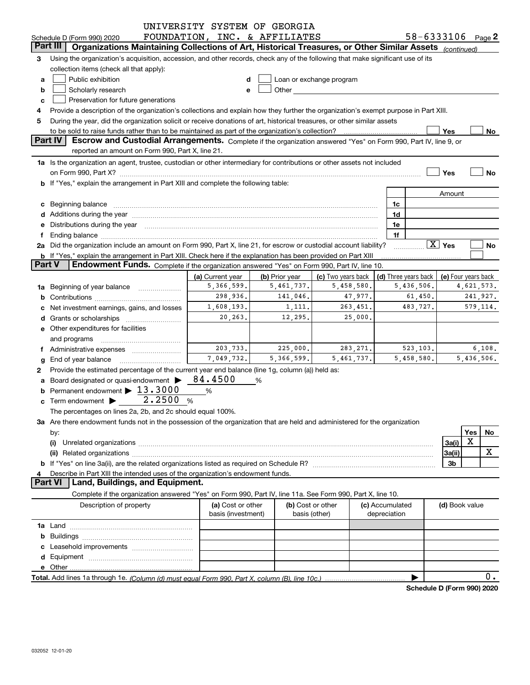|               |                                                                                                                                                                                                                                | UNIVERSITY SYSTEM OF GEORGIA  |                |                                                                                                                                                                                                                                |                 |                            |                        |     |            |
|---------------|--------------------------------------------------------------------------------------------------------------------------------------------------------------------------------------------------------------------------------|-------------------------------|----------------|--------------------------------------------------------------------------------------------------------------------------------------------------------------------------------------------------------------------------------|-----------------|----------------------------|------------------------|-----|------------|
|               | Schedule D (Form 990) 2020                                                                                                                                                                                                     | FOUNDATION, INC. & AFFILIATES |                |                                                                                                                                                                                                                                |                 | 58-6333106 Page 2          |                        |     |            |
|               | Part III<br>Organizations Maintaining Collections of Art, Historical Treasures, or Other Similar Assets (continued)                                                                                                            |                               |                |                                                                                                                                                                                                                                |                 |                            |                        |     |            |
| 3             | Using the organization's acquisition, accession, and other records, check any of the following that make significant use of its                                                                                                |                               |                |                                                                                                                                                                                                                                |                 |                            |                        |     |            |
|               | collection items (check all that apply):                                                                                                                                                                                       |                               |                |                                                                                                                                                                                                                                |                 |                            |                        |     |            |
| а             | Public exhibition                                                                                                                                                                                                              | d                             |                | Loan or exchange program                                                                                                                                                                                                       |                 |                            |                        |     |            |
| b             | Scholarly research                                                                                                                                                                                                             | e                             |                | Other the contract of the contract of the contract of the contract of the contract of the contract of the contract of the contract of the contract of the contract of the contract of the contract of the contract of the cont |                 |                            |                        |     |            |
| c             | Preservation for future generations                                                                                                                                                                                            |                               |                |                                                                                                                                                                                                                                |                 |                            |                        |     |            |
| 4             | Provide a description of the organization's collections and explain how they further the organization's exempt purpose in Part XIII.                                                                                           |                               |                |                                                                                                                                                                                                                                |                 |                            |                        |     |            |
| 5             | During the year, did the organization solicit or receive donations of art, historical treasures, or other similar assets                                                                                                       |                               |                |                                                                                                                                                                                                                                |                 |                            |                        |     |            |
|               |                                                                                                                                                                                                                                |                               |                |                                                                                                                                                                                                                                |                 |                            | Yes                    |     | No         |
|               | <b>Part IV</b><br>Escrow and Custodial Arrangements. Complete if the organization answered "Yes" on Form 990, Part IV, line 9, or                                                                                              |                               |                |                                                                                                                                                                                                                                |                 |                            |                        |     |            |
|               | reported an amount on Form 990, Part X, line 21.                                                                                                                                                                               |                               |                |                                                                                                                                                                                                                                |                 |                            |                        |     |            |
|               | 1a Is the organization an agent, trustee, custodian or other intermediary for contributions or other assets not included                                                                                                       |                               |                |                                                                                                                                                                                                                                |                 |                            |                        |     |            |
|               |                                                                                                                                                                                                                                |                               |                |                                                                                                                                                                                                                                |                 |                            | Yes                    |     | <b>No</b>  |
|               | b If "Yes," explain the arrangement in Part XIII and complete the following table:                                                                                                                                             |                               |                |                                                                                                                                                                                                                                |                 |                            |                        |     |            |
|               |                                                                                                                                                                                                                                |                               |                |                                                                                                                                                                                                                                |                 |                            | Amount                 |     |            |
|               | c Beginning balance                                                                                                                                                                                                            |                               |                |                                                                                                                                                                                                                                | 1c              |                            |                        |     |            |
|               |                                                                                                                                                                                                                                |                               |                |                                                                                                                                                                                                                                | 1d              |                            |                        |     |            |
| е             | Distributions during the year manufactured and an account of the year manufactured and the year manufactured and the year manufactured and the year manufactured and the year manufactured and the state of the state of the s |                               |                |                                                                                                                                                                                                                                | 1e              |                            |                        |     |            |
| f             |                                                                                                                                                                                                                                |                               |                |                                                                                                                                                                                                                                | 1f              |                            |                        |     |            |
|               | 2a Did the organization include an amount on Form 990, Part X, line 21, for escrow or custodial account liability?                                                                                                             |                               |                |                                                                                                                                                                                                                                |                 |                            | $\boxed{\text{X}}$ Yes |     | No         |
|               | b If "Yes," explain the arrangement in Part XIII. Check here if the explanation has been provided on Part XIII                                                                                                                 |                               |                |                                                                                                                                                                                                                                |                 |                            |                        |     |            |
| <b>Part V</b> | Endowment Funds. Complete if the organization answered "Yes" on Form 990, Part IV, line 10.                                                                                                                                    |                               |                |                                                                                                                                                                                                                                |                 |                            |                        |     |            |
|               |                                                                                                                                                                                                                                | (a) Current year              | (b) Prior year | (c) Two years back                                                                                                                                                                                                             |                 | (d) Three years back       | (e) Four years back    |     |            |
|               | 1a Beginning of year balance                                                                                                                                                                                                   | 5,366,599.                    | 5,461,737.     | 5,458,580.                                                                                                                                                                                                                     |                 | 5,436,506.                 |                        |     | 4,621,573. |
|               |                                                                                                                                                                                                                                | 298,936.                      | 141,046.       | 47,977.                                                                                                                                                                                                                        |                 | 61,450.                    |                        |     | 241,927.   |
| с             | Net investment earnings, gains, and losses                                                                                                                                                                                     | 1,608,193.                    | 1,111.         | 263,451.                                                                                                                                                                                                                       |                 | 483,727.                   |                        |     | 579,114.   |
|               |                                                                                                                                                                                                                                | 20, 263.                      | 12,295.        | 25,000.                                                                                                                                                                                                                        |                 |                            |                        |     |            |
|               | e Other expenditures for facilities                                                                                                                                                                                            |                               |                |                                                                                                                                                                                                                                |                 |                            |                        |     |            |
|               | and programs                                                                                                                                                                                                                   |                               |                |                                                                                                                                                                                                                                |                 |                            |                        |     |            |
|               | f Administrative expenses <i></i>                                                                                                                                                                                              | 203,733.                      | 225,000.       | 283, 271.                                                                                                                                                                                                                      |                 | 523,103.                   |                        |     | 6,108.     |
| g             | End of year balance                                                                                                                                                                                                            | 7,049,732.                    | 5,366,599.     | 5,461,737.                                                                                                                                                                                                                     |                 | 5,458,580.                 |                        |     | 5,436,506. |
| 2             | Provide the estimated percentage of the current year end balance (line 1g, column (a)) held as:                                                                                                                                |                               |                |                                                                                                                                                                                                                                |                 |                            |                        |     |            |
|               | a Board designated or quasi-endowment >                                                                                                                                                                                        | 84.4500                       | %              |                                                                                                                                                                                                                                |                 |                            |                        |     |            |
|               | Permanent endowment > 13.3000                                                                                                                                                                                                  | %                             |                |                                                                                                                                                                                                                                |                 |                            |                        |     |            |
|               | c Term endowment $\blacktriangleright$ 2.2500                                                                                                                                                                                  | %                             |                |                                                                                                                                                                                                                                |                 |                            |                        |     |            |
|               | The percentages on lines 2a, 2b, and 2c should equal 100%.                                                                                                                                                                     |                               |                |                                                                                                                                                                                                                                |                 |                            |                        |     |            |
|               | 3a Are there endowment funds not in the possession of the organization that are held and administered for the organization                                                                                                     |                               |                |                                                                                                                                                                                                                                |                 |                            |                        |     |            |
|               | by:                                                                                                                                                                                                                            |                               |                |                                                                                                                                                                                                                                |                 |                            |                        | Yes | No         |
|               | (i)                                                                                                                                                                                                                            |                               |                |                                                                                                                                                                                                                                |                 |                            | 3a(i)                  | X   |            |
|               | (ii)                                                                                                                                                                                                                           |                               |                |                                                                                                                                                                                                                                |                 |                            | 3a(ii)                 |     | x          |
|               |                                                                                                                                                                                                                                |                               |                |                                                                                                                                                                                                                                |                 |                            | 3b                     |     |            |
| 4             | Describe in Part XIII the intended uses of the organization's endowment funds.                                                                                                                                                 |                               |                |                                                                                                                                                                                                                                |                 |                            |                        |     |            |
|               | <b>Part VI</b><br>Land, Buildings, and Equipment.                                                                                                                                                                              |                               |                |                                                                                                                                                                                                                                |                 |                            |                        |     |            |
|               | Complete if the organization answered "Yes" on Form 990, Part IV, line 11a. See Form 990, Part X, line 10.                                                                                                                     |                               |                |                                                                                                                                                                                                                                |                 |                            |                        |     |            |
|               | Description of property                                                                                                                                                                                                        | (a) Cost or other             |                | (b) Cost or other                                                                                                                                                                                                              | (c) Accumulated |                            | (d) Book value         |     |            |
|               |                                                                                                                                                                                                                                | basis (investment)            |                | basis (other)                                                                                                                                                                                                                  | depreciation    |                            |                        |     |            |
|               |                                                                                                                                                                                                                                |                               |                |                                                                                                                                                                                                                                |                 |                            |                        |     |            |
| b             |                                                                                                                                                                                                                                |                               |                |                                                                                                                                                                                                                                |                 |                            |                        |     |            |
|               |                                                                                                                                                                                                                                |                               |                |                                                                                                                                                                                                                                |                 |                            |                        |     |            |
| d             |                                                                                                                                                                                                                                |                               |                |                                                                                                                                                                                                                                |                 |                            |                        |     |            |
|               |                                                                                                                                                                                                                                |                               |                |                                                                                                                                                                                                                                |                 |                            |                        |     |            |
|               |                                                                                                                                                                                                                                |                               |                |                                                                                                                                                                                                                                |                 |                            |                        |     | 0.         |
|               |                                                                                                                                                                                                                                |                               |                |                                                                                                                                                                                                                                |                 | Schedule D (Form 990) 2020 |                        |     |            |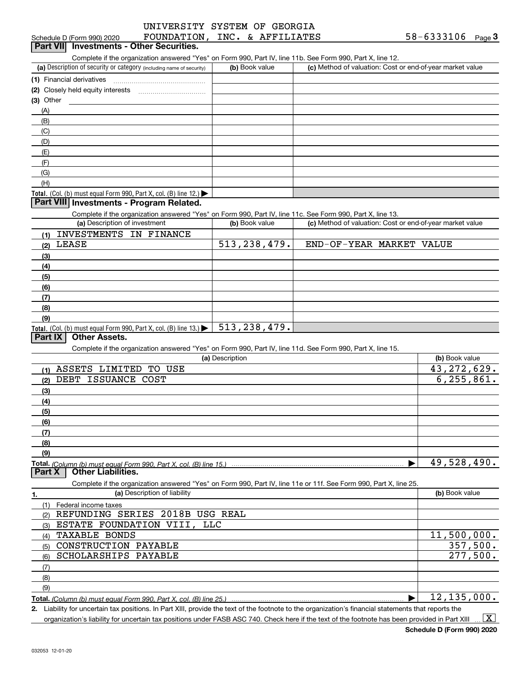| UNIVERSITY SYSTEM OF GEORGIA |  |   |
|------------------------------|--|---|
| $\blacksquare$               |  | . |

Schedule D (Form 990) 2020  ${\bf F}$ OUNDATION, INC. & A ${\bf FFLLLIATES}$  58-6333106 <sub>Page</sub>

# **Schedule D (Form 990) 2020 FOUNDATION,**<br>**Part VII Investments - Other Securities.**

Complete if the organization answered "Yes" on Form 990, Part IV, line 11b. See Form 990, Part X, line 12.

| (a) Description of security or category (including name of security)                   | (b) Book value | (c) Method of valuation: Cost or end-of-year market value |
|----------------------------------------------------------------------------------------|----------------|-----------------------------------------------------------|
| (1) Financial derivatives                                                              |                |                                                           |
| (2) Closely held equity interests                                                      |                |                                                           |
| $(3)$ Other                                                                            |                |                                                           |
| (A)                                                                                    |                |                                                           |
| (B)                                                                                    |                |                                                           |
| (C)                                                                                    |                |                                                           |
| (D)                                                                                    |                |                                                           |
| (E)                                                                                    |                |                                                           |
| (F)                                                                                    |                |                                                           |
| (G)                                                                                    |                |                                                           |
| (H)                                                                                    |                |                                                           |
| Total. (Col. (b) must equal Form 990, Part X, col. (B) line 12.) $\blacktriangleright$ |                |                                                           |

#### **Part VIII Investments - Program Related.**

Complete if the organization answered "Yes" on Form 990, Part IV, line 11c. See Form 990, Part X, line 13.

| (a) Description of investment                                              | (b) Book value | (c) Method of valuation: Cost or end-of-year market value |
|----------------------------------------------------------------------------|----------------|-----------------------------------------------------------|
| INVESTMENTS IN FINANCE                                                     |                |                                                           |
| LEASE<br>(2)                                                               | 513, 238, 479. | END-OF-YEAR MARKET VALUE                                  |
| $\left(3\right)$                                                           |                |                                                           |
| (4)                                                                        |                |                                                           |
| (5)                                                                        |                |                                                           |
| (6)                                                                        |                |                                                           |
| (7)                                                                        |                |                                                           |
| (8)                                                                        |                |                                                           |
| (9)                                                                        |                |                                                           |
| <b>Total.</b> (Col. (b) must equal Form 990, Part X, col. (B) line $13.$ ) | 513, 238, 479. |                                                           |

# **Part IX Other Assets.**

Complete if the organization answered "Yes" on Form 990, Part IV, line 11d. See Form 990, Part X, line 15.

| (a) Description                                                                                                   | (b) Book value |
|-------------------------------------------------------------------------------------------------------------------|----------------|
| ASSETS LIMITED<br>TO<br>USE<br>(1)                                                                                | 43, 272, 629.  |
| DEBT ISSUANCE COST<br>(2)                                                                                         | 6, 255, 861.   |
| (3)                                                                                                               |                |
| (4)                                                                                                               |                |
| (5)                                                                                                               |                |
| (6)                                                                                                               |                |
| (7)                                                                                                               |                |
| (8)                                                                                                               |                |
| (9)                                                                                                               |                |
|                                                                                                                   | 49,528,490.    |
| <b>Other Liabilities.</b><br>Part X                                                                               |                |
| Complete if the organization answered "Yes" on Form 990, Part IV, line 11e or 11f. See Form 990, Part X, line 25. |                |
| (a) Description of liability<br>1.                                                                                | (b) Book value |
| Federal income taxes<br>(1)                                                                                       |                |
| REFUNDING SERIES 2018B USG REAL<br>(2)                                                                            |                |
| ESTATE FOUNDATION VIII, LLC<br>(3)                                                                                |                |
| <b>TAXABLE BONDS</b><br>(4)                                                                                       | 11,500,000.    |
| CONSTRUCTION PAYABLE<br>(5)                                                                                       | 357,500.       |
| SCHOLARSHIPS PAYABLE<br>(6)                                                                                       | 277,500.       |
| (7)                                                                                                               |                |
| (8)                                                                                                               |                |
| (9)                                                                                                               |                |
|                                                                                                                   | 12,135,000.    |

**Total.**  *(Column (b) must equal Form 990, Part X, col. (B) line 25.)* 

Liability for uncertain tax positions. In Part XIII, provide the text of the footnote to the organization's financial statements that reports the

 $\vert$  X  $\vert$ 

organization's liability for uncertain tax positions under FASB ASC 740. Check here if the text of the footnote has been provided in Part XIII

**2.**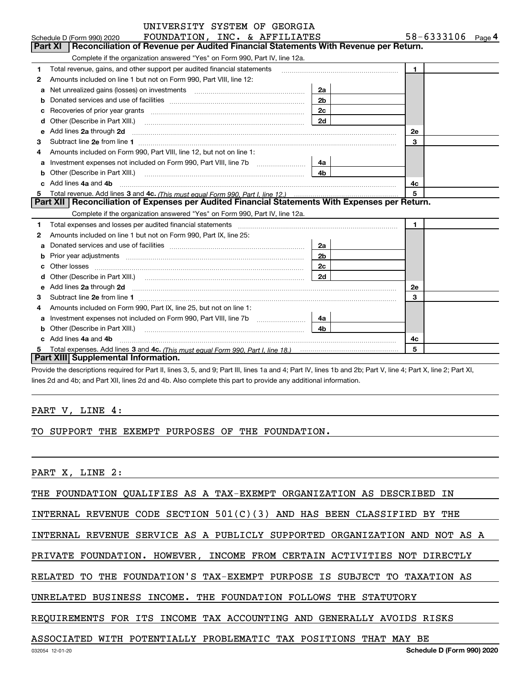|   | UNIVERSITY SYSTEM OF GEORGIA                                                                                                                                                                                                       |                |                   |
|---|------------------------------------------------------------------------------------------------------------------------------------------------------------------------------------------------------------------------------------|----------------|-------------------|
|   | FOUNDATION, INC. & AFFILIATES<br>Schedule D (Form 990) 2020                                                                                                                                                                        |                | 58-6333106 Page 4 |
|   | Reconciliation of Revenue per Audited Financial Statements With Revenue per Return.<br>Part XI                                                                                                                                     |                |                   |
|   | Complete if the organization answered "Yes" on Form 990, Part IV, line 12a.                                                                                                                                                        |                |                   |
| 1 | Total revenue, gains, and other support per audited financial statements                                                                                                                                                           |                | $\blacksquare$    |
| 2 | Amounts included on line 1 but not on Form 990, Part VIII, line 12:                                                                                                                                                                |                |                   |
| a | Net unrealized gains (losses) on investments [11] matter contracts and the unrealized gains (losses) on investments                                                                                                                | 2a             |                   |
|   |                                                                                                                                                                                                                                    | 2 <sub>b</sub> |                   |
| c |                                                                                                                                                                                                                                    | 2c             |                   |
| d |                                                                                                                                                                                                                                    | 2d             |                   |
| e | Add lines 2a through 2d                                                                                                                                                                                                            |                | 2e                |
| 3 |                                                                                                                                                                                                                                    |                | 3                 |
| 4 | Amounts included on Form 990, Part VIII, line 12, but not on line 1:                                                                                                                                                               |                |                   |
| a | Investment expenses not included on Form 990, Part VIII, line 7b [1000000000000000000000000000000000                                                                                                                               | 4a l           |                   |
|   | Other (Describe in Part XIII.) <b>COLOGIST:</b> (2001)                                                                                                                                                                             | 4b             |                   |
|   | Add lines 4a and 4b                                                                                                                                                                                                                |                | 4c                |
| 5 |                                                                                                                                                                                                                                    |                | 5                 |
|   | Part XII   Reconciliation of Expenses per Audited Financial Statements With Expenses per Return.                                                                                                                                   |                |                   |
|   | Complete if the organization answered "Yes" on Form 990, Part IV, line 12a.                                                                                                                                                        |                |                   |
| 1 |                                                                                                                                                                                                                                    |                | $\mathbf{1}$      |
| 2 | Amounts included on line 1 but not on Form 990, Part IX, line 25:                                                                                                                                                                  |                |                   |
| a |                                                                                                                                                                                                                                    | 2a             |                   |
|   |                                                                                                                                                                                                                                    | 2 <sub>b</sub> |                   |
|   |                                                                                                                                                                                                                                    | 2с             |                   |
| d |                                                                                                                                                                                                                                    | 2d             |                   |
| е | Add lines 2a through 2d <b>must be a constructed as the constant of the construction</b> and the state of the state of the state of the state of the state of the state of the state of the state of the state of the state of the |                | 2e                |
| з |                                                                                                                                                                                                                                    |                | 3                 |
| 4 | Amounts included on Form 990, Part IX, line 25, but not on line 1:                                                                                                                                                                 |                |                   |
| a |                                                                                                                                                                                                                                    | 4a -           |                   |
| b |                                                                                                                                                                                                                                    | 4 <sub>b</sub> |                   |
|   | c Add lines 4a and 4b                                                                                                                                                                                                              |                | 4c                |
| 5 |                                                                                                                                                                                                                                    |                | 5                 |
|   | Part XIII Supplemental Information.                                                                                                                                                                                                |                |                   |

Provide the descriptions required for Part II, lines 3, 5, and 9; Part III, lines 1a and 4; Part IV, lines 1b and 2b; Part V, line 4; Part X, line 2; Part XI, lines 2d and 4b; and Part XII, lines 2d and 4b. Also complete this part to provide any additional information.

# PART V, LINE 4:

TO SUPPORT THE EXEMPT PURPOSES OF THE FOUNDATION.

PART X, LINE 2:

THE FOUNDATION QUALIFIES AS A TAX-EXEMPT ORGANIZATION AS DESCRIBED IN

INTERNAL REVENUE CODE SECTION 501(C)(3) AND HAS BEEN CLASSIFIED BY THE

INTERNAL REVENUE SERVICE AS A PUBLICLY SUPPORTED ORGANIZATION AND NOT AS A

PRIVATE FOUNDATION. HOWEVER, INCOME FROM CERTAIN ACTIVITIES NOT DIRECTLY

RELATED TO THE FOUNDATION'S TAX-EXEMPT PURPOSE IS SUBJECT TO TAXATION AS

UNRELATED BUSINESS INCOME. THE FOUNDATION FOLLOWS THE STATUTORY

REQUIREMENTS FOR ITS INCOME TAX ACCOUNTING AND GENERALLY AVOIDS RISKS

#### ASSOCIATED WITH POTENTIALLY PROBLEMATIC TAX POSITIONS THAT MAY BE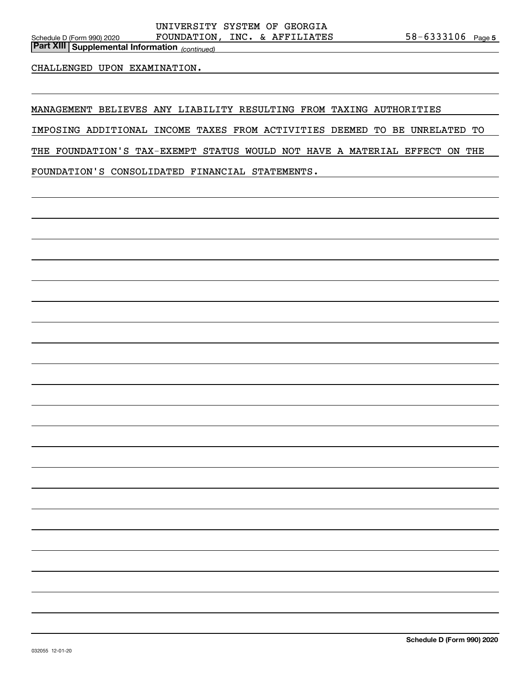*(continued)* **Part XIII Supplemental Information** 

#### CHALLENGED UPON EXAMINATION.

MANAGEMENT BELIEVES ANY LIABILITY RESULTING FROM TAXING AUTHORITIES

IMPOSING ADDITIONAL INCOME TAXES FROM ACTIVITIES DEEMED TO BE UNRELATED TO

THE FOUNDATION'S TAX-EXEMPT STATUS WOULD NOT HAVE A MATERIAL EFFECT ON THE

FOUNDATION'S CONSOLIDATED FINANCIAL STATEMENTS.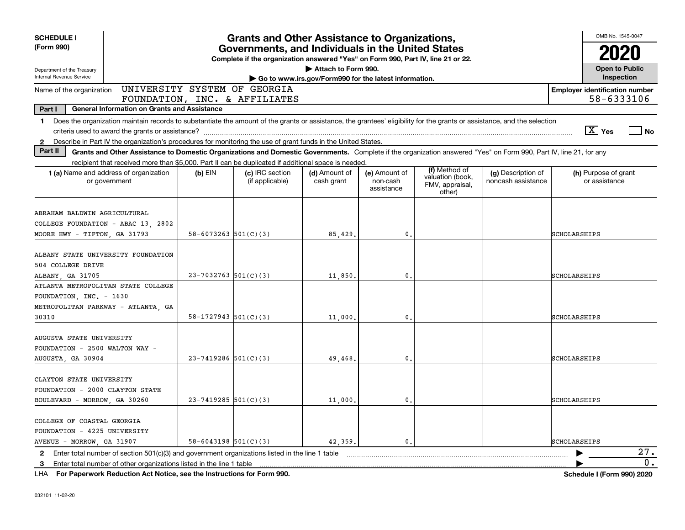| <b>SCHEDULE I</b>                                                                           |                                                                                                                                                                                                                                                                                           |                            | <b>Grants and Other Assistance to Organizations,</b>                                                                                  |                                                                              |                                         |                                                                |                                          |                                       | OMB No. 1545-0047                     |           |
|---------------------------------------------------------------------------------------------|-------------------------------------------------------------------------------------------------------------------------------------------------------------------------------------------------------------------------------------------------------------------------------------------|----------------------------|---------------------------------------------------------------------------------------------------------------------------------------|------------------------------------------------------------------------------|-----------------------------------------|----------------------------------------------------------------|------------------------------------------|---------------------------------------|---------------------------------------|-----------|
| (Form 990)                                                                                  |                                                                                                                                                                                                                                                                                           |                            | Governments, and Individuals in the United States<br>Complete if the organization answered "Yes" on Form 990, Part IV, line 21 or 22. |                                                                              |                                         |                                                                |                                          |                                       |                                       |           |
| Department of the Treasury<br><b>Internal Revenue Service</b>                               |                                                                                                                                                                                                                                                                                           |                            |                                                                                                                                       | Attach to Form 990.<br>Go to www.irs.gov/Form990 for the latest information. |                                         |                                                                |                                          |                                       | <b>Open to Public</b><br>Inspection   |           |
| Name of the organization                                                                    |                                                                                                                                                                                                                                                                                           |                            | UNIVERSITY SYSTEM OF GEORGIA<br>FOUNDATION, INC. & AFFILIATES                                                                         |                                                                              |                                         |                                                                |                                          | <b>Employer identification number</b> | 58-6333106                            |           |
| Part I                                                                                      | <b>General Information on Grants and Assistance</b>                                                                                                                                                                                                                                       |                            |                                                                                                                                       |                                                                              |                                         |                                                                |                                          |                                       |                                       |           |
| $\mathbf 1$<br>$\mathbf{2}$                                                                 | Does the organization maintain records to substantiate the amount of the grants or assistance, the grantees' eligibility for the grants or assistance, and the selection<br>Describe in Part IV the organization's procedures for monitoring the use of grant funds in the United States. |                            |                                                                                                                                       |                                                                              |                                         |                                                                |                                          |                                       | $\boxed{\text{X}}$ Yes                | l No      |
| Part II                                                                                     | Grants and Other Assistance to Domestic Organizations and Domestic Governments. Complete if the organization answered "Yes" on Form 990, Part IV, line 21, for any                                                                                                                        |                            |                                                                                                                                       |                                                                              |                                         |                                                                |                                          |                                       |                                       |           |
|                                                                                             | recipient that received more than \$5,000. Part II can be duplicated if additional space is needed.                                                                                                                                                                                       |                            |                                                                                                                                       |                                                                              |                                         |                                                                |                                          |                                       |                                       |           |
|                                                                                             | 1 (a) Name and address of organization<br>or government                                                                                                                                                                                                                                   | $(b)$ EIN                  | (c) IRC section<br>(if applicable)                                                                                                    | (d) Amount of<br>cash grant                                                  | (e) Amount of<br>non-cash<br>assistance | (f) Method of<br>valuation (book,<br>FMV, appraisal,<br>other) | (g) Description of<br>noncash assistance |                                       | (h) Purpose of grant<br>or assistance |           |
| ABRAHAM BALDWIN AGRICULTURAL<br>MOORE HWY - TIFTON, GA 31793                                | COLLEGE FOUNDATION - ABAC 13, 2802                                                                                                                                                                                                                                                        | $58 - 6073263$ $501(C)(3)$ |                                                                                                                                       | 85,429.                                                                      | 0.                                      |                                                                |                                          | SCHOLARSHIPS                          |                                       |           |
| 504 COLLEGE DRIVE<br>ALBANY, GA 31705                                                       | ALBANY STATE UNIVERSITY FOUNDATION                                                                                                                                                                                                                                                        | $23 - 7032763$ 501(C)(3)   |                                                                                                                                       | 11,850.                                                                      | 0.                                      |                                                                |                                          | SCHOLARSHIPS                          |                                       |           |
| FOUNDATION, INC. - 1630<br>30310                                                            | ATLANTA METROPOLITAN STATE COLLEGE<br>METROPOLITAN PARKWAY - ATLANTA, GA                                                                                                                                                                                                                  | $58-1727943$ $501(C)(3)$   |                                                                                                                                       |                                                                              | 0.                                      |                                                                |                                          | SCHOLARSHIPS                          |                                       |           |
| AUGUSTA STATE UNIVERSITY<br>FOUNDATION - 2500 WALTON WAY -<br>AUGUSTA, GA 30904             |                                                                                                                                                                                                                                                                                           | $23 - 7419286$ 501(C)(3)   |                                                                                                                                       | 11,000.<br>49,468                                                            | 0.                                      |                                                                |                                          | SCHOLARSHIPS                          |                                       |           |
| CLAYTON STATE UNIVERSITY<br>FOUNDATION - 2000 CLAYTON STATE<br>BOULEVARD - MORROW, GA 30260 |                                                                                                                                                                                                                                                                                           | $23 - 7419285$ 501(C)(3)   |                                                                                                                                       | 11,000.                                                                      | 0.                                      |                                                                |                                          | SCHOLARSHIPS                          |                                       |           |
| COLLEGE OF COASTAL GEORGIA<br>FOUNDATION - 4225 UNIVERSITY<br>AVENUE - MORROW, GA 31907     |                                                                                                                                                                                                                                                                                           | $58 - 6043198$ $501(C)(3)$ |                                                                                                                                       | 42.359.                                                                      | 0.                                      |                                                                |                                          | SCHOLARSHIPS                          |                                       |           |
|                                                                                             | 2 Enter total number of section 501(c)(3) and government organizations listed in the line 1 table                                                                                                                                                                                         |                            |                                                                                                                                       |                                                                              |                                         |                                                                |                                          |                                       |                                       | 27.<br>0. |
|                                                                                             | 3 Enter total number of other organizations listed in the line 1 table                                                                                                                                                                                                                    |                            |                                                                                                                                       |                                                                              |                                         |                                                                |                                          |                                       |                                       |           |

**For Paperwork Reduction Act Notice, see the Instructions for Form 990. Schedule I (Form 990) 2020** LHA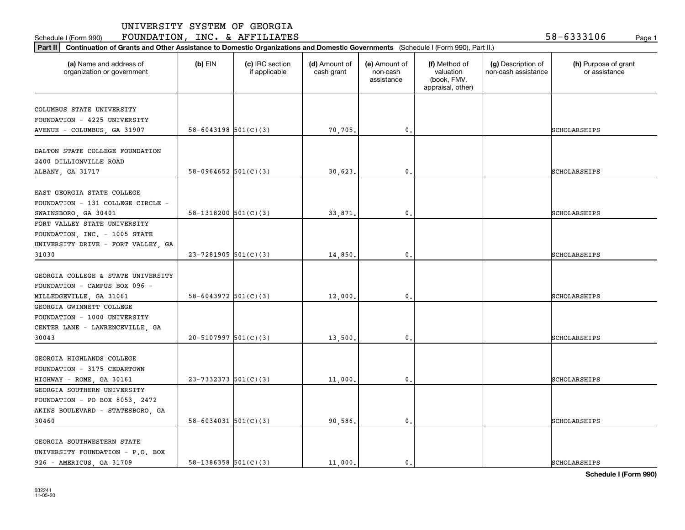Schedule I (Form 990) **FOUNDATION, INC. & AFFILIATES** 5 8-6 3 3 3 1 0 6 Page 1

| (a) Name and address of<br>organization or government        | $(b)$ EIN                  | (c) IRC section<br>if applicable | (d) Amount of<br>cash grant | (e) Amount of<br>non-cash<br>assistance | (f) Method of<br>valuation<br>(book, FMV,<br>appraisal, other) | (g) Description of<br>non-cash assistance | (h) Purpose of grant<br>or assistance |
|--------------------------------------------------------------|----------------------------|----------------------------------|-----------------------------|-----------------------------------------|----------------------------------------------------------------|-------------------------------------------|---------------------------------------|
| COLUMBUS STATE UNIVERSITY                                    |                            |                                  |                             |                                         |                                                                |                                           |                                       |
| FOUNDATION - 4225 UNIVERSITY                                 |                            |                                  |                             |                                         |                                                                |                                           |                                       |
| AVENUE - COLUMBUS, GA 31907                                  | $58 - 6043198$ $501(C)(3)$ |                                  | 70,705.                     | 0.                                      |                                                                |                                           | SCHOLARSHIPS                          |
|                                                              |                            |                                  |                             |                                         |                                                                |                                           |                                       |
| DALTON STATE COLLEGE FOUNDATION                              |                            |                                  |                             |                                         |                                                                |                                           |                                       |
| 2400 DILLIONVILLE ROAD                                       |                            |                                  |                             |                                         |                                                                |                                           |                                       |
| ALBANY, GA 31717                                             | 58-0964652 $501(C)(3)$     |                                  | 30,623.                     | 0.                                      |                                                                |                                           | SCHOLARSHIPS                          |
|                                                              |                            |                                  |                             |                                         |                                                                |                                           |                                       |
| EAST GEORGIA STATE COLLEGE                                   |                            |                                  |                             |                                         |                                                                |                                           |                                       |
| FOUNDATION - 131 COLLEGE CIRCLE -                            |                            |                                  |                             |                                         |                                                                |                                           |                                       |
| SWAINSBORO, GA 30401                                         | 58-1318200 $501(C)(3)$     |                                  | 33,871.                     | $\mathbf{0}$ .                          |                                                                |                                           | SCHOLARSHIPS                          |
| FORT VALLEY STATE UNIVERSITY                                 |                            |                                  |                             |                                         |                                                                |                                           |                                       |
| FOUNDATION, INC. - 1005 STATE                                |                            |                                  |                             |                                         |                                                                |                                           |                                       |
| UNIVERSITY DRIVE - FORT VALLEY, GA                           |                            |                                  |                             |                                         |                                                                |                                           |                                       |
| 31030                                                        | $23 - 7281905$ 501(C)(3)   |                                  | 14,850.                     | 0.                                      |                                                                |                                           | SCHOLARSHIPS                          |
|                                                              |                            |                                  |                             |                                         |                                                                |                                           |                                       |
| GEORGIA COLLEGE & STATE UNIVERSITY                           |                            |                                  |                             |                                         |                                                                |                                           |                                       |
| FOUNDATION - CAMPUS BOX 096 -                                |                            |                                  |                             |                                         |                                                                |                                           |                                       |
| MILLEDGEVILLE, GA 31061                                      | $58 - 6043972$ $501(C)(3)$ |                                  | 12,000.                     | $\mathbf{0}$                            |                                                                |                                           | SCHOLARSHIPS                          |
| GEORGIA GWINNETT COLLEGE                                     |                            |                                  |                             |                                         |                                                                |                                           |                                       |
| FOUNDATION - 1000 UNIVERSITY                                 |                            |                                  |                             |                                         |                                                                |                                           |                                       |
| CENTER LANE - LAWRENCEVILLE, GA                              |                            |                                  |                             |                                         |                                                                |                                           |                                       |
| 30043                                                        | $20-5107997$ 501(C)(3)     |                                  | 13,500.                     | 0.                                      |                                                                |                                           | SCHOLARSHIPS                          |
|                                                              |                            |                                  |                             |                                         |                                                                |                                           |                                       |
| GEORGIA HIGHLANDS COLLEGE                                    |                            |                                  |                             |                                         |                                                                |                                           |                                       |
| FOUNDATION - 3175 CEDARTOWN                                  |                            |                                  |                             |                                         |                                                                |                                           |                                       |
| HIGHWAY - ROME, GA 30161                                     | $23 - 7332373$ 501(C)(3)   |                                  | 11,000.                     | 0.                                      |                                                                |                                           | SCHOLARSHIPS                          |
| GEORGIA SOUTHERN UNIVERSITY                                  |                            |                                  |                             |                                         |                                                                |                                           |                                       |
| FOUNDATION - PO BOX 8053, 2472                               |                            |                                  |                             |                                         |                                                                |                                           |                                       |
| AKINS BOULEVARD - STATESBORO, GA                             |                            |                                  |                             |                                         |                                                                |                                           |                                       |
| 30460                                                        | $58 - 6034031$ $501(C)(3)$ |                                  | 90,586.                     | 0.                                      |                                                                |                                           | SCHOLARSHIPS                          |
|                                                              |                            |                                  |                             |                                         |                                                                |                                           |                                       |
| GEORGIA SOUTHWESTERN STATE                                   |                            |                                  |                             |                                         |                                                                |                                           |                                       |
| UNIVERSITY FOUNDATION - P.O. BOX<br>926 - AMERICUS, GA 31709 |                            |                                  |                             |                                         |                                                                |                                           |                                       |
|                                                              | 58-1386358 $501(C)(3)$     |                                  | 11,000.                     | $\mathbf{0}$                            |                                                                |                                           | SCHOLARSHIPS                          |

**Schedule I (Form 990)**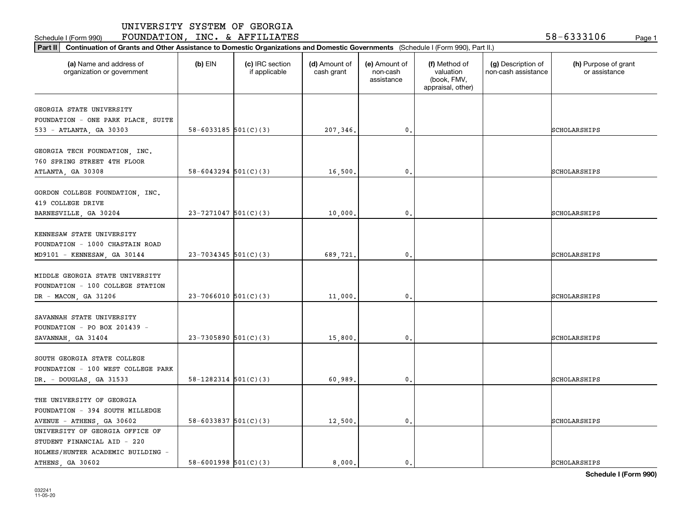Schedule I (Form 990) **FOUNDATION, INC. & AFFILIATES** 5 8-6 3 3 3 1 0 6 Page 1

| (a) Name and address of<br>organization or government         | $(b)$ EIN                  | (c) IRC section<br>if applicable | (d) Amount of<br>cash grant | (e) Amount of<br>non-cash<br>assistance | (f) Method of<br>valuation<br>(book, FMV,<br>appraisal, other) | (g) Description of<br>non-cash assistance | (h) Purpose of grant<br>or assistance |
|---------------------------------------------------------------|----------------------------|----------------------------------|-----------------------------|-----------------------------------------|----------------------------------------------------------------|-------------------------------------------|---------------------------------------|
|                                                               |                            |                                  |                             |                                         |                                                                |                                           |                                       |
| GEORGIA STATE UNIVERSITY                                      |                            |                                  |                             |                                         |                                                                |                                           |                                       |
| FOUNDATION - ONE PARK PLACE, SUITE<br>533 - ATLANTA, GA 30303 | 58-6033185 $501(C)(3)$     |                                  | 207,346.                    | 0.                                      |                                                                |                                           | SCHOLARSHIPS                          |
|                                                               |                            |                                  |                             |                                         |                                                                |                                           |                                       |
| GEORGIA TECH FOUNDATION, INC.                                 |                            |                                  |                             |                                         |                                                                |                                           |                                       |
| 760 SPRING STREET 4TH FLOOR                                   |                            |                                  |                             |                                         |                                                                |                                           |                                       |
| ATLANTA, GA 30308                                             | $58 - 6043294$ $501(C)(3)$ |                                  | 16,500.                     | 0.                                      |                                                                |                                           | SCHOLARSHIPS                          |
|                                                               |                            |                                  |                             |                                         |                                                                |                                           |                                       |
| GORDON COLLEGE FOUNDATION, INC.                               |                            |                                  |                             |                                         |                                                                |                                           |                                       |
| 419 COLLEGE DRIVE                                             |                            |                                  |                             |                                         |                                                                |                                           |                                       |
| BARNESVILLE, GA 30204                                         | $23 - 7271047$ 501(C)(3)   |                                  | 10,000.                     | $\mathbf{0}$ .                          |                                                                |                                           | SCHOLARSHIPS                          |
| KENNESAW STATE UNIVERSITY                                     |                            |                                  |                             |                                         |                                                                |                                           |                                       |
| FOUNDATION - 1000 CHASTAIN ROAD                               |                            |                                  |                             |                                         |                                                                |                                           |                                       |
| MD9101 - KENNESAW, GA 30144                                   | $23 - 7034345$ 501(C)(3)   |                                  | 689,721.                    | 0.                                      |                                                                |                                           | SCHOLARSHIPS                          |
|                                                               |                            |                                  |                             |                                         |                                                                |                                           |                                       |
| MIDDLE GEORGIA STATE UNIVERSITY                               |                            |                                  |                             |                                         |                                                                |                                           |                                       |
| FOUNDATION - 100 COLLEGE STATION                              |                            |                                  |                             |                                         |                                                                |                                           |                                       |
| DR - MACON, GA 31206                                          | $23-7066010$ 501(C)(3)     |                                  | 11,000.                     | $\mathbf{0}$                            |                                                                |                                           | SCHOLARSHIPS                          |
|                                                               |                            |                                  |                             |                                         |                                                                |                                           |                                       |
| SAVANNAH STATE UNIVERSITY                                     |                            |                                  |                             |                                         |                                                                |                                           |                                       |
| FOUNDATION - PO BOX 201439 -                                  |                            |                                  |                             |                                         |                                                                |                                           |                                       |
| SAVANNAH, GA 31404                                            | $23 - 7305890$ 501(C)(3)   |                                  | 15,800.                     | 0.                                      |                                                                |                                           | SCHOLARSHIPS                          |
|                                                               |                            |                                  |                             |                                         |                                                                |                                           |                                       |
| SOUTH GEORGIA STATE COLLEGE                                   |                            |                                  |                             |                                         |                                                                |                                           |                                       |
| FOUNDATION - 100 WEST COLLEGE PARK                            |                            |                                  |                             |                                         |                                                                |                                           |                                       |
| DR. - DOUGLAS, GA 31533                                       | $58 - 1282314$ $501(C)(3)$ |                                  | 60,989.                     | 0.                                      |                                                                |                                           | SCHOLARSHIPS                          |
| THE UNIVERSITY OF GEORGIA                                     |                            |                                  |                             |                                         |                                                                |                                           |                                       |
| FOUNDATION - 394 SOUTH MILLEDGE                               |                            |                                  |                             |                                         |                                                                |                                           |                                       |
| AVENUE - ATHENS, GA 30602                                     | $58 - 6033837$ $501(C)(3)$ |                                  | 12,500.                     | 0.                                      |                                                                |                                           | SCHOLARSHIPS                          |
| UNIVERSITY OF GEORGIA OFFICE OF                               |                            |                                  |                             |                                         |                                                                |                                           |                                       |
| STUDENT FINANCIAL AID - 220                                   |                            |                                  |                             |                                         |                                                                |                                           |                                       |
| HOLMES/HUNTER ACADEMIC BUILDING -                             |                            |                                  |                             |                                         |                                                                |                                           |                                       |
| ATHENS, GA 30602                                              | $58 - 6001998$ $501(C)(3)$ |                                  | 8.000.                      | $\mathbf{0}$                            |                                                                |                                           | SCHOLARSHIPS                          |

**Schedule I (Form 990)**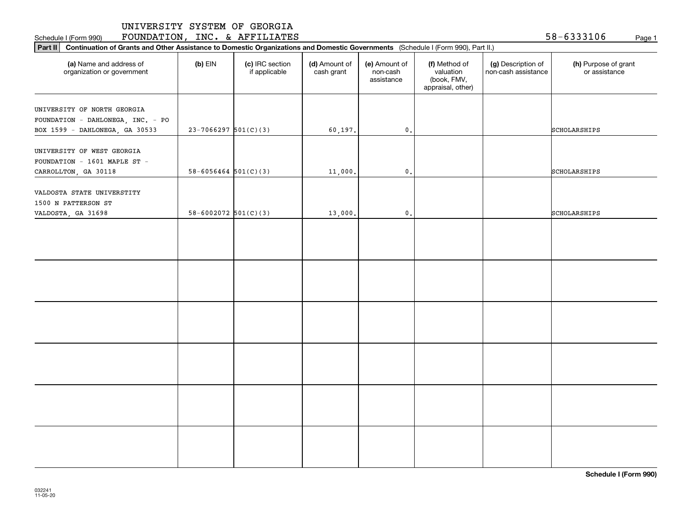Schedule I (Form 990) **FOUNDATION, INC. & AFFILIATES** 5 8-6 3 3 3 1 0 6 <sub>Page 1</sub>

| Continuation of Grants and Other Assistance to Domestic Organizations and Domestic Governments (Schedule I (Form 990), Part II.)<br>Part II |                            |                                  |                             |                                         |                                                                |                                           |                                       |  |  |  |  |  |  |
|---------------------------------------------------------------------------------------------------------------------------------------------|----------------------------|----------------------------------|-----------------------------|-----------------------------------------|----------------------------------------------------------------|-------------------------------------------|---------------------------------------|--|--|--|--|--|--|
| (a) Name and address of<br>organization or government                                                                                       | $(b)$ EIN                  | (c) IRC section<br>if applicable | (d) Amount of<br>cash grant | (e) Amount of<br>non-cash<br>assistance | (f) Method of<br>valuation<br>(book, FMV,<br>appraisal, other) | (g) Description of<br>non-cash assistance | (h) Purpose of grant<br>or assistance |  |  |  |  |  |  |
| UNIVERSITY OF NORTH GEORGIA<br>FOUNDATION - DAHLONEGA, INC. - PO<br>BOX 1599 - DAHLONEGA, GA 30533                                          | $23 - 7066297$ 501(C)(3)   |                                  | 60,197.                     | $\mathsf{0}$ .                          |                                                                |                                           | SCHOLARSHIPS                          |  |  |  |  |  |  |
| UNIVERSITY OF WEST GEORGIA<br>FOUNDATION - 1601 MAPLE ST -<br>CARROLLTON, GA 30118                                                          | $58 - 6056464$ $501(C)(3)$ |                                  | 11,000.                     | $\mathfrak{o}$ .                        |                                                                |                                           | SCHOLARSHIPS                          |  |  |  |  |  |  |
| VALDOSTA STATE UNIVERSTITY<br>1500 N PATTERSON ST<br>VALDOSTA, GA 31698                                                                     | $58 - 6002072$ $501(C)(3)$ |                                  | 13,000.                     | $\mathfrak{o}$ .                        |                                                                |                                           | SCHOLARSHIPS                          |  |  |  |  |  |  |
|                                                                                                                                             |                            |                                  |                             |                                         |                                                                |                                           |                                       |  |  |  |  |  |  |
|                                                                                                                                             |                            |                                  |                             |                                         |                                                                |                                           |                                       |  |  |  |  |  |  |
|                                                                                                                                             |                            |                                  |                             |                                         |                                                                |                                           |                                       |  |  |  |  |  |  |
|                                                                                                                                             |                            |                                  |                             |                                         |                                                                |                                           |                                       |  |  |  |  |  |  |
|                                                                                                                                             |                            |                                  |                             |                                         |                                                                |                                           |                                       |  |  |  |  |  |  |
|                                                                                                                                             |                            |                                  |                             |                                         |                                                                |                                           |                                       |  |  |  |  |  |  |

**Schedule I (Form 990)**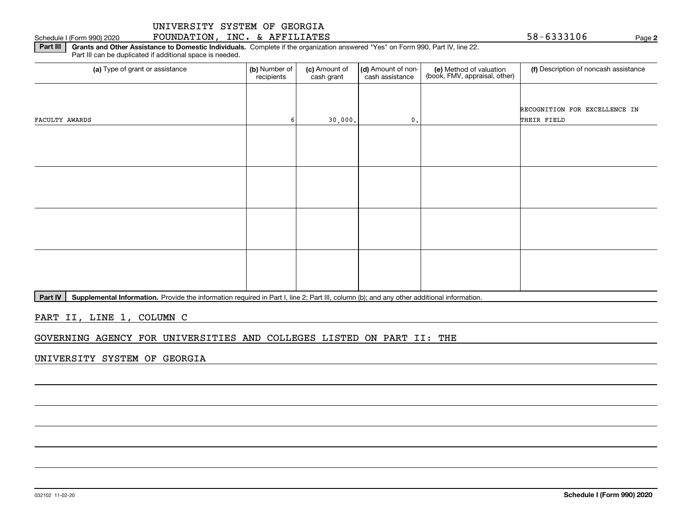#### Schedule I (Form 990) 2020 **FOUNDATION, INC. & AFFILIATES** 5 8-6 3 3 3 1 0 6 Page

**2**

**Part III | Grants and Other Assistance to Domestic Individuals. Complete if the organization answered "Yes" on Form 990, Part IV, line 22.** Part III can be duplicated if additional space is needed.

| (a) Type of grant or assistance | (b) Number of<br>recipients | (c) Amount of<br>cash grant | (d) Amount of non-<br>cash assistance | (e) Method of valuation<br>(book, FMV, appraisal, other) | (f) Description of noncash assistance |
|---------------------------------|-----------------------------|-----------------------------|---------------------------------------|----------------------------------------------------------|---------------------------------------|
|                                 |                             |                             |                                       |                                                          |                                       |
|                                 |                             |                             |                                       |                                                          | RECOGNITION FOR EXCELLENCE IN         |
| FACULTY AWARDS                  | -6                          | 30,000.                     | $\mathbf 0$ .                         |                                                          | THEIR FIELD                           |
|                                 |                             |                             |                                       |                                                          |                                       |
|                                 |                             |                             |                                       |                                                          |                                       |
|                                 |                             |                             |                                       |                                                          |                                       |
|                                 |                             |                             |                                       |                                                          |                                       |
|                                 |                             |                             |                                       |                                                          |                                       |
|                                 |                             |                             |                                       |                                                          |                                       |
|                                 |                             |                             |                                       |                                                          |                                       |
|                                 |                             |                             |                                       |                                                          |                                       |
|                                 |                             |                             |                                       |                                                          |                                       |
|                                 |                             |                             |                                       |                                                          |                                       |
|                                 |                             |                             |                                       |                                                          |                                       |
|                                 |                             |                             |                                       |                                                          |                                       |

Part IV | Supplemental Information. Provide the information required in Part I, line 2; Part III, column (b); and any other additional information.

PART II, LINE 1, COLUMN C

GOVERNING AGENCY FOR UNIVERSITIES AND COLLEGES LISTED ON PART II: THE

UNIVERSITY SYSTEM OF GEORGIA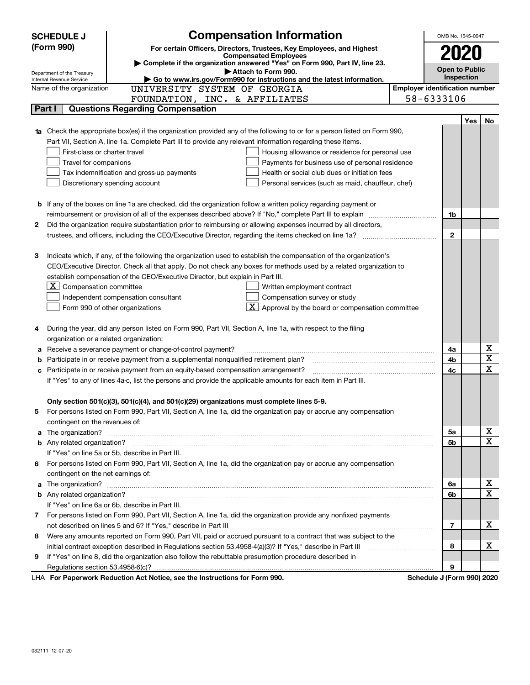|   | <b>Compensation Information</b><br><b>SCHEDULE J</b>                                                                             |                                       | OMB No. 1545-0047     |     |    |
|---|----------------------------------------------------------------------------------------------------------------------------------|---------------------------------------|-----------------------|-----|----|
|   | (Form 990)<br>For certain Officers, Directors, Trustees, Key Employees, and Highest                                              |                                       |                       |     |    |
|   | <b>Compensated Employees</b>                                                                                                     |                                       | 2020                  |     |    |
|   | Complete if the organization answered "Yes" on Form 990, Part IV, line 23.<br>Attach to Form 990.                                |                                       | <b>Open to Public</b> |     |    |
|   | Department of the Treasury<br>Go to www.irs.gov/Form990 for instructions and the latest information.<br>Internal Revenue Service |                                       | Inspection            |     |    |
|   | UNIVERSITY SYSTEM OF GEORGIA<br>Name of the organization                                                                         | <b>Employer identification number</b> |                       |     |    |
|   | FOUNDATION, INC. & AFFILIATES                                                                                                    | 58-6333106                            |                       |     |    |
|   | <b>Questions Regarding Compensation</b><br>Part I                                                                                |                                       |                       |     |    |
|   |                                                                                                                                  |                                       |                       | Yes | No |
|   | Check the appropriate box(es) if the organization provided any of the following to or for a person listed on Form 990,           |                                       |                       |     |    |
|   | Part VII, Section A, line 1a. Complete Part III to provide any relevant information regarding these items.                       |                                       |                       |     |    |
|   | First-class or charter travel<br>Housing allowance or residence for personal use                                                 |                                       |                       |     |    |
|   | Travel for companions<br>Payments for business use of personal residence                                                         |                                       |                       |     |    |
|   | Health or social club dues or initiation fees<br>Tax indemnification and gross-up payments                                       |                                       |                       |     |    |
|   | Discretionary spending account<br>Personal services (such as maid, chauffeur, chef)                                              |                                       |                       |     |    |
|   |                                                                                                                                  |                                       |                       |     |    |
| b | If any of the boxes on line 1a are checked, did the organization follow a written policy regarding payment or                    |                                       |                       |     |    |
|   | reimbursement or provision of all of the expenses described above? If "No," complete Part III to explain                         |                                       | 1b                    |     |    |
| 2 | Did the organization require substantiation prior to reimbursing or allowing expenses incurred by all directors,                 |                                       | $\mathbf{2}$          |     |    |
|   |                                                                                                                                  |                                       |                       |     |    |
| З | Indicate which, if any, of the following the organization used to establish the compensation of the organization's               |                                       |                       |     |    |
|   | CEO/Executive Director. Check all that apply. Do not check any boxes for methods used by a related organization to               |                                       |                       |     |    |
|   | establish compensation of the CEO/Executive Director, but explain in Part III.                                                   |                                       |                       |     |    |
|   | $X$ Compensation committee<br>Written employment contract                                                                        |                                       |                       |     |    |
|   | Compensation survey or study<br>Independent compensation consultant                                                              |                                       |                       |     |    |
|   | $\boxed{\textbf{X}}$ Approval by the board or compensation committee<br>Form 990 of other organizations                          |                                       |                       |     |    |
|   |                                                                                                                                  |                                       |                       |     |    |
| 4 | During the year, did any person listed on Form 990, Part VII, Section A, line 1a, with respect to the filing                     |                                       |                       |     |    |
|   | organization or a related organization:                                                                                          |                                       |                       |     |    |
| а | Receive a severance payment or change-of-control payment?                                                                        |                                       | 4a                    |     | х  |
| b | Participate in or receive payment from a supplemental nonqualified retirement plan?                                              |                                       | 4b                    |     | X  |
|   | Participate in or receive payment from an equity-based compensation arrangement?                                                 |                                       | 4с                    |     | х  |
|   | If "Yes" to any of lines 4a-c, list the persons and provide the applicable amounts for each item in Part III.                    |                                       |                       |     |    |
|   |                                                                                                                                  |                                       |                       |     |    |
|   | Only section 501(c)(3), 501(c)(4), and 501(c)(29) organizations must complete lines 5-9.                                         |                                       |                       |     |    |
| 5 | For persons listed on Form 990, Part VII, Section A, line 1a, did the organization pay or accrue any compensation                |                                       |                       |     |    |
|   | contingent on the revenues of:                                                                                                   |                                       |                       |     |    |
| a |                                                                                                                                  |                                       | 5a                    |     | х  |
|   |                                                                                                                                  |                                       | 5b                    |     | х  |
|   | If "Yes" on line 5a or 5b, describe in Part III.                                                                                 |                                       |                       |     |    |
|   | 6 For persons listed on Form 990, Part VII, Section A, line 1a, did the organization pay or accrue any compensation              |                                       |                       |     |    |
|   | contingent on the net earnings of:                                                                                               |                                       |                       |     | X  |
| a |                                                                                                                                  |                                       | 6a                    |     | х  |
|   |                                                                                                                                  |                                       | 6b                    |     |    |
|   | If "Yes" on line 6a or 6b, describe in Part III.                                                                                 |                                       |                       |     |    |
|   | 7 For persons listed on Form 990, Part VII, Section A, line 1a, did the organization provide any nonfixed payments               |                                       | 7                     |     | x  |
|   | Were any amounts reported on Form 990, Part VII, paid or accrued pursuant to a contract that was subject to the                  |                                       |                       |     |    |
| 8 | initial contract exception described in Regulations section 53.4958-4(a)(3)? If "Yes," describe in Part III                      |                                       | 8                     |     | x  |
| 9 | If "Yes" on line 8, did the organization also follow the rebuttable presumption procedure described in                           |                                       |                       |     |    |
|   |                                                                                                                                  |                                       | 9                     |     |    |
|   | $1 \mu\Lambda$ For Deparwork Reduction Act Notice, see the Instructions for Form 000                                             | Schedule 1 (Form 990) 2020            |                       |     |    |

LHA For Paperwork Reduction Act Notice, see the Instructions for Form 990. Schedule J (Form 990) 2020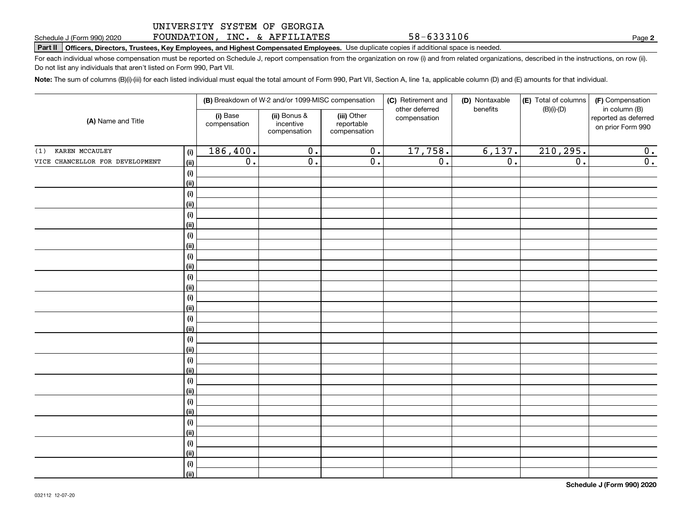#### UNIVERSITY SYSTEM OF GEORGIA FOUNDATION, INC. & AFFILIATES

**Part II Officers, Directors, Trustees, Key Employees, and Highest Compensated Employees.**  Schedule J (Form 990) 2020 Page Use duplicate copies if additional space is needed.

For each individual whose compensation must be reported on Schedule J, report compensation from the organization on row (i) and from related organizations, described in the instructions, on row (ii). Do not list any individuals that aren't listed on Form 990, Part VII.

**Note:**  The sum of columns (B)(i)-(iii) for each listed individual must equal the total amount of Form 990, Part VII, Section A, line 1a, applicable column (D) and (E) amounts for that individual.

|                                 |             |                          | (B) Breakdown of W-2 and/or 1099-MISC compensation |                                           | (C) Retirement and<br>other deferred | (D) Nontaxable<br>benefits | (E) Total of columns<br>(F) Compensation<br>$(B)(i)-(D)$<br>in column (B) |                                           |  |
|---------------------------------|-------------|--------------------------|----------------------------------------------------|-------------------------------------------|--------------------------------------|----------------------------|---------------------------------------------------------------------------|-------------------------------------------|--|
| (A) Name and Title              |             | (i) Base<br>compensation | (ii) Bonus &<br>incentive<br>compensation          | (iii) Other<br>reportable<br>compensation | compensation                         |                            |                                                                           | reported as deferred<br>on prior Form 990 |  |
| KAREN MCCAULEY<br>(1)           | (i)         | 186,400.                 | $\overline{0}$ .                                   | $\overline{0}$ .                          | 17,758.                              | 6,137.                     | 210, 295.                                                                 | 0.                                        |  |
| VICE CHANCELLOR FOR DEVELOPMENT | (ii)        | $\overline{0}$ .         | $\overline{0}$ .                                   | $\overline{0}$ .                          | $\overline{0}$ .                     | $\overline{0}$ .           | $\overline{0}$ .                                                          | $\overline{0}$ .                          |  |
|                                 | $(\sf{i})$  |                          |                                                    |                                           |                                      |                            |                                                                           |                                           |  |
|                                 | (ii)        |                          |                                                    |                                           |                                      |                            |                                                                           |                                           |  |
|                                 | (i)         |                          |                                                    |                                           |                                      |                            |                                                                           |                                           |  |
|                                 | (ii)        |                          |                                                    |                                           |                                      |                            |                                                                           |                                           |  |
|                                 | (i)         |                          |                                                    |                                           |                                      |                            |                                                                           |                                           |  |
|                                 | (ii)        |                          |                                                    |                                           |                                      |                            |                                                                           |                                           |  |
|                                 | (i)         |                          |                                                    |                                           |                                      |                            |                                                                           |                                           |  |
|                                 | (ii)        |                          |                                                    |                                           |                                      |                            |                                                                           |                                           |  |
|                                 | (i)         |                          |                                                    |                                           |                                      |                            |                                                                           |                                           |  |
|                                 | (ii)        |                          |                                                    |                                           |                                      |                            |                                                                           |                                           |  |
|                                 | (i)         |                          |                                                    |                                           |                                      |                            |                                                                           |                                           |  |
|                                 | (ii)        |                          |                                                    |                                           |                                      |                            |                                                                           |                                           |  |
|                                 | (i)<br>(ii) |                          |                                                    |                                           |                                      |                            |                                                                           |                                           |  |
|                                 | (i)         |                          |                                                    |                                           |                                      |                            |                                                                           |                                           |  |
|                                 | (ii)        |                          |                                                    |                                           |                                      |                            |                                                                           |                                           |  |
|                                 | (i)         |                          |                                                    |                                           |                                      |                            |                                                                           |                                           |  |
|                                 | (ii)        |                          |                                                    |                                           |                                      |                            |                                                                           |                                           |  |
|                                 | (i)         |                          |                                                    |                                           |                                      |                            |                                                                           |                                           |  |
|                                 | (ii)        |                          |                                                    |                                           |                                      |                            |                                                                           |                                           |  |
|                                 | (i)         |                          |                                                    |                                           |                                      |                            |                                                                           |                                           |  |
|                                 | (ii)        |                          |                                                    |                                           |                                      |                            |                                                                           |                                           |  |
|                                 | (i)         |                          |                                                    |                                           |                                      |                            |                                                                           |                                           |  |
|                                 | (ii)        |                          |                                                    |                                           |                                      |                            |                                                                           |                                           |  |
|                                 | (i)         |                          |                                                    |                                           |                                      |                            |                                                                           |                                           |  |
|                                 | (ii)        |                          |                                                    |                                           |                                      |                            |                                                                           |                                           |  |
|                                 | (i)         |                          |                                                    |                                           |                                      |                            |                                                                           |                                           |  |
|                                 | (ii)        |                          |                                                    |                                           |                                      |                            |                                                                           |                                           |  |
|                                 | (i)         |                          |                                                    |                                           |                                      |                            |                                                                           |                                           |  |
|                                 | (ii)        |                          |                                                    |                                           |                                      |                            |                                                                           |                                           |  |

**2**

58-6333106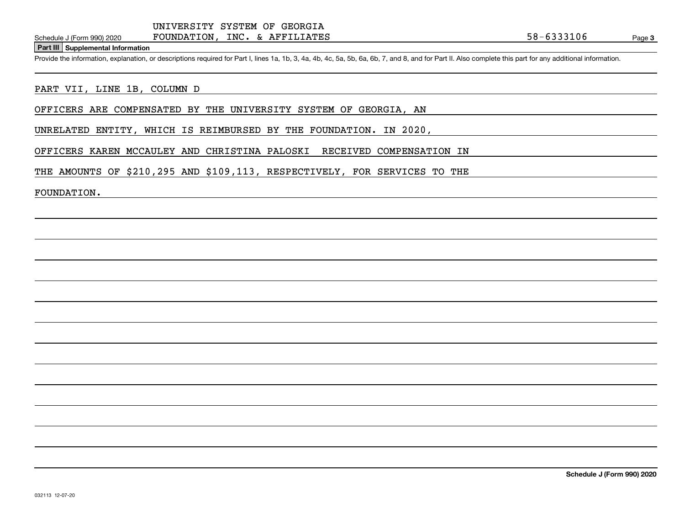#### FOUNDATION, INC. & AFFILIATES

**Part III Supplemental Information**

Schedule J (Form 990) 2020 FOUNDATION, INC. & AFFILIATES<br>Part III Supplemental Information<br>Provide the information, explanation, or descriptions required for Part I, lines 1a, 1b, 3, 4a, 4b, 4c, 5a, 5b, 6a, 6b, 7, and 8, a

#### PART VII, LINE 1B, COLUMN D

OFFICERS ARE COMPENSATED BY THE UNIVERSITY SYSTEM OF GEORGIA, AN

UNRELATED ENTITY, WHICH IS REIMBURSED BY THE FOUNDATION. IN 2020,

OFFICERS KAREN MCCAULEY AND CHRISTINA PALOSKI RECEIVED COMPENSATION IN

THE AMOUNTS OF \$210,295 AND \$109,113, RESPECTIVELY, FOR SERVICES TO THE

FOUNDATION.

**Schedule J (Form 990) 2020**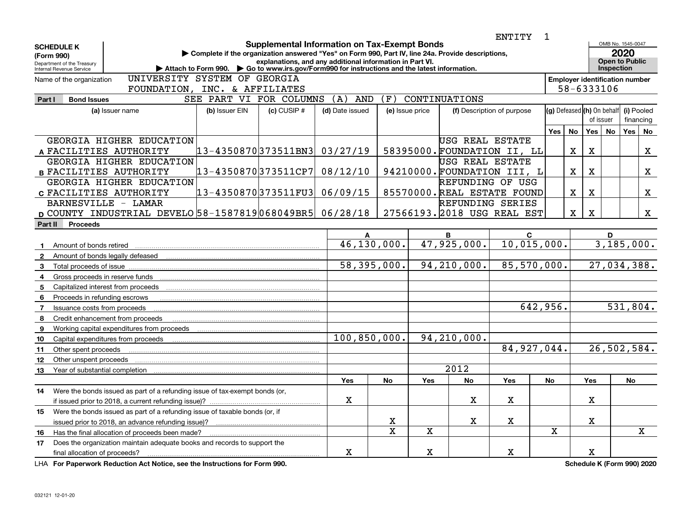| OMB No. 1545-0047<br><b>Supplemental Information on Tax-Exempt Bonds</b><br><b>SCHEDULE K</b><br>Complete if the organization answered "Yes" on Form 990, Part IV, line 24a. Provide descriptions,<br>2020<br>(Form 990)<br>explanations, and any additional information in Part VI.<br><b>Open to Public</b><br>Department of the Treasury<br>Inspection<br>Attach to Form 990. Co to www.irs.gov/Form990 for instructions and the latest information.<br>Internal Revenue Service<br>UNIVERSITY SYSTEM OF GEORGIA<br><b>Employer identification number</b><br>Name of the organization<br>58-6333106<br>FOUNDATION, INC. & AFFILIATES<br>SEE PART VI FOR COLUMNS<br>(F)<br>CONTINUATIONS<br>(A)<br><b>AND</b><br><b>Bond Issues</b><br>Part I<br>$(c)$ CUSIP $#$<br>(d) Date issued<br>(g) Defeased (h) On behalf<br>(i) Pooled<br>(a) Issuer name<br>(b) Issuer EIN<br>(e) Issue price<br>(f) Description of purpose<br>of issuer<br>financing<br>No<br><b>No</b><br>Yes I<br>Yes l<br>Yes I<br>No<br>USG REAL ESTATE<br>GEORGIA HIGHER EDUCATION<br>13-4350870373511BN3<br>03/27/19<br>58395000. FOUNDATION II, LL<br>X<br>X<br>A FACILITIES AUTHORITY<br>X<br>USG REAL ESTATE<br>GEORGIA HIGHER EDUCATION<br>13-4350870373511CP7<br>08/12/10<br>94210000. FOUNDATION III, L<br><b>B FACILITIES AUTHORITY</b><br>x<br>х<br>X<br>GEORGIA HIGHER EDUCATION<br>REFUNDING OF USG<br>13-4350870373511FU3<br>06/09/15<br>85570000. REAL ESTATE FOUND<br>$\mathbf X$<br>C FACILITIES AUTHORITY<br>Х<br>X<br>REFUNDING SERIES<br>BARNESVILLE - LAMAR<br>D COUNTY INDUSTRIAL DEVELO 58-1587819 068049BR5 06/28/18<br>27566193. 2018 USG REAL EST<br>$\mathbf X$<br>Х<br>X<br>Part II<br><b>Proceeds</b><br>$\mathbf{C}$<br><b>B</b><br>D<br>A<br>46,130,000.<br>47,925,000.<br>10,015,000.<br>3,185,000.<br>Amount of bonds retired<br>$\mathbf{1}$<br>$\mathbf{2}$<br>Amount of bonds legally defeased<br>58,395,000.<br>94,210,000.<br>27,034,388.<br>85,570,000.<br>Total proceeds of issue<br>3<br>Gross proceeds in reserve funds<br>4<br>Capitalized interest from proceeds<br>5<br>Proceeds in refunding escrows<br>6<br>642,956.<br>531,804.<br>$\overline{7}$<br>Issuance costs from proceeds<br>Credit enhancement from proceeds<br>8<br>9<br>Working capital expenditures from proceeds<br>100,850,000.<br>94,210,000.<br>Capital expenditures from proceeds<br>10<br>26,502,584.<br>84,927,044.<br>Other spent proceeds<br>11<br>12 <sup>2</sup><br>Other unspent proceeds<br>2012<br>13<br>Year of substantial completion<br>Yes<br>Yes<br><b>No</b><br>Yes<br><b>Yes</b><br>No<br>No<br>No<br>Were the bonds issued as part of a refunding issue of tax-exempt bonds (or,<br>14<br>X<br>X<br>x<br>x<br>if issued prior to 2018, a current refunding issue)?<br>Were the bonds issued as part of a refunding issue of taxable bonds (or, if<br>15<br>X<br>X<br>X<br>х<br>issued prior to 2018, an advance refunding issue)?<br>X<br>X<br>$\mathbf X$<br>х<br>Has the final allocation of proceeds been made?<br>16<br>Does the organization maintain adequate books and records to support the<br>17<br>final allocation of proceeds? |  |  |  |  |   |  |   |  | ENTITY | 1 |             |  |  |
|-----------------------------------------------------------------------------------------------------------------------------------------------------------------------------------------------------------------------------------------------------------------------------------------------------------------------------------------------------------------------------------------------------------------------------------------------------------------------------------------------------------------------------------------------------------------------------------------------------------------------------------------------------------------------------------------------------------------------------------------------------------------------------------------------------------------------------------------------------------------------------------------------------------------------------------------------------------------------------------------------------------------------------------------------------------------------------------------------------------------------------------------------------------------------------------------------------------------------------------------------------------------------------------------------------------------------------------------------------------------------------------------------------------------------------------------------------------------------------------------------------------------------------------------------------------------------------------------------------------------------------------------------------------------------------------------------------------------------------------------------------------------------------------------------------------------------------------------------------------------------------------------------------------------------------------------------------------------------------------------------------------------------------------------------------------------------------------------------------------------------------------------------------------------------------------------------------------------------------------------------------------------------------------------------------------------------------------------------------------------------------------------------------------------------------------------------------------------------------------------------------------------------------------------------------------------------------------------------------------------------------------------------------------------------------------------------------------------------------------------------------------------------------------------------------------------------------------------------------------------------------------------------------------------------------------------------------------------------------------------------------------------------------------------------------------------------------------------------------------------------------------------------|--|--|--|--|---|--|---|--|--------|---|-------------|--|--|
|                                                                                                                                                                                                                                                                                                                                                                                                                                                                                                                                                                                                                                                                                                                                                                                                                                                                                                                                                                                                                                                                                                                                                                                                                                                                                                                                                                                                                                                                                                                                                                                                                                                                                                                                                                                                                                                                                                                                                                                                                                                                                                                                                                                                                                                                                                                                                                                                                                                                                                                                                                                                                                                                                                                                                                                                                                                                                                                                                                                                                                                                                                                                               |  |  |  |  |   |  |   |  |        |   |             |  |  |
|                                                                                                                                                                                                                                                                                                                                                                                                                                                                                                                                                                                                                                                                                                                                                                                                                                                                                                                                                                                                                                                                                                                                                                                                                                                                                                                                                                                                                                                                                                                                                                                                                                                                                                                                                                                                                                                                                                                                                                                                                                                                                                                                                                                                                                                                                                                                                                                                                                                                                                                                                                                                                                                                                                                                                                                                                                                                                                                                                                                                                                                                                                                                               |  |  |  |  |   |  |   |  |        |   |             |  |  |
|                                                                                                                                                                                                                                                                                                                                                                                                                                                                                                                                                                                                                                                                                                                                                                                                                                                                                                                                                                                                                                                                                                                                                                                                                                                                                                                                                                                                                                                                                                                                                                                                                                                                                                                                                                                                                                                                                                                                                                                                                                                                                                                                                                                                                                                                                                                                                                                                                                                                                                                                                                                                                                                                                                                                                                                                                                                                                                                                                                                                                                                                                                                                               |  |  |  |  |   |  |   |  |        |   |             |  |  |
|                                                                                                                                                                                                                                                                                                                                                                                                                                                                                                                                                                                                                                                                                                                                                                                                                                                                                                                                                                                                                                                                                                                                                                                                                                                                                                                                                                                                                                                                                                                                                                                                                                                                                                                                                                                                                                                                                                                                                                                                                                                                                                                                                                                                                                                                                                                                                                                                                                                                                                                                                                                                                                                                                                                                                                                                                                                                                                                                                                                                                                                                                                                                               |  |  |  |  |   |  |   |  |        |   |             |  |  |
|                                                                                                                                                                                                                                                                                                                                                                                                                                                                                                                                                                                                                                                                                                                                                                                                                                                                                                                                                                                                                                                                                                                                                                                                                                                                                                                                                                                                                                                                                                                                                                                                                                                                                                                                                                                                                                                                                                                                                                                                                                                                                                                                                                                                                                                                                                                                                                                                                                                                                                                                                                                                                                                                                                                                                                                                                                                                                                                                                                                                                                                                                                                                               |  |  |  |  |   |  |   |  |        |   |             |  |  |
|                                                                                                                                                                                                                                                                                                                                                                                                                                                                                                                                                                                                                                                                                                                                                                                                                                                                                                                                                                                                                                                                                                                                                                                                                                                                                                                                                                                                                                                                                                                                                                                                                                                                                                                                                                                                                                                                                                                                                                                                                                                                                                                                                                                                                                                                                                                                                                                                                                                                                                                                                                                                                                                                                                                                                                                                                                                                                                                                                                                                                                                                                                                                               |  |  |  |  |   |  |   |  |        |   |             |  |  |
|                                                                                                                                                                                                                                                                                                                                                                                                                                                                                                                                                                                                                                                                                                                                                                                                                                                                                                                                                                                                                                                                                                                                                                                                                                                                                                                                                                                                                                                                                                                                                                                                                                                                                                                                                                                                                                                                                                                                                                                                                                                                                                                                                                                                                                                                                                                                                                                                                                                                                                                                                                                                                                                                                                                                                                                                                                                                                                                                                                                                                                                                                                                                               |  |  |  |  |   |  |   |  |        |   |             |  |  |
|                                                                                                                                                                                                                                                                                                                                                                                                                                                                                                                                                                                                                                                                                                                                                                                                                                                                                                                                                                                                                                                                                                                                                                                                                                                                                                                                                                                                                                                                                                                                                                                                                                                                                                                                                                                                                                                                                                                                                                                                                                                                                                                                                                                                                                                                                                                                                                                                                                                                                                                                                                                                                                                                                                                                                                                                                                                                                                                                                                                                                                                                                                                                               |  |  |  |  |   |  |   |  |        |   |             |  |  |
|                                                                                                                                                                                                                                                                                                                                                                                                                                                                                                                                                                                                                                                                                                                                                                                                                                                                                                                                                                                                                                                                                                                                                                                                                                                                                                                                                                                                                                                                                                                                                                                                                                                                                                                                                                                                                                                                                                                                                                                                                                                                                                                                                                                                                                                                                                                                                                                                                                                                                                                                                                                                                                                                                                                                                                                                                                                                                                                                                                                                                                                                                                                                               |  |  |  |  |   |  |   |  |        |   |             |  |  |
|                                                                                                                                                                                                                                                                                                                                                                                                                                                                                                                                                                                                                                                                                                                                                                                                                                                                                                                                                                                                                                                                                                                                                                                                                                                                                                                                                                                                                                                                                                                                                                                                                                                                                                                                                                                                                                                                                                                                                                                                                                                                                                                                                                                                                                                                                                                                                                                                                                                                                                                                                                                                                                                                                                                                                                                                                                                                                                                                                                                                                                                                                                                                               |  |  |  |  |   |  |   |  |        |   |             |  |  |
|                                                                                                                                                                                                                                                                                                                                                                                                                                                                                                                                                                                                                                                                                                                                                                                                                                                                                                                                                                                                                                                                                                                                                                                                                                                                                                                                                                                                                                                                                                                                                                                                                                                                                                                                                                                                                                                                                                                                                                                                                                                                                                                                                                                                                                                                                                                                                                                                                                                                                                                                                                                                                                                                                                                                                                                                                                                                                                                                                                                                                                                                                                                                               |  |  |  |  |   |  |   |  |        |   |             |  |  |
|                                                                                                                                                                                                                                                                                                                                                                                                                                                                                                                                                                                                                                                                                                                                                                                                                                                                                                                                                                                                                                                                                                                                                                                                                                                                                                                                                                                                                                                                                                                                                                                                                                                                                                                                                                                                                                                                                                                                                                                                                                                                                                                                                                                                                                                                                                                                                                                                                                                                                                                                                                                                                                                                                                                                                                                                                                                                                                                                                                                                                                                                                                                                               |  |  |  |  |   |  |   |  |        |   |             |  |  |
|                                                                                                                                                                                                                                                                                                                                                                                                                                                                                                                                                                                                                                                                                                                                                                                                                                                                                                                                                                                                                                                                                                                                                                                                                                                                                                                                                                                                                                                                                                                                                                                                                                                                                                                                                                                                                                                                                                                                                                                                                                                                                                                                                                                                                                                                                                                                                                                                                                                                                                                                                                                                                                                                                                                                                                                                                                                                                                                                                                                                                                                                                                                                               |  |  |  |  |   |  |   |  |        |   |             |  |  |
|                                                                                                                                                                                                                                                                                                                                                                                                                                                                                                                                                                                                                                                                                                                                                                                                                                                                                                                                                                                                                                                                                                                                                                                                                                                                                                                                                                                                                                                                                                                                                                                                                                                                                                                                                                                                                                                                                                                                                                                                                                                                                                                                                                                                                                                                                                                                                                                                                                                                                                                                                                                                                                                                                                                                                                                                                                                                                                                                                                                                                                                                                                                                               |  |  |  |  |   |  |   |  |        |   |             |  |  |
|                                                                                                                                                                                                                                                                                                                                                                                                                                                                                                                                                                                                                                                                                                                                                                                                                                                                                                                                                                                                                                                                                                                                                                                                                                                                                                                                                                                                                                                                                                                                                                                                                                                                                                                                                                                                                                                                                                                                                                                                                                                                                                                                                                                                                                                                                                                                                                                                                                                                                                                                                                                                                                                                                                                                                                                                                                                                                                                                                                                                                                                                                                                                               |  |  |  |  |   |  |   |  |        |   |             |  |  |
|                                                                                                                                                                                                                                                                                                                                                                                                                                                                                                                                                                                                                                                                                                                                                                                                                                                                                                                                                                                                                                                                                                                                                                                                                                                                                                                                                                                                                                                                                                                                                                                                                                                                                                                                                                                                                                                                                                                                                                                                                                                                                                                                                                                                                                                                                                                                                                                                                                                                                                                                                                                                                                                                                                                                                                                                                                                                                                                                                                                                                                                                                                                                               |  |  |  |  |   |  |   |  |        |   |             |  |  |
|                                                                                                                                                                                                                                                                                                                                                                                                                                                                                                                                                                                                                                                                                                                                                                                                                                                                                                                                                                                                                                                                                                                                                                                                                                                                                                                                                                                                                                                                                                                                                                                                                                                                                                                                                                                                                                                                                                                                                                                                                                                                                                                                                                                                                                                                                                                                                                                                                                                                                                                                                                                                                                                                                                                                                                                                                                                                                                                                                                                                                                                                                                                                               |  |  |  |  |   |  |   |  |        |   |             |  |  |
|                                                                                                                                                                                                                                                                                                                                                                                                                                                                                                                                                                                                                                                                                                                                                                                                                                                                                                                                                                                                                                                                                                                                                                                                                                                                                                                                                                                                                                                                                                                                                                                                                                                                                                                                                                                                                                                                                                                                                                                                                                                                                                                                                                                                                                                                                                                                                                                                                                                                                                                                                                                                                                                                                                                                                                                                                                                                                                                                                                                                                                                                                                                                               |  |  |  |  |   |  |   |  |        |   |             |  |  |
|                                                                                                                                                                                                                                                                                                                                                                                                                                                                                                                                                                                                                                                                                                                                                                                                                                                                                                                                                                                                                                                                                                                                                                                                                                                                                                                                                                                                                                                                                                                                                                                                                                                                                                                                                                                                                                                                                                                                                                                                                                                                                                                                                                                                                                                                                                                                                                                                                                                                                                                                                                                                                                                                                                                                                                                                                                                                                                                                                                                                                                                                                                                                               |  |  |  |  |   |  |   |  |        |   |             |  |  |
|                                                                                                                                                                                                                                                                                                                                                                                                                                                                                                                                                                                                                                                                                                                                                                                                                                                                                                                                                                                                                                                                                                                                                                                                                                                                                                                                                                                                                                                                                                                                                                                                                                                                                                                                                                                                                                                                                                                                                                                                                                                                                                                                                                                                                                                                                                                                                                                                                                                                                                                                                                                                                                                                                                                                                                                                                                                                                                                                                                                                                                                                                                                                               |  |  |  |  |   |  |   |  |        |   |             |  |  |
|                                                                                                                                                                                                                                                                                                                                                                                                                                                                                                                                                                                                                                                                                                                                                                                                                                                                                                                                                                                                                                                                                                                                                                                                                                                                                                                                                                                                                                                                                                                                                                                                                                                                                                                                                                                                                                                                                                                                                                                                                                                                                                                                                                                                                                                                                                                                                                                                                                                                                                                                                                                                                                                                                                                                                                                                                                                                                                                                                                                                                                                                                                                                               |  |  |  |  |   |  |   |  |        |   |             |  |  |
|                                                                                                                                                                                                                                                                                                                                                                                                                                                                                                                                                                                                                                                                                                                                                                                                                                                                                                                                                                                                                                                                                                                                                                                                                                                                                                                                                                                                                                                                                                                                                                                                                                                                                                                                                                                                                                                                                                                                                                                                                                                                                                                                                                                                                                                                                                                                                                                                                                                                                                                                                                                                                                                                                                                                                                                                                                                                                                                                                                                                                                                                                                                                               |  |  |  |  |   |  |   |  |        |   |             |  |  |
|                                                                                                                                                                                                                                                                                                                                                                                                                                                                                                                                                                                                                                                                                                                                                                                                                                                                                                                                                                                                                                                                                                                                                                                                                                                                                                                                                                                                                                                                                                                                                                                                                                                                                                                                                                                                                                                                                                                                                                                                                                                                                                                                                                                                                                                                                                                                                                                                                                                                                                                                                                                                                                                                                                                                                                                                                                                                                                                                                                                                                                                                                                                                               |  |  |  |  |   |  |   |  |        |   |             |  |  |
|                                                                                                                                                                                                                                                                                                                                                                                                                                                                                                                                                                                                                                                                                                                                                                                                                                                                                                                                                                                                                                                                                                                                                                                                                                                                                                                                                                                                                                                                                                                                                                                                                                                                                                                                                                                                                                                                                                                                                                                                                                                                                                                                                                                                                                                                                                                                                                                                                                                                                                                                                                                                                                                                                                                                                                                                                                                                                                                                                                                                                                                                                                                                               |  |  |  |  |   |  |   |  |        |   |             |  |  |
|                                                                                                                                                                                                                                                                                                                                                                                                                                                                                                                                                                                                                                                                                                                                                                                                                                                                                                                                                                                                                                                                                                                                                                                                                                                                                                                                                                                                                                                                                                                                                                                                                                                                                                                                                                                                                                                                                                                                                                                                                                                                                                                                                                                                                                                                                                                                                                                                                                                                                                                                                                                                                                                                                                                                                                                                                                                                                                                                                                                                                                                                                                                                               |  |  |  |  |   |  |   |  |        |   |             |  |  |
|                                                                                                                                                                                                                                                                                                                                                                                                                                                                                                                                                                                                                                                                                                                                                                                                                                                                                                                                                                                                                                                                                                                                                                                                                                                                                                                                                                                                                                                                                                                                                                                                                                                                                                                                                                                                                                                                                                                                                                                                                                                                                                                                                                                                                                                                                                                                                                                                                                                                                                                                                                                                                                                                                                                                                                                                                                                                                                                                                                                                                                                                                                                                               |  |  |  |  |   |  |   |  |        |   |             |  |  |
|                                                                                                                                                                                                                                                                                                                                                                                                                                                                                                                                                                                                                                                                                                                                                                                                                                                                                                                                                                                                                                                                                                                                                                                                                                                                                                                                                                                                                                                                                                                                                                                                                                                                                                                                                                                                                                                                                                                                                                                                                                                                                                                                                                                                                                                                                                                                                                                                                                                                                                                                                                                                                                                                                                                                                                                                                                                                                                                                                                                                                                                                                                                                               |  |  |  |  |   |  |   |  |        |   |             |  |  |
|                                                                                                                                                                                                                                                                                                                                                                                                                                                                                                                                                                                                                                                                                                                                                                                                                                                                                                                                                                                                                                                                                                                                                                                                                                                                                                                                                                                                                                                                                                                                                                                                                                                                                                                                                                                                                                                                                                                                                                                                                                                                                                                                                                                                                                                                                                                                                                                                                                                                                                                                                                                                                                                                                                                                                                                                                                                                                                                                                                                                                                                                                                                                               |  |  |  |  |   |  |   |  |        |   |             |  |  |
|                                                                                                                                                                                                                                                                                                                                                                                                                                                                                                                                                                                                                                                                                                                                                                                                                                                                                                                                                                                                                                                                                                                                                                                                                                                                                                                                                                                                                                                                                                                                                                                                                                                                                                                                                                                                                                                                                                                                                                                                                                                                                                                                                                                                                                                                                                                                                                                                                                                                                                                                                                                                                                                                                                                                                                                                                                                                                                                                                                                                                                                                                                                                               |  |  |  |  |   |  |   |  |        |   |             |  |  |
|                                                                                                                                                                                                                                                                                                                                                                                                                                                                                                                                                                                                                                                                                                                                                                                                                                                                                                                                                                                                                                                                                                                                                                                                                                                                                                                                                                                                                                                                                                                                                                                                                                                                                                                                                                                                                                                                                                                                                                                                                                                                                                                                                                                                                                                                                                                                                                                                                                                                                                                                                                                                                                                                                                                                                                                                                                                                                                                                                                                                                                                                                                                                               |  |  |  |  |   |  |   |  |        |   |             |  |  |
|                                                                                                                                                                                                                                                                                                                                                                                                                                                                                                                                                                                                                                                                                                                                                                                                                                                                                                                                                                                                                                                                                                                                                                                                                                                                                                                                                                                                                                                                                                                                                                                                                                                                                                                                                                                                                                                                                                                                                                                                                                                                                                                                                                                                                                                                                                                                                                                                                                                                                                                                                                                                                                                                                                                                                                                                                                                                                                                                                                                                                                                                                                                                               |  |  |  |  |   |  |   |  |        |   |             |  |  |
|                                                                                                                                                                                                                                                                                                                                                                                                                                                                                                                                                                                                                                                                                                                                                                                                                                                                                                                                                                                                                                                                                                                                                                                                                                                                                                                                                                                                                                                                                                                                                                                                                                                                                                                                                                                                                                                                                                                                                                                                                                                                                                                                                                                                                                                                                                                                                                                                                                                                                                                                                                                                                                                                                                                                                                                                                                                                                                                                                                                                                                                                                                                                               |  |  |  |  |   |  |   |  |        |   |             |  |  |
|                                                                                                                                                                                                                                                                                                                                                                                                                                                                                                                                                                                                                                                                                                                                                                                                                                                                                                                                                                                                                                                                                                                                                                                                                                                                                                                                                                                                                                                                                                                                                                                                                                                                                                                                                                                                                                                                                                                                                                                                                                                                                                                                                                                                                                                                                                                                                                                                                                                                                                                                                                                                                                                                                                                                                                                                                                                                                                                                                                                                                                                                                                                                               |  |  |  |  |   |  |   |  |        |   |             |  |  |
|                                                                                                                                                                                                                                                                                                                                                                                                                                                                                                                                                                                                                                                                                                                                                                                                                                                                                                                                                                                                                                                                                                                                                                                                                                                                                                                                                                                                                                                                                                                                                                                                                                                                                                                                                                                                                                                                                                                                                                                                                                                                                                                                                                                                                                                                                                                                                                                                                                                                                                                                                                                                                                                                                                                                                                                                                                                                                                                                                                                                                                                                                                                                               |  |  |  |  |   |  |   |  |        |   |             |  |  |
|                                                                                                                                                                                                                                                                                                                                                                                                                                                                                                                                                                                                                                                                                                                                                                                                                                                                                                                                                                                                                                                                                                                                                                                                                                                                                                                                                                                                                                                                                                                                                                                                                                                                                                                                                                                                                                                                                                                                                                                                                                                                                                                                                                                                                                                                                                                                                                                                                                                                                                                                                                                                                                                                                                                                                                                                                                                                                                                                                                                                                                                                                                                                               |  |  |  |  |   |  |   |  |        |   |             |  |  |
|                                                                                                                                                                                                                                                                                                                                                                                                                                                                                                                                                                                                                                                                                                                                                                                                                                                                                                                                                                                                                                                                                                                                                                                                                                                                                                                                                                                                                                                                                                                                                                                                                                                                                                                                                                                                                                                                                                                                                                                                                                                                                                                                                                                                                                                                                                                                                                                                                                                                                                                                                                                                                                                                                                                                                                                                                                                                                                                                                                                                                                                                                                                                               |  |  |  |  |   |  |   |  |        |   |             |  |  |
|                                                                                                                                                                                                                                                                                                                                                                                                                                                                                                                                                                                                                                                                                                                                                                                                                                                                                                                                                                                                                                                                                                                                                                                                                                                                                                                                                                                                                                                                                                                                                                                                                                                                                                                                                                                                                                                                                                                                                                                                                                                                                                                                                                                                                                                                                                                                                                                                                                                                                                                                                                                                                                                                                                                                                                                                                                                                                                                                                                                                                                                                                                                                               |  |  |  |  | X |  | X |  | X      |   | $\mathbf X$ |  |  |

**For Paperwork Reduction Act Notice, see the Instructions for Form 990. Schedule K (Form 990) 2020** LHA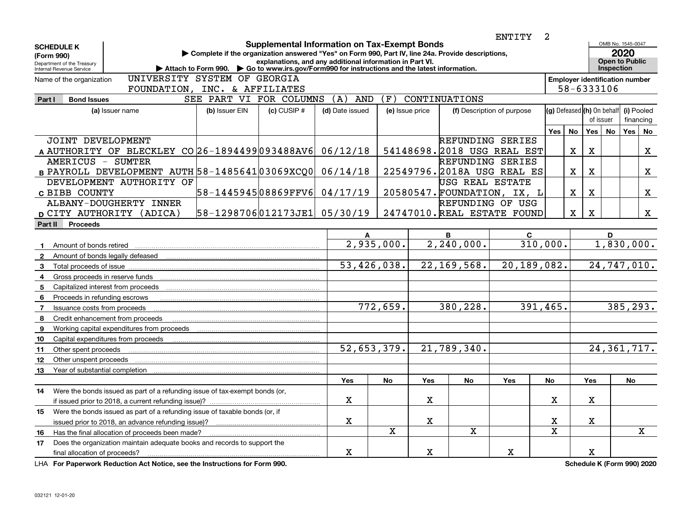| OMB No. 1545-0047<br><b>Supplemental Information on Tax-Exempt Bonds</b><br><b>SCHEDULE K</b><br>Complete if the organization answered "Yes" on Form 990, Part IV, line 24a. Provide descriptions,<br>2020<br>(Form 990)<br>explanations, and any additional information in Part VI.<br><b>Open to Public</b><br>Department of the Treasury<br>Inspection<br>Attach to Form 990. Co to www.irs.gov/Form990 for instructions and the latest information.<br>Internal Revenue Service<br>UNIVERSITY SYSTEM OF GEORGIA<br><b>Employer identification number</b><br>Name of the organization<br>58-6333106<br>FOUNDATION, INC. & AFFILIATES<br>SEE PART VI FOR COLUMNS<br>(F)<br>CONTINUATIONS<br>(A)<br>AND<br><b>Bond Issues</b><br>Part I<br>$(c)$ CUSIP $#$<br>(b) Issuer EIN<br>(d) Date issued<br>(g) Defeased (h) On behalf<br>(i) Pooled<br>(a) Issuer name<br>(e) Issue price<br>(f) Description of purpose<br>of issuer<br>financing<br>No<br>Yes $ $<br>Yes I<br><b>No</b><br>Yes<br>No<br>JOINT DEVELOPMENT<br>REFUNDING SERIES<br>54148698.2018 USG REAL EST<br>A AUTHORITY OF BLECKLEY CO 26-1894499 093488AV6<br>06/12/18<br>X<br>X<br>X<br>AMERICUS - SUMTER<br>REFUNDING SERIES<br>22549796. 2018A USG REAL ES<br>B PAYROLL DEVELOPMENT AUTH 58-148564103069XCQ0<br>06/14/18<br>x<br>х<br>X<br>DEVELOPMENT AUTHORITY OF<br>USG REAL ESTATE<br>58-144594508869FFV6<br>04/17/19<br>$\mathbf X$<br>C BIBB COUNTY<br>20580547. FOUNDATION, IX, L<br>х<br>X<br>ALBANY-DOUGHERTY INNER<br>REFUNDING OF USG<br>58-1298706012173JE1 05/30/19<br>$\mathbf X$<br>24747010. REAL ESTATE FOUND<br>$\mathbf X$<br>D CITY AUTHORITY (ADICA)<br>X<br><b>Proceeds</b><br>Part II<br>B<br>C<br>D<br>2,935,000.<br>1,830,000.<br>2, 240, 000.<br>310,000.<br>Amount of bonds retired<br>$\mathbf{1}$<br>Amount of bonds legally defeased<br>$\mathbf{2}$<br>53,426,038.<br>22, 169, 568.<br>20,189,082.<br>24,747,010.<br>$3^{\circ}$<br>Total proceeds of issue<br>Gross proceeds in reserve funds<br>4<br>Capitalized interest from proceeds<br>5<br>6<br>Proceeds in refunding escrows<br>772,659.<br>380,228.<br>391,465.<br>385,293.<br>$\mathbf{7}$<br>Issuance costs from proceeds<br>$\overline{\mathbf{8}}$<br>Credit enhancement from proceeds<br>Working capital expenditures from proceeds<br>9<br>Capital expenditures from proceeds<br>10<br>52,653,379.<br>21,789,340.<br>24, 361, 717.<br>Other spent proceeds<br>11<br>Other unspent proceeds<br>12<br>13<br>Year of substantial completion<br><b>Yes</b><br><b>No</b><br>Yes<br><b>No</b><br>Yes<br><b>No</b><br><b>Yes</b><br><b>No</b><br>Were the bonds issued as part of a refunding issue of tax-exempt bonds (or,<br>14<br>х<br>X<br>X<br>х<br>Were the bonds issued as part of a refunding issue of taxable bonds (or, if<br>15<br>X<br>$\mathbf X$<br>X<br>х<br>issued prior to 2018, an advance refunding issue)?<br>$\mathbf x$<br>X<br>$\mathbf X$<br>X<br>Has the final allocation of proceeds been made?<br>16<br>Does the organization maintain adequate books and records to support the<br>17<br>final allocation of proceeds? |  | 2<br><b>ENTITY</b> |  |  |             |  |             |  |   |  |  |   |  |  |
|-------------------------------------------------------------------------------------------------------------------------------------------------------------------------------------------------------------------------------------------------------------------------------------------------------------------------------------------------------------------------------------------------------------------------------------------------------------------------------------------------------------------------------------------------------------------------------------------------------------------------------------------------------------------------------------------------------------------------------------------------------------------------------------------------------------------------------------------------------------------------------------------------------------------------------------------------------------------------------------------------------------------------------------------------------------------------------------------------------------------------------------------------------------------------------------------------------------------------------------------------------------------------------------------------------------------------------------------------------------------------------------------------------------------------------------------------------------------------------------------------------------------------------------------------------------------------------------------------------------------------------------------------------------------------------------------------------------------------------------------------------------------------------------------------------------------------------------------------------------------------------------------------------------------------------------------------------------------------------------------------------------------------------------------------------------------------------------------------------------------------------------------------------------------------------------------------------------------------------------------------------------------------------------------------------------------------------------------------------------------------------------------------------------------------------------------------------------------------------------------------------------------------------------------------------------------------------------------------------------------------------------------------------------------------------------------------------------------------------------------------------------------------------------------------------------------------------------------------------------------------------------------------------------------------------------------------------------------------------------------------------------------------------------------------------------------------------------------------------------|--|--------------------|--|--|-------------|--|-------------|--|---|--|--|---|--|--|
|                                                                                                                                                                                                                                                                                                                                                                                                                                                                                                                                                                                                                                                                                                                                                                                                                                                                                                                                                                                                                                                                                                                                                                                                                                                                                                                                                                                                                                                                                                                                                                                                                                                                                                                                                                                                                                                                                                                                                                                                                                                                                                                                                                                                                                                                                                                                                                                                                                                                                                                                                                                                                                                                                                                                                                                                                                                                                                                                                                                                                                                                                                             |  |                    |  |  |             |  |             |  |   |  |  |   |  |  |
|                                                                                                                                                                                                                                                                                                                                                                                                                                                                                                                                                                                                                                                                                                                                                                                                                                                                                                                                                                                                                                                                                                                                                                                                                                                                                                                                                                                                                                                                                                                                                                                                                                                                                                                                                                                                                                                                                                                                                                                                                                                                                                                                                                                                                                                                                                                                                                                                                                                                                                                                                                                                                                                                                                                                                                                                                                                                                                                                                                                                                                                                                                             |  |                    |  |  |             |  |             |  |   |  |  |   |  |  |
|                                                                                                                                                                                                                                                                                                                                                                                                                                                                                                                                                                                                                                                                                                                                                                                                                                                                                                                                                                                                                                                                                                                                                                                                                                                                                                                                                                                                                                                                                                                                                                                                                                                                                                                                                                                                                                                                                                                                                                                                                                                                                                                                                                                                                                                                                                                                                                                                                                                                                                                                                                                                                                                                                                                                                                                                                                                                                                                                                                                                                                                                                                             |  |                    |  |  |             |  |             |  |   |  |  |   |  |  |
|                                                                                                                                                                                                                                                                                                                                                                                                                                                                                                                                                                                                                                                                                                                                                                                                                                                                                                                                                                                                                                                                                                                                                                                                                                                                                                                                                                                                                                                                                                                                                                                                                                                                                                                                                                                                                                                                                                                                                                                                                                                                                                                                                                                                                                                                                                                                                                                                                                                                                                                                                                                                                                                                                                                                                                                                                                                                                                                                                                                                                                                                                                             |  |                    |  |  |             |  |             |  |   |  |  |   |  |  |
|                                                                                                                                                                                                                                                                                                                                                                                                                                                                                                                                                                                                                                                                                                                                                                                                                                                                                                                                                                                                                                                                                                                                                                                                                                                                                                                                                                                                                                                                                                                                                                                                                                                                                                                                                                                                                                                                                                                                                                                                                                                                                                                                                                                                                                                                                                                                                                                                                                                                                                                                                                                                                                                                                                                                                                                                                                                                                                                                                                                                                                                                                                             |  |                    |  |  |             |  |             |  |   |  |  |   |  |  |
|                                                                                                                                                                                                                                                                                                                                                                                                                                                                                                                                                                                                                                                                                                                                                                                                                                                                                                                                                                                                                                                                                                                                                                                                                                                                                                                                                                                                                                                                                                                                                                                                                                                                                                                                                                                                                                                                                                                                                                                                                                                                                                                                                                                                                                                                                                                                                                                                                                                                                                                                                                                                                                                                                                                                                                                                                                                                                                                                                                                                                                                                                                             |  |                    |  |  |             |  |             |  |   |  |  |   |  |  |
|                                                                                                                                                                                                                                                                                                                                                                                                                                                                                                                                                                                                                                                                                                                                                                                                                                                                                                                                                                                                                                                                                                                                                                                                                                                                                                                                                                                                                                                                                                                                                                                                                                                                                                                                                                                                                                                                                                                                                                                                                                                                                                                                                                                                                                                                                                                                                                                                                                                                                                                                                                                                                                                                                                                                                                                                                                                                                                                                                                                                                                                                                                             |  |                    |  |  |             |  |             |  |   |  |  |   |  |  |
|                                                                                                                                                                                                                                                                                                                                                                                                                                                                                                                                                                                                                                                                                                                                                                                                                                                                                                                                                                                                                                                                                                                                                                                                                                                                                                                                                                                                                                                                                                                                                                                                                                                                                                                                                                                                                                                                                                                                                                                                                                                                                                                                                                                                                                                                                                                                                                                                                                                                                                                                                                                                                                                                                                                                                                                                                                                                                                                                                                                                                                                                                                             |  |                    |  |  |             |  |             |  |   |  |  |   |  |  |
|                                                                                                                                                                                                                                                                                                                                                                                                                                                                                                                                                                                                                                                                                                                                                                                                                                                                                                                                                                                                                                                                                                                                                                                                                                                                                                                                                                                                                                                                                                                                                                                                                                                                                                                                                                                                                                                                                                                                                                                                                                                                                                                                                                                                                                                                                                                                                                                                                                                                                                                                                                                                                                                                                                                                                                                                                                                                                                                                                                                                                                                                                                             |  |                    |  |  |             |  |             |  |   |  |  |   |  |  |
|                                                                                                                                                                                                                                                                                                                                                                                                                                                                                                                                                                                                                                                                                                                                                                                                                                                                                                                                                                                                                                                                                                                                                                                                                                                                                                                                                                                                                                                                                                                                                                                                                                                                                                                                                                                                                                                                                                                                                                                                                                                                                                                                                                                                                                                                                                                                                                                                                                                                                                                                                                                                                                                                                                                                                                                                                                                                                                                                                                                                                                                                                                             |  |                    |  |  |             |  |             |  |   |  |  |   |  |  |
|                                                                                                                                                                                                                                                                                                                                                                                                                                                                                                                                                                                                                                                                                                                                                                                                                                                                                                                                                                                                                                                                                                                                                                                                                                                                                                                                                                                                                                                                                                                                                                                                                                                                                                                                                                                                                                                                                                                                                                                                                                                                                                                                                                                                                                                                                                                                                                                                                                                                                                                                                                                                                                                                                                                                                                                                                                                                                                                                                                                                                                                                                                             |  |                    |  |  |             |  |             |  |   |  |  |   |  |  |
|                                                                                                                                                                                                                                                                                                                                                                                                                                                                                                                                                                                                                                                                                                                                                                                                                                                                                                                                                                                                                                                                                                                                                                                                                                                                                                                                                                                                                                                                                                                                                                                                                                                                                                                                                                                                                                                                                                                                                                                                                                                                                                                                                                                                                                                                                                                                                                                                                                                                                                                                                                                                                                                                                                                                                                                                                                                                                                                                                                                                                                                                                                             |  |                    |  |  |             |  |             |  |   |  |  |   |  |  |
|                                                                                                                                                                                                                                                                                                                                                                                                                                                                                                                                                                                                                                                                                                                                                                                                                                                                                                                                                                                                                                                                                                                                                                                                                                                                                                                                                                                                                                                                                                                                                                                                                                                                                                                                                                                                                                                                                                                                                                                                                                                                                                                                                                                                                                                                                                                                                                                                                                                                                                                                                                                                                                                                                                                                                                                                                                                                                                                                                                                                                                                                                                             |  |                    |  |  |             |  |             |  |   |  |  |   |  |  |
|                                                                                                                                                                                                                                                                                                                                                                                                                                                                                                                                                                                                                                                                                                                                                                                                                                                                                                                                                                                                                                                                                                                                                                                                                                                                                                                                                                                                                                                                                                                                                                                                                                                                                                                                                                                                                                                                                                                                                                                                                                                                                                                                                                                                                                                                                                                                                                                                                                                                                                                                                                                                                                                                                                                                                                                                                                                                                                                                                                                                                                                                                                             |  |                    |  |  |             |  |             |  |   |  |  |   |  |  |
|                                                                                                                                                                                                                                                                                                                                                                                                                                                                                                                                                                                                                                                                                                                                                                                                                                                                                                                                                                                                                                                                                                                                                                                                                                                                                                                                                                                                                                                                                                                                                                                                                                                                                                                                                                                                                                                                                                                                                                                                                                                                                                                                                                                                                                                                                                                                                                                                                                                                                                                                                                                                                                                                                                                                                                                                                                                                                                                                                                                                                                                                                                             |  |                    |  |  |             |  |             |  |   |  |  |   |  |  |
|                                                                                                                                                                                                                                                                                                                                                                                                                                                                                                                                                                                                                                                                                                                                                                                                                                                                                                                                                                                                                                                                                                                                                                                                                                                                                                                                                                                                                                                                                                                                                                                                                                                                                                                                                                                                                                                                                                                                                                                                                                                                                                                                                                                                                                                                                                                                                                                                                                                                                                                                                                                                                                                                                                                                                                                                                                                                                                                                                                                                                                                                                                             |  |                    |  |  |             |  |             |  |   |  |  |   |  |  |
|                                                                                                                                                                                                                                                                                                                                                                                                                                                                                                                                                                                                                                                                                                                                                                                                                                                                                                                                                                                                                                                                                                                                                                                                                                                                                                                                                                                                                                                                                                                                                                                                                                                                                                                                                                                                                                                                                                                                                                                                                                                                                                                                                                                                                                                                                                                                                                                                                                                                                                                                                                                                                                                                                                                                                                                                                                                                                                                                                                                                                                                                                                             |  |                    |  |  |             |  |             |  |   |  |  |   |  |  |
|                                                                                                                                                                                                                                                                                                                                                                                                                                                                                                                                                                                                                                                                                                                                                                                                                                                                                                                                                                                                                                                                                                                                                                                                                                                                                                                                                                                                                                                                                                                                                                                                                                                                                                                                                                                                                                                                                                                                                                                                                                                                                                                                                                                                                                                                                                                                                                                                                                                                                                                                                                                                                                                                                                                                                                                                                                                                                                                                                                                                                                                                                                             |  |                    |  |  |             |  |             |  |   |  |  |   |  |  |
|                                                                                                                                                                                                                                                                                                                                                                                                                                                                                                                                                                                                                                                                                                                                                                                                                                                                                                                                                                                                                                                                                                                                                                                                                                                                                                                                                                                                                                                                                                                                                                                                                                                                                                                                                                                                                                                                                                                                                                                                                                                                                                                                                                                                                                                                                                                                                                                                                                                                                                                                                                                                                                                                                                                                                                                                                                                                                                                                                                                                                                                                                                             |  |                    |  |  |             |  |             |  |   |  |  |   |  |  |
|                                                                                                                                                                                                                                                                                                                                                                                                                                                                                                                                                                                                                                                                                                                                                                                                                                                                                                                                                                                                                                                                                                                                                                                                                                                                                                                                                                                                                                                                                                                                                                                                                                                                                                                                                                                                                                                                                                                                                                                                                                                                                                                                                                                                                                                                                                                                                                                                                                                                                                                                                                                                                                                                                                                                                                                                                                                                                                                                                                                                                                                                                                             |  |                    |  |  |             |  |             |  |   |  |  |   |  |  |
|                                                                                                                                                                                                                                                                                                                                                                                                                                                                                                                                                                                                                                                                                                                                                                                                                                                                                                                                                                                                                                                                                                                                                                                                                                                                                                                                                                                                                                                                                                                                                                                                                                                                                                                                                                                                                                                                                                                                                                                                                                                                                                                                                                                                                                                                                                                                                                                                                                                                                                                                                                                                                                                                                                                                                                                                                                                                                                                                                                                                                                                                                                             |  |                    |  |  |             |  |             |  |   |  |  |   |  |  |
|                                                                                                                                                                                                                                                                                                                                                                                                                                                                                                                                                                                                                                                                                                                                                                                                                                                                                                                                                                                                                                                                                                                                                                                                                                                                                                                                                                                                                                                                                                                                                                                                                                                                                                                                                                                                                                                                                                                                                                                                                                                                                                                                                                                                                                                                                                                                                                                                                                                                                                                                                                                                                                                                                                                                                                                                                                                                                                                                                                                                                                                                                                             |  |                    |  |  |             |  |             |  |   |  |  |   |  |  |
|                                                                                                                                                                                                                                                                                                                                                                                                                                                                                                                                                                                                                                                                                                                                                                                                                                                                                                                                                                                                                                                                                                                                                                                                                                                                                                                                                                                                                                                                                                                                                                                                                                                                                                                                                                                                                                                                                                                                                                                                                                                                                                                                                                                                                                                                                                                                                                                                                                                                                                                                                                                                                                                                                                                                                                                                                                                                                                                                                                                                                                                                                                             |  |                    |  |  |             |  |             |  |   |  |  |   |  |  |
|                                                                                                                                                                                                                                                                                                                                                                                                                                                                                                                                                                                                                                                                                                                                                                                                                                                                                                                                                                                                                                                                                                                                                                                                                                                                                                                                                                                                                                                                                                                                                                                                                                                                                                                                                                                                                                                                                                                                                                                                                                                                                                                                                                                                                                                                                                                                                                                                                                                                                                                                                                                                                                                                                                                                                                                                                                                                                                                                                                                                                                                                                                             |  |                    |  |  |             |  |             |  |   |  |  |   |  |  |
|                                                                                                                                                                                                                                                                                                                                                                                                                                                                                                                                                                                                                                                                                                                                                                                                                                                                                                                                                                                                                                                                                                                                                                                                                                                                                                                                                                                                                                                                                                                                                                                                                                                                                                                                                                                                                                                                                                                                                                                                                                                                                                                                                                                                                                                                                                                                                                                                                                                                                                                                                                                                                                                                                                                                                                                                                                                                                                                                                                                                                                                                                                             |  |                    |  |  |             |  |             |  |   |  |  |   |  |  |
|                                                                                                                                                                                                                                                                                                                                                                                                                                                                                                                                                                                                                                                                                                                                                                                                                                                                                                                                                                                                                                                                                                                                                                                                                                                                                                                                                                                                                                                                                                                                                                                                                                                                                                                                                                                                                                                                                                                                                                                                                                                                                                                                                                                                                                                                                                                                                                                                                                                                                                                                                                                                                                                                                                                                                                                                                                                                                                                                                                                                                                                                                                             |  |                    |  |  |             |  |             |  |   |  |  |   |  |  |
|                                                                                                                                                                                                                                                                                                                                                                                                                                                                                                                                                                                                                                                                                                                                                                                                                                                                                                                                                                                                                                                                                                                                                                                                                                                                                                                                                                                                                                                                                                                                                                                                                                                                                                                                                                                                                                                                                                                                                                                                                                                                                                                                                                                                                                                                                                                                                                                                                                                                                                                                                                                                                                                                                                                                                                                                                                                                                                                                                                                                                                                                                                             |  |                    |  |  |             |  |             |  |   |  |  |   |  |  |
|                                                                                                                                                                                                                                                                                                                                                                                                                                                                                                                                                                                                                                                                                                                                                                                                                                                                                                                                                                                                                                                                                                                                                                                                                                                                                                                                                                                                                                                                                                                                                                                                                                                                                                                                                                                                                                                                                                                                                                                                                                                                                                                                                                                                                                                                                                                                                                                                                                                                                                                                                                                                                                                                                                                                                                                                                                                                                                                                                                                                                                                                                                             |  |                    |  |  |             |  |             |  |   |  |  |   |  |  |
|                                                                                                                                                                                                                                                                                                                                                                                                                                                                                                                                                                                                                                                                                                                                                                                                                                                                                                                                                                                                                                                                                                                                                                                                                                                                                                                                                                                                                                                                                                                                                                                                                                                                                                                                                                                                                                                                                                                                                                                                                                                                                                                                                                                                                                                                                                                                                                                                                                                                                                                                                                                                                                                                                                                                                                                                                                                                                                                                                                                                                                                                                                             |  |                    |  |  |             |  |             |  |   |  |  |   |  |  |
|                                                                                                                                                                                                                                                                                                                                                                                                                                                                                                                                                                                                                                                                                                                                                                                                                                                                                                                                                                                                                                                                                                                                                                                                                                                                                                                                                                                                                                                                                                                                                                                                                                                                                                                                                                                                                                                                                                                                                                                                                                                                                                                                                                                                                                                                                                                                                                                                                                                                                                                                                                                                                                                                                                                                                                                                                                                                                                                                                                                                                                                                                                             |  |                    |  |  |             |  |             |  |   |  |  |   |  |  |
|                                                                                                                                                                                                                                                                                                                                                                                                                                                                                                                                                                                                                                                                                                                                                                                                                                                                                                                                                                                                                                                                                                                                                                                                                                                                                                                                                                                                                                                                                                                                                                                                                                                                                                                                                                                                                                                                                                                                                                                                                                                                                                                                                                                                                                                                                                                                                                                                                                                                                                                                                                                                                                                                                                                                                                                                                                                                                                                                                                                                                                                                                                             |  |                    |  |  |             |  |             |  |   |  |  |   |  |  |
|                                                                                                                                                                                                                                                                                                                                                                                                                                                                                                                                                                                                                                                                                                                                                                                                                                                                                                                                                                                                                                                                                                                                                                                                                                                                                                                                                                                                                                                                                                                                                                                                                                                                                                                                                                                                                                                                                                                                                                                                                                                                                                                                                                                                                                                                                                                                                                                                                                                                                                                                                                                                                                                                                                                                                                                                                                                                                                                                                                                                                                                                                                             |  |                    |  |  |             |  |             |  |   |  |  |   |  |  |
|                                                                                                                                                                                                                                                                                                                                                                                                                                                                                                                                                                                                                                                                                                                                                                                                                                                                                                                                                                                                                                                                                                                                                                                                                                                                                                                                                                                                                                                                                                                                                                                                                                                                                                                                                                                                                                                                                                                                                                                                                                                                                                                                                                                                                                                                                                                                                                                                                                                                                                                                                                                                                                                                                                                                                                                                                                                                                                                                                                                                                                                                                                             |  |                    |  |  |             |  |             |  |   |  |  |   |  |  |
|                                                                                                                                                                                                                                                                                                                                                                                                                                                                                                                                                                                                                                                                                                                                                                                                                                                                                                                                                                                                                                                                                                                                                                                                                                                                                                                                                                                                                                                                                                                                                                                                                                                                                                                                                                                                                                                                                                                                                                                                                                                                                                                                                                                                                                                                                                                                                                                                                                                                                                                                                                                                                                                                                                                                                                                                                                                                                                                                                                                                                                                                                                             |  |                    |  |  |             |  |             |  |   |  |  |   |  |  |
|                                                                                                                                                                                                                                                                                                                                                                                                                                                                                                                                                                                                                                                                                                                                                                                                                                                                                                                                                                                                                                                                                                                                                                                                                                                                                                                                                                                                                                                                                                                                                                                                                                                                                                                                                                                                                                                                                                                                                                                                                                                                                                                                                                                                                                                                                                                                                                                                                                                                                                                                                                                                                                                                                                                                                                                                                                                                                                                                                                                                                                                                                                             |  |                    |  |  |             |  |             |  |   |  |  |   |  |  |
|                                                                                                                                                                                                                                                                                                                                                                                                                                                                                                                                                                                                                                                                                                                                                                                                                                                                                                                                                                                                                                                                                                                                                                                                                                                                                                                                                                                                                                                                                                                                                                                                                                                                                                                                                                                                                                                                                                                                                                                                                                                                                                                                                                                                                                                                                                                                                                                                                                                                                                                                                                                                                                                                                                                                                                                                                                                                                                                                                                                                                                                                                                             |  |                    |  |  | $\mathbf X$ |  | $\mathbf X$ |  | X |  |  | X |  |  |

**For Paperwork Reduction Act Notice, see the Instructions for Form 990. Schedule K (Form 990) 2020** LHA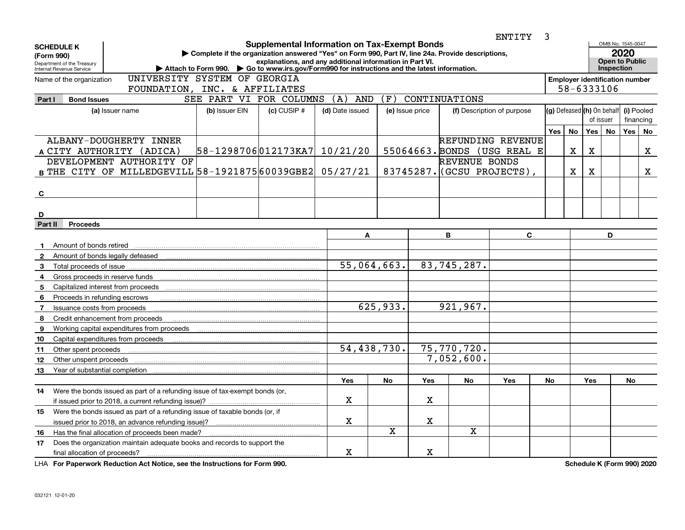|                                                                                           |                                                                                                                                     |                                                                                                                                                                                                 |                 |                                                                                                                 |                 |                            |                           | ENTITY                      | 3                                                                |                            |            |                                       |                         |    |
|-------------------------------------------------------------------------------------------|-------------------------------------------------------------------------------------------------------------------------------------|-------------------------------------------------------------------------------------------------------------------------------------------------------------------------------------------------|-----------------|-----------------------------------------------------------------------------------------------------------------|-----------------|----------------------------|---------------------------|-----------------------------|------------------------------------------------------------------|----------------------------|------------|---------------------------------------|-------------------------|----|
| <b>SCHEDULE K</b><br>(Form 990)<br>Department of the Treasury<br>Internal Revenue Service |                                                                                                                                     | Complete if the organization answered "Yes" on Form 990, Part IV, line 24a. Provide descriptions,<br>Attach to Form 990. Co to www.irs.gov/Form990 for instructions and the latest information. |                 | <b>Supplemental Information on Tax-Exempt Bonds</b><br>explanations, and any additional information in Part VI. |                 |                            |                           |                             | OMB No. 1545-0047<br>2020<br><b>Open to Public</b><br>Inspection |                            |            |                                       |                         |    |
| Name of the organization                                                                  | UNIVERSITY SYSTEM OF GEORGIA<br>FOUNDATION, INC. & AFFILIATES                                                                       |                                                                                                                                                                                                 |                 |                                                                                                                 |                 |                            |                           |                             |                                                                  | 58-6333106                 |            | <b>Employer identification number</b> |                         |    |
| <b>Bond Issues</b><br>Part I                                                              |                                                                                                                                     | SEE PART VI FOR COLUMNS                                                                                                                                                                         |                 | (A)<br>AND                                                                                                      | (F)             |                            | CONTINUATIONS             |                             |                                                                  |                            |            |                                       |                         |    |
|                                                                                           | (a) Issuer name                                                                                                                     | (b) Issuer EIN                                                                                                                                                                                  | $(c)$ CUSIP $#$ | (d) Date issued                                                                                                 | (e) Issue price |                            |                           | (f) Description of purpose  |                                                                  | (g) Defeased (h) On behalf | of issuer  |                                       | (i) Pooled<br>financing |    |
|                                                                                           |                                                                                                                                     |                                                                                                                                                                                                 |                 |                                                                                                                 |                 |                            |                           |                             | Yes l                                                            | No                         | Yes        | No                                    | Yes                     | No |
|                                                                                           | ALBANY-DOUGHERTY INNER                                                                                                              |                                                                                                                                                                                                 |                 |                                                                                                                 |                 |                            |                           | REFUNDING REVENUE           |                                                                  |                            |            |                                       |                         |    |
|                                                                                           | A CITY AUTHORITY (ADICA)                                                                                                            | 58-1298706012173KA7 10/21/20                                                                                                                                                                    |                 |                                                                                                                 |                 |                            |                           | 55064663. BONDS (USG REAL E |                                                                  | $\mathbf X$                | Х          |                                       |                         | X  |
|                                                                                           | DEVELOPMENT AUTHORITY OF                                                                                                            |                                                                                                                                                                                                 |                 |                                                                                                                 |                 |                            | REVENUE BONDS             |                             |                                                                  |                            |            |                                       |                         |    |
|                                                                                           | B THE CITY OF MILLEDGEVILL 58-192187560039GBE2 05/27/21                                                                             |                                                                                                                                                                                                 |                 |                                                                                                                 |                 | 83745287. (GCSU PROJECTS), |                           |                             | $\mathbf X$                                                      | х                          |            |                                       | X                       |    |
| C                                                                                         |                                                                                                                                     |                                                                                                                                                                                                 |                 |                                                                                                                 |                 |                            |                           |                             |                                                                  |                            |            |                                       |                         |    |
|                                                                                           |                                                                                                                                     |                                                                                                                                                                                                 |                 |                                                                                                                 |                 |                            |                           |                             |                                                                  |                            |            |                                       |                         |    |
| D                                                                                         |                                                                                                                                     |                                                                                                                                                                                                 |                 |                                                                                                                 |                 |                            |                           |                             |                                                                  |                            |            |                                       |                         |    |
| Part II<br><b>Proceeds</b>                                                                |                                                                                                                                     |                                                                                                                                                                                                 |                 |                                                                                                                 |                 |                            |                           |                             |                                                                  |                            |            |                                       |                         |    |
|                                                                                           |                                                                                                                                     |                                                                                                                                                                                                 |                 | A                                                                                                               |                 |                            | B                         | C                           |                                                                  |                            |            | D                                     |                         |    |
| Amount of bonds retired<br>$\mathbf{1}$                                                   |                                                                                                                                     |                                                                                                                                                                                                 |                 |                                                                                                                 |                 |                            |                           |                             |                                                                  |                            |            |                                       |                         |    |
| $\mathbf{2}$                                                                              | Amount of bonds legally defeased                                                                                                    |                                                                                                                                                                                                 |                 |                                                                                                                 |                 |                            |                           |                             |                                                                  |                            |            |                                       |                         |    |
| Total proceeds of issue<br>$\overline{\mathbf{3}}$                                        |                                                                                                                                     |                                                                                                                                                                                                 |                 | 55,064,663.                                                                                                     |                 |                            | 83,745,287.               |                             |                                                                  |                            |            |                                       |                         |    |
| 4                                                                                         |                                                                                                                                     |                                                                                                                                                                                                 |                 |                                                                                                                 |                 |                            |                           |                             |                                                                  |                            |            |                                       |                         |    |
| 5                                                                                         | Capitalized interest from proceeds                                                                                                  |                                                                                                                                                                                                 |                 |                                                                                                                 |                 |                            |                           |                             |                                                                  |                            |            |                                       |                         |    |
| 6<br>Proceeds in refunding escrows                                                        |                                                                                                                                     |                                                                                                                                                                                                 |                 |                                                                                                                 |                 |                            |                           |                             |                                                                  |                            |            |                                       |                         |    |
| Issuance costs from proceeds<br>$\mathbf{7}$                                              |                                                                                                                                     |                                                                                                                                                                                                 |                 |                                                                                                                 | 625,933.        |                            | 921,967.                  |                             |                                                                  |                            |            |                                       |                         |    |
| 8                                                                                         | Credit enhancement from proceeds                                                                                                    |                                                                                                                                                                                                 |                 |                                                                                                                 |                 |                            |                           |                             |                                                                  |                            |            |                                       |                         |    |
| 9                                                                                         | Working capital expenditures from proceeds                                                                                          |                                                                                                                                                                                                 |                 |                                                                                                                 |                 |                            |                           |                             |                                                                  |                            |            |                                       |                         |    |
| 10                                                                                        | Capital expenditures from proceeds                                                                                                  |                                                                                                                                                                                                 |                 |                                                                                                                 |                 |                            |                           |                             |                                                                  |                            |            |                                       |                         |    |
| Other spent proceeds<br>11                                                                |                                                                                                                                     |                                                                                                                                                                                                 |                 | 54,438,730.                                                                                                     |                 |                            | 75,770,720.<br>7,052,600. |                             |                                                                  |                            |            |                                       |                         |    |
| 12<br>Other unspent proceeds                                                              |                                                                                                                                     |                                                                                                                                                                                                 |                 |                                                                                                                 |                 |                            |                           |                             |                                                                  |                            |            |                                       |                         |    |
| 13<br>Year of substantial completion                                                      |                                                                                                                                     |                                                                                                                                                                                                 |                 | <b>Yes</b>                                                                                                      |                 |                            |                           | Yes                         |                                                                  |                            |            |                                       |                         |    |
|                                                                                           |                                                                                                                                     |                                                                                                                                                                                                 |                 |                                                                                                                 | No              | <b>Yes</b>                 | <b>No</b>                 |                             | No                                                               |                            | <b>Yes</b> |                                       | No                      |    |
| 14                                                                                        | Were the bonds issued as part of a refunding issue of tax-exempt bonds (or,<br>if issued prior to 2018, a current refunding issue)? |                                                                                                                                                                                                 |                 | X                                                                                                               |                 | X                          |                           |                             |                                                                  |                            |            |                                       |                         |    |
| 15                                                                                        | Were the bonds issued as part of a refunding issue of taxable bonds (or, if                                                         |                                                                                                                                                                                                 |                 |                                                                                                                 |                 |                            |                           |                             |                                                                  |                            |            |                                       |                         |    |
|                                                                                           |                                                                                                                                     |                                                                                                                                                                                                 |                 | х                                                                                                               |                 | x                          |                           |                             |                                                                  |                            |            |                                       |                         |    |
| 16                                                                                        | issued prior to 2018, an advance refunding issue)?<br>Has the final allocation of proceeds been made?                               |                                                                                                                                                                                                 |                 |                                                                                                                 | X               |                            | $\mathbf X$               |                             |                                                                  |                            |            |                                       |                         |    |
| 17                                                                                        | Does the organization maintain adequate books and records to support the                                                            |                                                                                                                                                                                                 |                 |                                                                                                                 |                 |                            |                           |                             |                                                                  |                            |            |                                       |                         |    |
| final allocation of proceeds?                                                             |                                                                                                                                     |                                                                                                                                                                                                 |                 | x                                                                                                               |                 | $\mathbf X$                |                           |                             |                                                                  |                            |            |                                       |                         |    |

**For Paperwork Reduction Act Notice, see the Instructions for Form 990. Schedule K (Form 990) 2020** LHA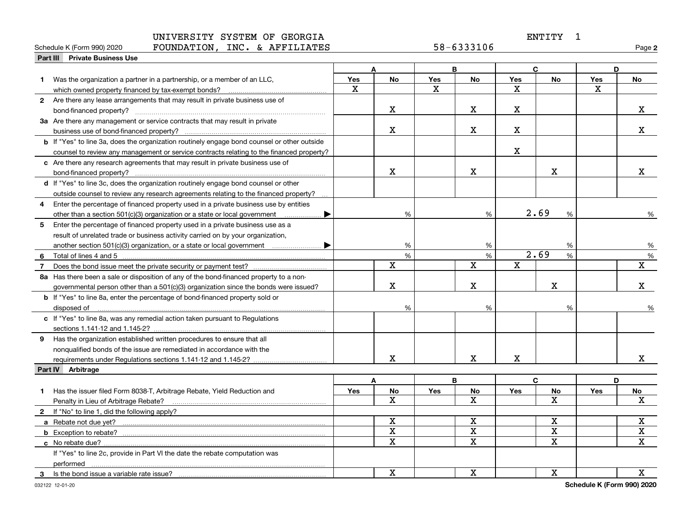# ENTITY 1

|          | Schedule K (Form 990) 2020  | <b>FOUNDATION</b> | <b>INC</b> | AFFILIATES<br>- | 1-6333106<br>58 | Page |
|----------|-----------------------------|-------------------|------------|-----------------|-----------------|------|
| Part III | <b>Private Business Use</b> |                   |            |                 |                 |      |

|                |                                                                                                                                                                                                                                |            | A                       |            | $\mathbf{B}$            |                         | C           | D         |                         |  |  |  |   |
|----------------|--------------------------------------------------------------------------------------------------------------------------------------------------------------------------------------------------------------------------------|------------|-------------------------|------------|-------------------------|-------------------------|-------------|-----------|-------------------------|--|--|--|---|
| 1.             | Was the organization a partner in a partnership, or a member of an LLC,                                                                                                                                                        | <b>Yes</b> | No                      | Yes        | No                      | <b>Yes</b>              | No          | Yes       | No                      |  |  |  |   |
|                | which owned property financed by tax-exempt bonds?                                                                                                                                                                             | X          |                         | x          |                         | x                       |             | x         |                         |  |  |  |   |
|                | 2 Are there any lease arrangements that may result in private business use of                                                                                                                                                  |            |                         |            |                         |                         |             |           |                         |  |  |  |   |
|                |                                                                                                                                                                                                                                |            | х                       |            | X                       | х                       |             |           | x                       |  |  |  |   |
|                | 3a Are there any management or service contracts that may result in private                                                                                                                                                    |            |                         |            |                         |                         |             |           |                         |  |  |  |   |
|                |                                                                                                                                                                                                                                |            | $\mathbf X$             |            | $\mathbf X$             | $\mathbf X$             |             |           | х                       |  |  |  |   |
|                | <b>b</b> If "Yes" to line 3a, does the organization routinely engage bond counsel or other outside                                                                                                                             |            |                         |            |                         |                         |             |           |                         |  |  |  |   |
|                | counsel to review any management or service contracts relating to the financed property?                                                                                                                                       |            |                         |            |                         | X                       |             |           |                         |  |  |  |   |
|                | c Are there any research agreements that may result in private business use of                                                                                                                                                 |            |                         |            |                         |                         |             |           |                         |  |  |  |   |
|                | bond-financed property?                                                                                                                                                                                                        |            | $\mathbf X$             |            | X                       |                         | $\mathbf X$ |           | x                       |  |  |  |   |
|                | d If "Yes" to line 3c, does the organization routinely engage bond counsel or other                                                                                                                                            |            |                         |            |                         |                         |             |           |                         |  |  |  |   |
|                | outside counsel to review any research agreements relating to the financed property?                                                                                                                                           |            |                         |            |                         |                         |             |           |                         |  |  |  |   |
| 4              | Enter the percentage of financed property used in a private business use by entities                                                                                                                                           |            |                         |            |                         |                         |             |           |                         |  |  |  |   |
|                | other than a section 501(c)(3) organization or a state or local government                                                                                                                                                     |            | %                       |            | %                       |                         | 2.69<br>%   |           | %                       |  |  |  |   |
| 5              | Enter the percentage of financed property used in a private business use as a                                                                                                                                                  |            |                         |            |                         |                         |             |           |                         |  |  |  |   |
|                | result of unrelated trade or business activity carried on by your organization,                                                                                                                                                |            |                         |            |                         |                         |             |           |                         |  |  |  |   |
|                |                                                                                                                                                                                                                                |            | %                       |            | %                       |                         | %           |           | %                       |  |  |  |   |
| 6              | Total of lines 4 and 5 [11, 2010] Total of lines 4 and 5 [11, 2010] Total of lines 4 and 5 [11, 2010] Total and Total Allen District Protection of Total Allen District Protection of Total Allen District Protection of Total |            | %                       |            | %                       |                         |             | 2.69<br>% |                         |  |  |  | % |
| $\overline{7}$ |                                                                                                                                                                                                                                |            | $\mathbf X$             |            | $\mathbf X$             | $\overline{\mathbf{X}}$ |             |           | $\mathbf{x}$            |  |  |  |   |
|                | 8a Has there been a sale or disposition of any of the bond-financed property to a non-                                                                                                                                         |            |                         |            |                         |                         |             |           |                         |  |  |  |   |
|                | governmental person other than a 501(c)(3) organization since the bonds were issued?                                                                                                                                           |            | X                       |            | X                       |                         | $\mathbf X$ |           | x                       |  |  |  |   |
|                | <b>b</b> If "Yes" to line 8a, enter the percentage of bond-financed property sold or                                                                                                                                           |            |                         |            |                         |                         |             |           |                         |  |  |  |   |
|                | disposed of                                                                                                                                                                                                                    |            | %                       |            | %                       |                         | %           |           | %                       |  |  |  |   |
|                | c If "Yes" to line 8a, was any remedial action taken pursuant to Regulations                                                                                                                                                   |            |                         |            |                         |                         |             |           |                         |  |  |  |   |
|                |                                                                                                                                                                                                                                |            |                         |            |                         |                         |             |           |                         |  |  |  |   |
|                | 9 Has the organization established written procedures to ensure that all                                                                                                                                                       |            |                         |            |                         |                         |             |           |                         |  |  |  |   |
|                | nonqualified bonds of the issue are remediated in accordance with the                                                                                                                                                          |            |                         |            |                         |                         |             |           |                         |  |  |  |   |
|                | requirements under Regulations sections 1.141-12 and 1.145-2?                                                                                                                                                                  |            | $\mathbf X$             |            | $\mathbf X$             | $\mathbf X$             |             |           | x                       |  |  |  |   |
|                | Part IV Arbitrage                                                                                                                                                                                                              |            |                         |            |                         |                         |             |           |                         |  |  |  |   |
|                |                                                                                                                                                                                                                                |            |                         |            | B                       |                         | C           | D         |                         |  |  |  |   |
|                | 1 Has the issuer filed Form 8038-T, Arbitrage Rebate, Yield Reduction and                                                                                                                                                      | Yes        | <b>No</b>               | <b>Yes</b> | <b>No</b>               | <b>Yes</b>              | <b>No</b>   | Yes       | No                      |  |  |  |   |
|                | Penalty in Lieu of Arbitrage Rebate?                                                                                                                                                                                           |            | X                       |            | X                       |                         | X           |           | X                       |  |  |  |   |
| $\mathbf{2}$   | If "No" to line 1, did the following apply?                                                                                                                                                                                    |            |                         |            |                         |                         |             |           |                         |  |  |  |   |
|                |                                                                                                                                                                                                                                |            | х                       |            | X                       |                         | х           |           | х                       |  |  |  |   |
|                |                                                                                                                                                                                                                                |            | $\mathbf X$             |            | $\overline{\mathbf{X}}$ |                         | X           |           | $\mathbf X$             |  |  |  |   |
|                | c No rebate due?                                                                                                                                                                                                               |            | $\overline{\mathbf{x}}$ |            | $\overline{\mathbf{x}}$ |                         | X           |           | $\overline{\mathbf{x}}$ |  |  |  |   |
|                | If "Yes" to line 2c, provide in Part VI the date the rebate computation was                                                                                                                                                    |            |                         |            |                         |                         |             |           |                         |  |  |  |   |
|                | performed                                                                                                                                                                                                                      |            |                         |            |                         |                         |             |           |                         |  |  |  |   |
|                |                                                                                                                                                                                                                                |            | x                       |            | X                       |                         | X           |           | X                       |  |  |  |   |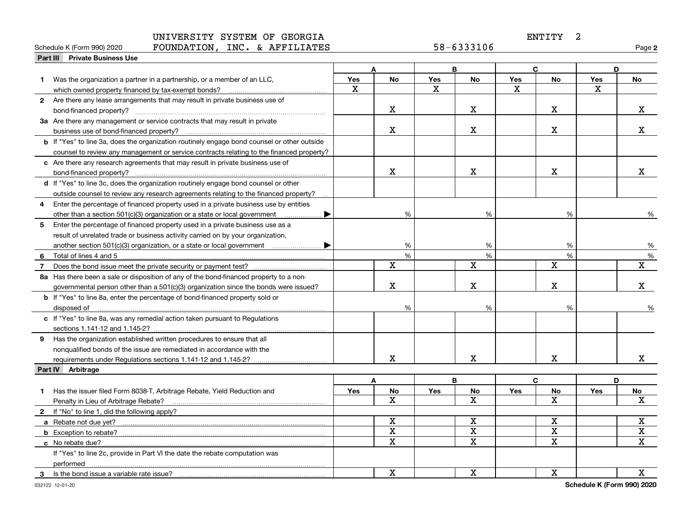# ENTITY 2

|          | Schedule K (Form 990) 2020  | <b>FOUNDATION</b> | <b>INC</b> | AFFILIATES<br>- | 1-6333106<br>58 | Page |
|----------|-----------------------------|-------------------|------------|-----------------|-----------------|------|
| Part III | <b>Private Business Use</b> |                   |            |                 |                 |      |

|                | אפט ככסוווכטט סווחד                                                                                |            | A                       |            | B                       |            | C            | D   |                         |
|----------------|----------------------------------------------------------------------------------------------------|------------|-------------------------|------------|-------------------------|------------|--------------|-----|-------------------------|
|                | Was the organization a partner in a partnership, or a member of an LLC,                            | Yes        | No                      | Yes        | <b>No</b>               | Yes        | <b>No</b>    | Yes | No                      |
|                |                                                                                                    | x          |                         | x          |                         | x          |              | x   |                         |
|                | 2 Are there any lease arrangements that may result in private business use of                      |            |                         |            |                         |            |              |     |                         |
|                |                                                                                                    |            | $\mathbf X$             |            | X                       |            | $\mathbf X$  |     | x                       |
|                | 3a Are there any management or service contracts that may result in private                        |            |                         |            |                         |            |              |     |                         |
|                |                                                                                                    |            | х                       |            | x                       |            | x            |     | x                       |
|                | business use of bond-financed property?                                                            |            |                         |            |                         |            |              |     |                         |
|                | <b>b</b> If "Yes" to line 3a, does the organization routinely engage bond counsel or other outside |            |                         |            |                         |            |              |     |                         |
|                | counsel to review any management or service contracts relating to the financed property?           |            |                         |            |                         |            |              |     |                         |
|                | c Are there any research agreements that may result in private business use of                     |            | $\mathbf{x}$            |            | $\mathbf x$             |            | $\mathbf X$  |     |                         |
|                | bond-financed property?                                                                            |            |                         |            |                         |            |              |     | x                       |
|                | d If "Yes" to line 3c, does the organization routinely engage bond counsel or other                |            |                         |            |                         |            |              |     |                         |
|                | outside counsel to review any research agreements relating to the financed property?               |            |                         |            |                         |            |              |     |                         |
| 4              | Enter the percentage of financed property used in a private business use by entities               |            |                         |            |                         |            |              |     |                         |
|                | other than a section 501(c)(3) organization or a state or local government                         |            | %                       |            | %                       |            | %            |     | %                       |
|                | 5 Enter the percentage of financed property used in a private business use as a                    |            |                         |            |                         |            |              |     |                         |
|                | result of unrelated trade or business activity carried on by your organization,                    |            |                         |            |                         |            |              |     |                         |
|                | another section 501(c)(3) organization, or a state or local government manu-manu-                  |            | %                       |            | %                       |            | %            |     | %                       |
| 6              |                                                                                                    |            | %                       |            | %                       |            | %            |     | %                       |
| $\overline{7}$ |                                                                                                    |            | $\mathbf X$             |            | X                       |            | $\mathbf X$  |     | $\mathbf{x}$            |
|                | 8a Has there been a sale or disposition of any of the bond-financed property to a non-             |            |                         |            |                         |            |              |     |                         |
|                | governmental person other than a 501(c)(3) organization since the bonds were issued?               |            | $\mathbf X$             |            | $\mathbf X$             |            | х            |     | x                       |
|                | b If "Yes" to line 8a, enter the percentage of bond-financed property sold or                      |            |                         |            |                         |            |              |     |                         |
|                | disposed of                                                                                        |            | %                       |            | %                       |            | %            |     | %                       |
|                | c If "Yes" to line 8a, was any remedial action taken pursuant to Regulations                       |            |                         |            |                         |            |              |     |                         |
|                |                                                                                                    |            |                         |            |                         |            |              |     |                         |
|                | 9 Has the organization established written procedures to ensure that all                           |            |                         |            |                         |            |              |     |                         |
|                | nonqualified bonds of the issue are remediated in accordance with the                              |            |                         |            |                         |            |              |     |                         |
|                | requirements under Regulations sections 1.141-12 and 1.145-2?                                      |            | X                       |            | x                       |            | X            |     | x                       |
|                | Part IV Arbitrage                                                                                  |            |                         |            |                         |            |              |     |                         |
|                |                                                                                                    |            |                         |            | B                       |            | $\mathbf{C}$ | D   |                         |
|                | 1 Has the issuer filed Form 8038-T, Arbitrage Rebate, Yield Reduction and                          | <b>Yes</b> | <b>No</b>               | <b>Yes</b> | <b>No</b>               | <b>Yes</b> | <b>No</b>    | Yes | No                      |
|                | Penalty in Lieu of Arbitrage Rebate?                                                               |            | X                       |            | X                       |            | X            |     | х                       |
| $\mathbf{2}$   | If "No" to line 1, did the following apply?                                                        |            |                         |            |                         |            |              |     |                         |
|                |                                                                                                    |            | х                       |            | X                       |            | х            |     | x                       |
|                |                                                                                                    |            | $\mathbf X$             |            | $\mathbf X$             |            | X            |     | $\mathbf X$             |
|                | c No rebate due?                                                                                   |            | $\overline{\mathbf{x}}$ |            | $\overline{\mathbf{x}}$ |            | $\mathbf x$  |     | $\overline{\mathbf{x}}$ |
|                | If "Yes" to line 2c, provide in Part VI the date the rebate computation was                        |            |                         |            |                         |            |              |     |                         |
|                | performed                                                                                          |            |                         |            |                         |            |              |     |                         |
|                |                                                                                                    |            | x                       |            | X                       |            | х            |     | X                       |
|                |                                                                                                    |            |                         |            |                         |            |              |     |                         |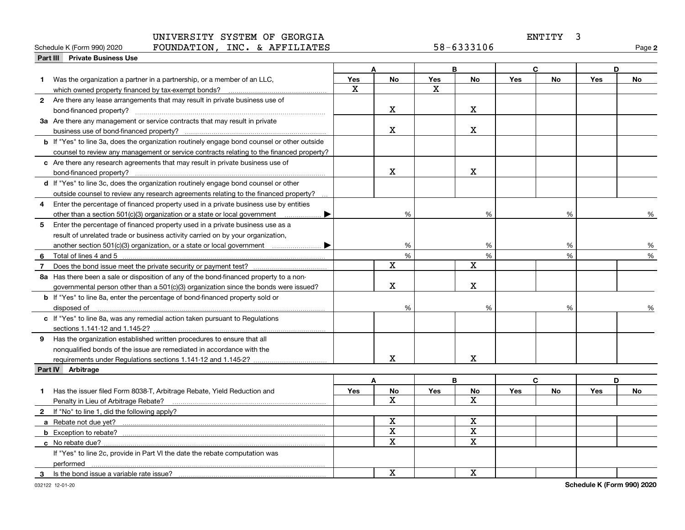### ENTITY 3

| FOUNDATION, INC. & AFFILIATES<br>Schedule K (Form 990) 2020                                                                                                                                                                    |            |           |            | Page      |            |           |            |           |
|--------------------------------------------------------------------------------------------------------------------------------------------------------------------------------------------------------------------------------|------------|-----------|------------|-----------|------------|-----------|------------|-----------|
| <b>Part III Private Business Use</b>                                                                                                                                                                                           |            |           |            |           |            |           |            |           |
|                                                                                                                                                                                                                                |            |           |            | B         |            |           |            | D         |
| Was the organization a partner in a partnership, or a member of an LLC,                                                                                                                                                        | <b>Yes</b> | <b>No</b> | <b>Yes</b> | <b>No</b> | <b>Yes</b> | <b>No</b> | <b>Yes</b> | <b>No</b> |
|                                                                                                                                                                                                                                | X          |           | x          |           |            |           |            |           |
| Are there any lease arrangements that may result in private business use of                                                                                                                                                    |            |           |            |           |            |           |            |           |
| bond-financed property?                                                                                                                                                                                                        |            | х         |            | x         |            |           |            |           |
| 3a Are there any management or service contracts that may result in private                                                                                                                                                    |            |           |            |           |            |           |            |           |
|                                                                                                                                                                                                                                |            | x         |            | X         |            |           |            |           |
| b If "Yes" to line 3a, does the organization routinely engage bond counsel or other outside                                                                                                                                    |            |           |            |           |            |           |            |           |
| counsel to review any management or service contracts relating to the financed property?                                                                                                                                       |            |           |            |           |            |           |            |           |
| c Are there any research agreements that may result in private business use of                                                                                                                                                 |            |           |            |           |            |           |            |           |
|                                                                                                                                                                                                                                |            | x         |            | х         |            |           |            |           |
| d If "Yes" to line 3c, does the organization routinely engage bond counsel or other                                                                                                                                            |            |           |            |           |            |           |            |           |
| outside counsel to review any research agreements relating to the financed property?                                                                                                                                           |            |           |            |           |            |           |            |           |
| Enter the percentage of financed property used in a private business use by entities                                                                                                                                           |            |           |            |           |            |           |            |           |
| other than a section 501(c)(3) organization or a state or local government                                                                                                                                                     |            | ℅         |            | %         |            | %         |            | %         |
| Enter the percentage of financed property used in a private business use as a<br>5                                                                                                                                             |            |           |            |           |            |           |            |           |
| result of unrelated trade or business activity carried on by your organization,                                                                                                                                                |            |           |            |           |            |           |            |           |
| another section 501(c)(3) organization, or a state or local government                                                                                                                                                         |            | %         |            | %         |            | %         |            | %         |
| Total of lines 4 and 5 [11, 2010] Total of lines 4 and 5 [11, 2010] Total of lines 4 and 5 [11, 2010] Total and Total All and Total All and Total All and Total All and Total All and Total All and Total All and Total All an |            | %         |            | %         |            | %         |            | %         |
|                                                                                                                                                                                                                                |            | X         |            | x         |            |           |            |           |
| 8a Has there been a sale or disposition of any of the bond-financed property to a non-                                                                                                                                         |            |           |            |           |            |           |            |           |
| governmental person other than a 501(c)(3) organization since the bonds were issued?                                                                                                                                           |            | Χ         |            | x         |            |           |            |           |

| <b>OU</b> TRUSTER DOCTED SOLO OF DISPOSITION OF DITY OF LITO DONOTHIRITIOCO PROPORTY TO BE HOLD |  |  |   |  |  |  |   |
|-------------------------------------------------------------------------------------------------|--|--|---|--|--|--|---|
| governmental person other than a 501(c)(3) organization since the bonds were issued?            |  |  |   |  |  |  |   |
| <b>b</b> If "Yes" to line 8a, enter the percentage of bond-financed property sold or            |  |  |   |  |  |  |   |
| disposed of                                                                                     |  |  | % |  |  |  | % |
| c If "Yes" to line 8a, was any remedial action taken pursuant to Regulations                    |  |  |   |  |  |  |   |
| sections 1.141-12 and 1.145-2?                                                                  |  |  |   |  |  |  |   |
| <b>9</b> Has the organization established written procedures to ensure that all                 |  |  |   |  |  |  |   |
| nonqualified bonds of the issue are remediated in accordance with the                           |  |  |   |  |  |  |   |
|                                                                                                 |  |  |   |  |  |  |   |

**Part IV Arbitrage A B C D 1** Has the issuer filed Form 8038-T, Arbitrage Rebate, Yield Reduction and **2** If "No" to line 1, did the following apply? **3**Is the bond issue a variable rate issue? **Yes No Yes No Yes No Yes No a** Rebate not due yet? **b** Exception to rebate? **c**No rebate due? Penalty in Lieu of Arbitrage Rebate? If "Yes" to line 2c, provide in Part VI the date the rebate computation was performed  $\overline{\texttt{x}}$ X X X  $X$   $X$ X X X X

**2**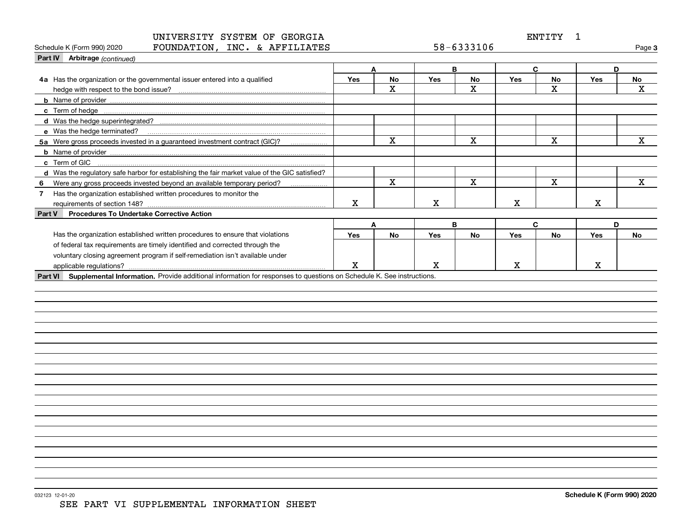ENTITY 1

| FOUNDATION, INC. & AFFILIATES<br>Schedule K (Form 990) 2020                                   |             |                         |             | 58-6333106              |             |                         |             | Page 3 |
|-----------------------------------------------------------------------------------------------|-------------|-------------------------|-------------|-------------------------|-------------|-------------------------|-------------|--------|
| Part IV Arbitrage (continued)                                                                 |             |                         |             |                         |             |                         |             |        |
|                                                                                               |             | A                       |             | B                       |             | C                       | D           |        |
| 4a Has the organization or the governmental issuer entered into a qualified                   | <b>Yes</b>  | No                      | <b>Yes</b>  | No                      | <b>Yes</b>  | No                      | <b>Yes</b>  | No     |
|                                                                                               |             | $\overline{\mathbf{x}}$ |             | X                       |             | x                       |             | x      |
|                                                                                               |             |                         |             |                         |             |                         |             |        |
|                                                                                               |             |                         |             |                         |             |                         |             |        |
|                                                                                               |             |                         |             |                         |             |                         |             |        |
| e Was the hedge terminated?                                                                   |             |                         |             |                         |             |                         |             |        |
| 5a Were gross proceeds invested in a guaranteed investment contract (GIC)?                    |             | $\overline{\mathbf{X}}$ |             | $\overline{\mathbf{x}}$ |             | $\overline{\mathbf{x}}$ |             | X      |
|                                                                                               |             |                         |             |                         |             |                         |             |        |
| c Term of GIC                                                                                 |             |                         |             |                         |             |                         |             |        |
| d Was the regulatory safe harbor for establishing the fair market value of the GIC satisfied? |             |                         |             |                         |             |                         |             |        |
| Were any gross proceeds invested beyond an available temporary period?<br>6                   |             | $\mathbf X$             |             | $\mathbf X$             |             | $\mathbf X$             |             | X      |
| Has the organization established written procedures to monitor the<br>$\overline{7}$          |             |                         |             |                         |             |                         |             |        |
| requirements of section 148?<br>.                                                             | X           |                         | $\mathbf X$ |                         | $\mathbf X$ |                         | $\mathbf X$ |        |
| Procedures To Undertake Corrective Action<br>Part V                                           |             |                         |             |                         |             |                         |             |        |
|                                                                                               |             | A                       |             | B                       |             | $\mathbf c$             | D           |        |
| Has the organization established written procedures to ensure that violations                 | Yes         | <b>No</b>               | Yes         | <b>No</b>               | Yes         | <b>No</b>               | <b>Yes</b>  | No     |
| of federal tax requirements are timely identified and corrected through the                   |             |                         |             |                         |             |                         |             |        |
| voluntary closing agreement program if self-remediation isn't available under                 |             |                         |             |                         |             |                         |             |        |
|                                                                                               | $\mathbf X$ |                         | X           |                         | $\mathbf X$ |                         | X           |        |
|                                                                                               |             |                         |             |                         |             |                         |             |        |
|                                                                                               |             |                         |             |                         |             |                         |             |        |
|                                                                                               |             |                         |             |                         |             |                         |             |        |
|                                                                                               |             |                         |             |                         |             |                         |             |        |
|                                                                                               |             |                         |             |                         |             |                         |             |        |
|                                                                                               |             |                         |             |                         |             |                         |             |        |
|                                                                                               |             |                         |             |                         |             |                         |             |        |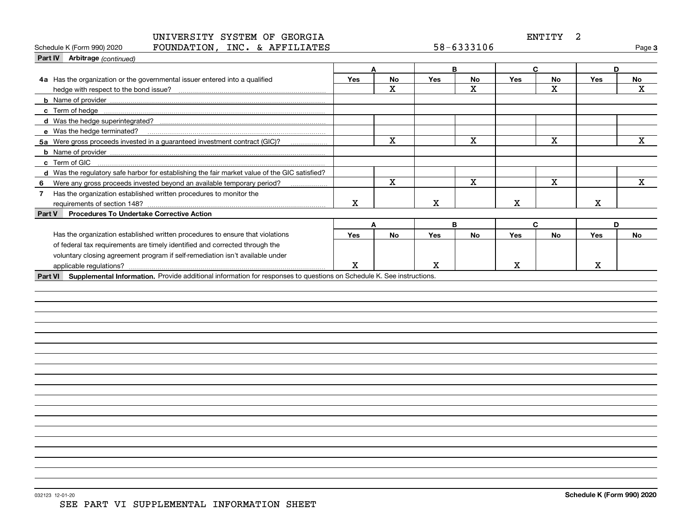ENTITY 2

| FOUNDATION, INC. & AFFILIATES<br>Schedule K (Form 990) 2020                                                                  |     |                         |            | 58-6333106              |             |                         |             | Page 3    |
|------------------------------------------------------------------------------------------------------------------------------|-----|-------------------------|------------|-------------------------|-------------|-------------------------|-------------|-----------|
| Part IV Arbitrage (continued)                                                                                                |     |                         |            |                         |             |                         |             |           |
|                                                                                                                              |     | A                       |            | B                       |             | C                       | D           |           |
| 4a Has the organization or the governmental issuer entered into a qualified                                                  | Yes | No                      | <b>Yes</b> | <b>No</b>               | Yes         | No                      | Yes         | No        |
| hedge with respect to the bond issue?                                                                                        |     | $\mathbf{x}$            |            | $\overline{\mathbf{x}}$ |             | $\overline{\mathbf{x}}$ |             | х         |
|                                                                                                                              |     |                         |            |                         |             |                         |             |           |
|                                                                                                                              |     |                         |            |                         |             |                         |             |           |
|                                                                                                                              |     |                         |            |                         |             |                         |             |           |
| e Was the hedge terminated?                                                                                                  |     |                         |            |                         |             |                         |             |           |
|                                                                                                                              |     | $\mathbf X$             |            | $\mathbf X$             |             | $\mathbf X$             |             | X         |
|                                                                                                                              |     |                         |            |                         |             |                         |             |           |
|                                                                                                                              |     |                         |            |                         |             |                         |             |           |
| d Was the regulatory safe harbor for establishing the fair market value of the GIC satisfied?                                |     |                         |            |                         |             |                         |             |           |
| Were any gross proceeds invested beyond an available temporary period?<br>6                                                  |     | $\overline{\mathbf{X}}$ |            | $\mathbf X$             |             | $\mathbf X$             |             | X         |
| Has the organization established written procedures to monitor the<br>7 <sup>7</sup>                                         |     |                         |            |                         |             |                         |             |           |
| requirements of section 148?                                                                                                 | X   |                         | Χ          |                         | $\mathbf X$ |                         | $\mathbf X$ |           |
| Procedures To Undertake Corrective Action<br>Part V                                                                          |     |                         |            |                         |             |                         |             |           |
|                                                                                                                              |     | A                       |            | В                       |             | C                       |             | D         |
| Has the organization established written procedures to ensure that violations                                                | Yes | <b>No</b>               | <b>Yes</b> | <b>No</b>               | Yes         | <b>No</b>               | Yes         | <b>No</b> |
| of federal tax requirements are timely identified and corrected through the                                                  |     |                         |            |                         |             |                         |             |           |
| voluntary closing agreement program if self-remediation isn't available under                                                |     |                         |            |                         |             |                         |             |           |
| applicable regulations?                                                                                                      | Χ   |                         | X          |                         | $\mathbf X$ |                         | $\mathbf X$ |           |
| Part VI Supplemental Information. Provide additional information for responses to questions on Schedule K. See instructions. |     |                         |            |                         |             |                         |             |           |
|                                                                                                                              |     |                         |            |                         |             |                         |             |           |
|                                                                                                                              |     |                         |            |                         |             |                         |             |           |
|                                                                                                                              |     |                         |            |                         |             |                         |             |           |
|                                                                                                                              |     |                         |            |                         |             |                         |             |           |
|                                                                                                                              |     |                         |            |                         |             |                         |             |           |
|                                                                                                                              |     |                         |            |                         |             |                         |             |           |
|                                                                                                                              |     |                         |            |                         |             |                         |             |           |
|                                                                                                                              |     |                         |            |                         |             |                         |             |           |
|                                                                                                                              |     |                         |            |                         |             |                         |             |           |
|                                                                                                                              |     |                         |            |                         |             |                         |             |           |
|                                                                                                                              |     |                         |            |                         |             |                         |             |           |
|                                                                                                                              |     |                         |            |                         |             |                         |             |           |
|                                                                                                                              |     |                         |            |                         |             |                         |             |           |
|                                                                                                                              |     |                         |            |                         |             |                         |             |           |
|                                                                                                                              |     |                         |            |                         |             |                         |             |           |
|                                                                                                                              |     |                         |            |                         |             |                         |             |           |
|                                                                                                                              |     |                         |            |                         |             |                         |             |           |
|                                                                                                                              |     |                         |            |                         |             |                         |             |           |
|                                                                                                                              |     |                         |            |                         |             |                         |             |           |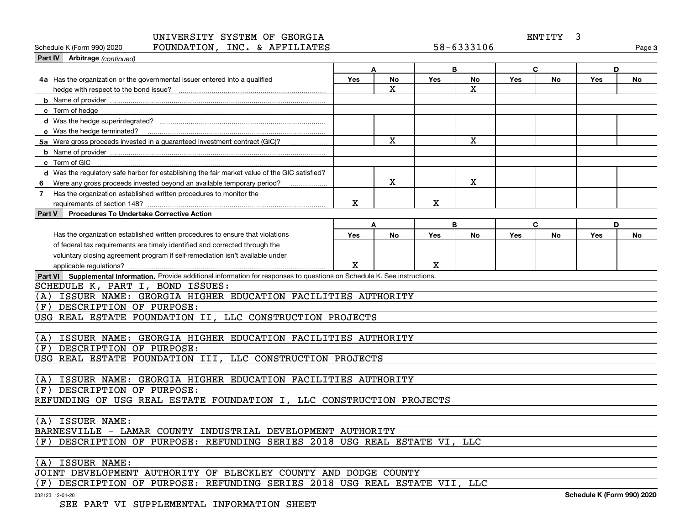ENTITY 3

| FOUNDATION, INC. & AFFILIATES<br>Schedule K (Form 990) 2020                                                                  |            |                         |            | 58-6333106  |            |              |            | Page 3    |
|------------------------------------------------------------------------------------------------------------------------------|------------|-------------------------|------------|-------------|------------|--------------|------------|-----------|
| Part IV Arbitrage (continued)                                                                                                |            |                         |            |             |            |              |            |           |
|                                                                                                                              | A          |                         |            | B           |            | C            | D          |           |
| 4a Has the organization or the governmental issuer entered into a qualified                                                  | <b>Yes</b> | <b>No</b>               | <b>Yes</b> | No          | <b>Yes</b> | <b>No</b>    | <b>Yes</b> | No        |
|                                                                                                                              |            | x                       |            | X           |            |              |            |           |
|                                                                                                                              |            |                         |            |             |            |              |            |           |
|                                                                                                                              |            |                         |            |             |            |              |            |           |
|                                                                                                                              |            |                         |            |             |            |              |            |           |
| e Was the hedge terminated?                                                                                                  |            |                         |            |             |            |              |            |           |
| 5a Were gross proceeds invested in a guaranteed investment contract (GIC)?                                                   |            | $\mathbf x$             |            | $\mathbf x$ |            |              |            |           |
|                                                                                                                              |            |                         |            |             |            |              |            |           |
| c Term of GIC                                                                                                                |            |                         |            |             |            |              |            |           |
| d Was the regulatory safe harbor for establishing the fair market value of the GIC satisfied?                                |            |                         |            |             |            |              |            |           |
| Were any gross proceeds invested beyond an available temporary period?<br>6                                                  |            | $\overline{\mathbf{x}}$ |            | X           |            |              |            |           |
| Has the organization established written procedures to monitor the<br>$7^{\circ}$                                            |            |                         |            |             |            |              |            |           |
| requirements of section 148?                                                                                                 | х          |                         | X          |             |            |              |            |           |
| Part V<br><b>Procedures To Undertake Corrective Action</b>                                                                   |            |                         |            |             |            |              |            |           |
|                                                                                                                              |            | A                       |            | B           |            | $\mathbf{C}$ | D          |           |
| Has the organization established written procedures to ensure that violations                                                | Yes        | <b>No</b>               | <b>Yes</b> | <b>No</b>   | <b>Yes</b> | <b>No</b>    | <b>Yes</b> | <b>No</b> |
| of federal tax requirements are timely identified and corrected through the                                                  |            |                         |            |             |            |              |            |           |
| voluntary closing agreement program if self-remediation isn't available under                                                |            |                         |            |             |            |              |            |           |
| applicable regulations?                                                                                                      | X          |                         | x          |             |            |              |            |           |
| Part VI Supplemental Information. Provide additional information for responses to questions on Schedule K. See instructions. |            |                         |            |             |            |              |            |           |
| SCHEDULE K, PART I, BOND ISSUES:                                                                                             |            |                         |            |             |            |              |            |           |
| ISSUER NAME: GEORGIA HIGHER EDUCATION FACILITIES AUTHORITY<br>(A)                                                            |            |                         |            |             |            |              |            |           |
| DESCRIPTION OF PURPOSE:<br>(F)                                                                                               |            |                         |            |             |            |              |            |           |
| USG REAL ESTATE FOUNDATION II, LLC CONSTRUCTION PROJECTS                                                                     |            |                         |            |             |            |              |            |           |
|                                                                                                                              |            |                         |            |             |            |              |            |           |
| ISSUER NAME: GEORGIA HIGHER EDUCATION FACILITIES AUTHORITY<br>(A)                                                            |            |                         |            |             |            |              |            |           |
| DESCRIPTION OF PURPOSE:<br>(F)                                                                                               |            |                         |            |             |            |              |            |           |
| USG REAL ESTATE FOUNDATION III, LLC CONSTRUCTION PROJECTS                                                                    |            |                         |            |             |            |              |            |           |
|                                                                                                                              |            |                         |            |             |            |              |            |           |
| ISSUER NAME: GEORGIA HIGHER EDUCATION FACILITIES AUTHORITY<br>(A)                                                            |            |                         |            |             |            |              |            |           |
| DESCRIPTION OF PURPOSE:<br>(F)                                                                                               |            |                         |            |             |            |              |            |           |
| REFUNDING OF USG REAL ESTATE FOUNDATION I, LLC CONSTRUCTION PROJECTS                                                         |            |                         |            |             |            |              |            |           |
|                                                                                                                              |            |                         |            |             |            |              |            |           |
| ISSUER NAME:<br>(A)                                                                                                          |            |                         |            |             |            |              |            |           |
| BARNESVILLE - LAMAR COUNTY INDUSTRIAL DEVELOPMENT AUTHORITY                                                                  |            |                         |            |             |            |              |            |           |
| DESCRIPTION OF PURPOSE: REFUNDING SERIES 2018 USG REAL ESTATE VI, LLC<br>(F)                                                 |            |                         |            |             |            |              |            |           |
|                                                                                                                              |            |                         |            |             |            |              |            |           |
| ISSUER NAME:<br>(A)                                                                                                          |            |                         |            |             |            |              |            |           |
| JOINT DEVELOPMENT AUTHORITY OF BLECKLEY COUNTY AND DODGE COUNTY                                                              |            |                         |            |             |            |              |            |           |

(F) DESCRIPTION OF PURPOSE: REFUNDING SERIES 2018 USG REAL ESTATE VII, LLC

032123 12-01-20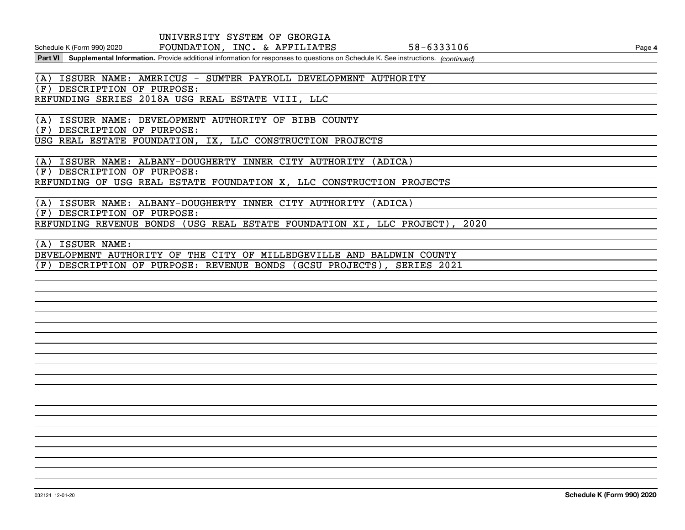Schedule K (Form 990) 2020 **FOUNDATION, INC. & AFFILIATES** 58-6 3 3 3 1 0 6 Page

Part VI Supplemental Information. Provide additional information for responses to questions on Schedule K. See instructions. (continued)

(A) ISSUER NAME: AMERICUS - SUMTER PAYROLL DEVELOPMENT AUTHORITY

(F) DESCRIPTION OF PURPOSE:

REFUNDING SERIES 2018A USG REAL ESTATE VIII, LLC

(A) ISSUER NAME: DEVELOPMENT AUTHORITY OF BIBB COUNTY

(F) DESCRIPTION OF PURPOSE:

USG REAL ESTATE FOUNDATION, IX, LLC CONSTRUCTION PROJECTS

(A) ISSUER NAME: ALBANY-DOUGHERTY INNER CITY AUTHORITY (ADICA) (F) DESCRIPTION OF PURPOSE: REFUNDING OF USG REAL ESTATE FOUNDATION X, LLC CONSTRUCTION PROJECTS

(A) ISSUER NAME: ALBANY-DOUGHERTY INNER CITY AUTHORITY (ADICA)

(F) DESCRIPTION OF PURPOSE:

REFUNDING REVENUE BONDS (USG REAL ESTATE FOUNDATION XI, LLC PROJECT), 2020

(A) ISSUER NAME:

DEVELOPMENT AUTHORITY OF THE CITY OF MILLEDGEVILLE AND BALDWIN COUNTY

(F) DESCRIPTION OF PURPOSE: REVENUE BONDS (GCSU PROJECTS), SERIES 2021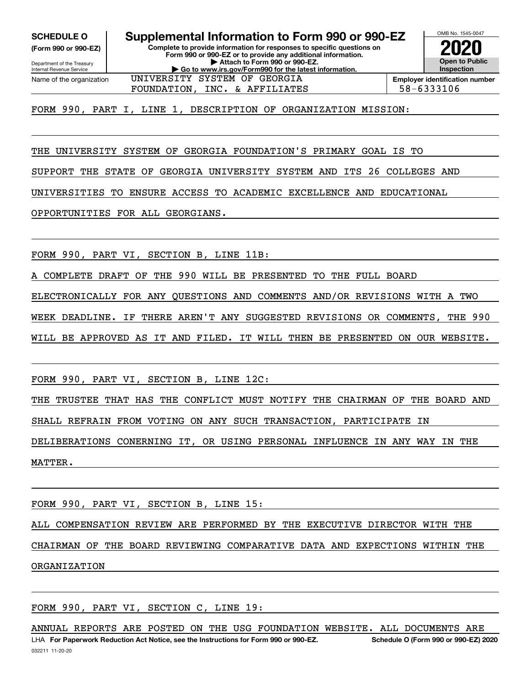**(Form 990 or 990-EZ)**

Department of the Treasury Internal Revenue Service Name of the organization

**Complete to provide information for responses to specific questions on Form 990 or 990-EZ or to provide any additional information. SCHEDULE O Supplemental Information to Form 990 or 990-EZ**

**| Attach to Form 990 or 990-EZ. | Go to www.irs.gov/Form990 for the latest information.**

FOUNDATION, INC. & AFFILIATES  $\vert$  58-6333106 UNIVERSITY SYSTEM OF GEORGIA

**Open to Public InspectionEmployer identification number 2020**

OMB No. 1545-0047

FORM 990, PART I, LINE 1, DESCRIPTION OF ORGANIZATION MISSION:

THE UNIVERSITY SYSTEM OF GEORGIA FOUNDATION'S PRIMARY GOAL IS TO

SUPPORT THE STATE OF GEORGIA UNIVERSITY SYSTEM AND ITS 26 COLLEGES AND

UNIVERSITIES TO ENSURE ACCESS TO ACADEMIC EXCELLENCE AND EDUCATIONAL

OPPORTUNITIES FOR ALL GEORGIANS.

FORM 990, PART VI, SECTION B, LINE 11B:

A COMPLETE DRAFT OF THE 990 WILL BE PRESENTED TO THE FULL BOARD

ELECTRONICALLY FOR ANY QUESTIONS AND COMMENTS AND/OR REVISIONS WITH A TWO

WEEK DEADLINE. IF THERE AREN'T ANY SUGGESTED REVISIONS OR COMMENTS, THE 990

WILL BE APPROVED AS IT AND FILED. IT WILL THEN BE PRESENTED ON OUR WEBSITE.

FORM 990, PART VI, SECTION B, LINE 12C:

THE TRUSTEE THAT HAS THE CONFLICT MUST NOTIFY THE CHAIRMAN OF THE BOARD AND SHALL REFRAIN FROM VOTING ON ANY SUCH TRANSACTION, PARTICIPATE IN

DELIBERATIONS CONERNING IT, OR USING PERSONAL INFLUENCE IN ANY WAY IN THE MATTER.

FORM 990, PART VI, SECTION B, LINE 15:

ALL COMPENSATION REVIEW ARE PERFORMED BY THE EXECUTIVE DIRECTOR WITH THE

CHAIRMAN OF THE BOARD REVIEWING COMPARATIVE DATA AND EXPECTIONS WITHIN THE ORGANIZATION

FORM 990, PART VI, SECTION C, LINE 19:

ANNUAL REPORTS ARE POSTED ON THE USG FOUNDATION WEBSITE. ALL DOCUMENTS ARE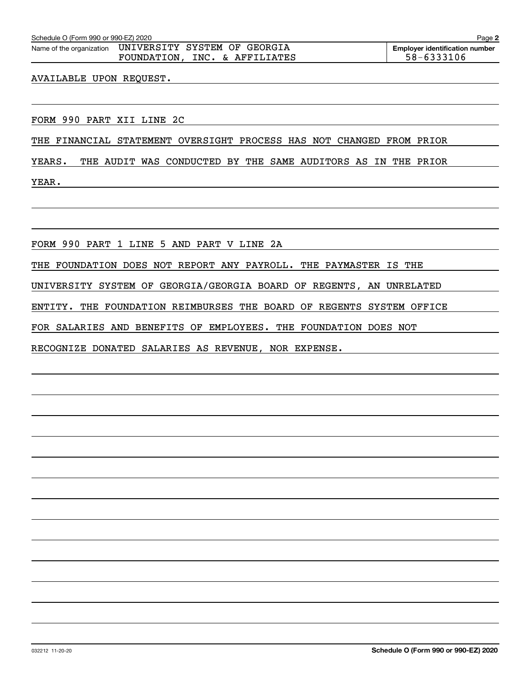Schedule O (Form 990 or 990-EZ) 2020 Page Name of the organization UNIVERSITY SYSTEM OF GEORGIAFOUNDATION, INC. & AFFILIATES  $\vert$  58-6333106

#### AVAILABLE UPON REQUEST.

#### FORM 990 PART XII LINE 2C

THE FINANCIAL STATEMENT OVERSIGHT PROCESS HAS NOT CHANGED FROM PRIOR

YEARS. THE AUDIT WAS CONDUCTED BY THE SAME AUDITORS AS IN THE PRIOR

YEAR.

FORM 990 PART 1 LINE 5 AND PART V LINE 2A

THE FOUNDATION DOES NOT REPORT ANY PAYROLL. THE PAYMASTER IS THE

UNIVERSITY SYSTEM OF GEORGIA/GEORGIA BOARD OF REGENTS, AN UNRELATED

ENTITY. THE FOUNDATION REIMBURSES THE BOARD OF REGENTS SYSTEM OFFICE

FOR SALARIES AND BENEFITS OF EMPLOYEES. THE FOUNDATION DOES NOT

RECOGNIZE DONATED SALARIES AS REVENUE, NOR EXPENSE.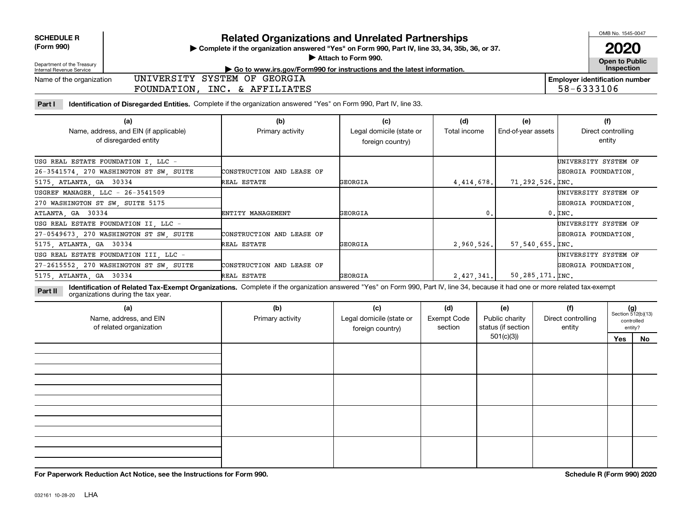| <b>SCHEDULE R</b> |  |
|-------------------|--|
| (Form 990)        |  |

# **Related Organizations and Unrelated Partnerships**

**Complete if the organization answered "Yes" on Form 990, Part IV, line 33, 34, 35b, 36, or 37.** |

**Attach to Form 990.**  |

OMB No. 1545-0047 **2020**

**Open to Public**

**Employer identification number**

58-6333106

| Name of the organization                               | UNIVI |
|--------------------------------------------------------|-------|
| Department of the Treasury<br>Internal Revenue Service |       |

**| Go to www.irs.gov/Form990 for instructions and the latest information. Inspection**

UNIVERSITY SYSTEM OF GEORGIA FOUNDATION, INC. & AFFILIATES

**Part I Identification of Disregarded Entities.**  Complete if the organization answered "Yes" on Form 990, Part IV, line 33.

| (a)                                                             | (b)                       | (c)                                          | (d)            | (e)                             | (f)                          |
|-----------------------------------------------------------------|---------------------------|----------------------------------------------|----------------|---------------------------------|------------------------------|
| Name, address, and EIN (if applicable)<br>of disregarded entity | Primary activity          | Legal domicile (state or<br>foreign country) | Total income   | End-of-year assets              | Direct controlling<br>entity |
| USG REAL ESTATE FOUNDATION I, LLC -                             |                           |                                              |                |                                 | UNIVERSITY SYSTEM OF         |
| 26-3541574, 270 WASHINGTON ST SW, SUITE                         | CONSTRUCTION AND LEASE OF |                                              |                |                                 | GEORGIA FOUNDATION,          |
| 5175, ATLANTA, GA 30334                                         | REAL ESTATE               | GEORGIA                                      | 4,414,678.     | 71.292.526.INC.                 |                              |
| USGREF MANAGER, LLC - 26-3541509                                |                           |                                              |                |                                 | UNIVERSITY SYSTEM OF         |
| 270 WASHINGTON ST SW, SUITE 5175                                |                           |                                              |                |                                 | GEORGIA FOUNDATION,          |
| ATLANTA, GA 30334                                               | ENTITY MANAGEMENT         | GEORGIA                                      | $\mathbf{0}$ . |                                 | $0.$ $\texttt{INC}$ .        |
| USG REAL ESTATE FOUNDATION II, LLC -                            |                           |                                              |                |                                 | UNIVERSITY SYSTEM OF         |
| 27-0549673, 270 WASHINGTON ST SW, SUITE                         | CONSTRUCTION AND LEASE OF |                                              |                |                                 | GEORGIA FOUNDATION.          |
| 5175, ATLANTA, GA 30334                                         | REAL ESTATE               | GEORGIA                                      | 2,960,526.     | $57,540,655$ . $\texttt{INC.}$  |                              |
| USG REAL ESTATE FOUNDATION III LLC -                            |                           |                                              |                |                                 | UNIVERSITY SYSTEM OF         |
| 27-2615552, 270 WASHINGTON ST SW, SUITE                         | CONSTRUCTION AND LEASE OF |                                              |                |                                 | GEORGIA FOUNDATION,          |
| 5175, ATLANTA, GA 30334                                         | REAL ESTATE               | <b>GEORGIA</b>                               | 2,427,341.     | $50, 285, 171.$ $\texttt{INC.}$ |                              |

**Identification of Related Tax-Exempt Organizations.** Complete if the organization answered "Yes" on Form 990, Part IV, line 34, because it had one or more related tax-exempt **Part II** organizations during the tax year.

| (a)<br>Name, address, and EIN<br>of related organization | (b)<br>Primary activity | (c)<br>Legal domicile (state or<br>foreign country) | (d)<br><b>Exempt Code</b><br>section | (e)<br>Public charity<br>status (if section | (f)<br>Direct controlling<br>entity |     | $(g)$<br>Section 512(b)(13)<br>controlled<br>entity? |
|----------------------------------------------------------|-------------------------|-----------------------------------------------------|--------------------------------------|---------------------------------------------|-------------------------------------|-----|------------------------------------------------------|
|                                                          |                         |                                                     |                                      | 501(c)(3)                                   |                                     | Yes | No                                                   |
|                                                          |                         |                                                     |                                      |                                             |                                     |     |                                                      |
|                                                          |                         |                                                     |                                      |                                             |                                     |     |                                                      |
|                                                          |                         |                                                     |                                      |                                             |                                     |     |                                                      |
|                                                          |                         |                                                     |                                      |                                             |                                     |     |                                                      |

**For Paperwork Reduction Act Notice, see the Instructions for Form 990. Schedule R (Form 990) 2020**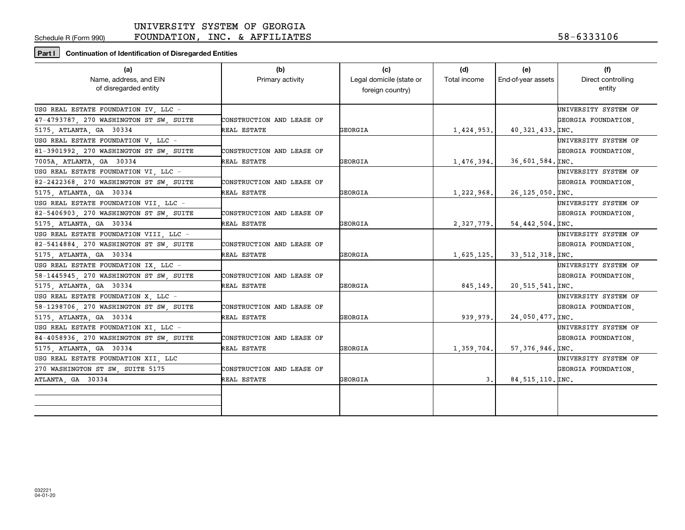Schedule R (Form 990)

FOUNDATION, INC. & AFFILIATES

# **Part I Continuation of Identification of Disregarded Entities**

| (a)                                     | (b)                       | (c)                      | (d)          | (e)                           | (f)                  |
|-----------------------------------------|---------------------------|--------------------------|--------------|-------------------------------|----------------------|
| Name, address, and EIN                  | Primary activity          | Legal domicile (state or | Total income | End-of-year assets            | Direct controlling   |
| of disregarded entity                   |                           | foreign country)         |              |                               | entity               |
|                                         |                           |                          |              |                               |                      |
| USG REAL ESTATE FOUNDATION IV LLC -     |                           |                          |              |                               | UNIVERSITY SYSTEM OF |
| 47-4793787, 270 WASHINGTON ST SW, SUITE | CONSTRUCTION AND LEASE OF |                          |              |                               | GEORGIA FOUNDATION.  |
| 5175 ATLANTA GA 30334                   | REAL ESTATE               | GEORGIA                  | 1,424,953.   | $40,321,433.$ $\texttt{INC.}$ |                      |
| USG REAL ESTATE FOUNDATION V, LLC -     |                           |                          |              |                               | UNIVERSITY SYSTEM OF |
| 81-3901992, 270 WASHINGTON ST SW, SUITE | CONSTRUCTION AND LEASE OF |                          |              |                               | GEORGIA FOUNDATION,  |
| 7005A, ATLANTA, GA 30334                | REAL ESTATE               | GEORGIA                  | 1,476,394.   | $36,601,584.\text{[INC.]}$    |                      |
| USG REAL ESTATE FOUNDATION VI, LLC -    |                           |                          |              |                               | UNIVERSITY SYSTEM OF |
| 82-2422368, 270 WASHINGTON ST SW, SUITE | CONSTRUCTION AND LEASE OF |                          |              |                               | GEORGIA FOUNDATION.  |
| 5175, ATLANTA, GA 30334                 | REAL ESTATE               | GEORGIA                  | 1,222,968.   | 26,125,050. INC.              |                      |
| USG REAL ESTATE FOUNDATION VII LLC -    |                           |                          |              |                               | UNIVERSITY SYSTEM OF |
| 82-5406903, 270 WASHINGTON ST SW, SUITE | CONSTRUCTION AND LEASE OF |                          |              |                               | GEORGIA FOUNDATION.  |
| 5175, ATLANTA, GA 30334                 | REAL ESTATE               | GEORGIA                  | 2,327,779.   | $54,442,504.$ [INC.           |                      |
| USG REAL ESTATE FOUNDATION VIII, LLC -  |                           |                          |              |                               | UNIVERSITY SYSTEM OF |
| 82-5414884, 270 WASHINGTON ST SW, SUITE | CONSTRUCTION AND LEASE OF |                          |              |                               | GEORGIA FOUNDATION,  |
| 5175, ATLANTA, GA 30334                 | REAL ESTATE               | GEORGIA                  | 1,625,125.   | $33,512,318.$ [INC.           |                      |
| USG REAL ESTATE FOUNDATION IX, LLC -    |                           |                          |              |                               | UNIVERSITY SYSTEM OF |
| 58-1445945, 270 WASHINGTON ST SW, SUITE | CONSTRUCTION AND LEASE OF |                          |              |                               | GEORGIA FOUNDATION.  |
| 5175, ATLANTA, GA 30334                 | REAL ESTATE               | GEORGIA                  | 845, 149.    | 20, 515, 541. INC.            |                      |
| USG REAL ESTATE FOUNDATION X LLC -      |                           |                          |              |                               | UNIVERSITY SYSTEM OF |
| 58-1298706, 270 WASHINGTON ST SW, SUITE | CONSTRUCTION AND LEASE OF |                          |              |                               | GEORGIA FOUNDATION,  |
| 5175, ATLANTA, GA 30334                 | REAL ESTATE               | GEORGIA                  | 939,979.     | 24,050,477. INC.              |                      |
| USG REAL ESTATE FOUNDATION XI, LLC -    |                           |                          |              |                               | UNIVERSITY SYSTEM OF |
| 84-4058936, 270 WASHINGTON ST SW, SUITE | CONSTRUCTION AND LEASE OF |                          |              |                               | GEORGIA FOUNDATION.  |
| 5175, ATLANTA, GA 30334                 | REAL ESTATE               | GEORGIA                  | 1,359,704.   | 57, 376, 946. INC.            |                      |
| USG REAL ESTATE FOUNDATION XII, LLC     |                           |                          |              |                               | UNIVERSITY SYSTEM OF |
| 270 WASHINGTON ST SW, SUITE 5175        | CONSTRUCTION AND LEASE OF |                          |              |                               | GEORGIA FOUNDATION,  |
| ATLANTA, GA 30334                       | REAL ESTATE               | GEORGIA                  | 3.           | 84, 515, 110. INC.            |                      |
|                                         |                           |                          |              |                               |                      |
|                                         |                           |                          |              |                               |                      |
|                                         |                           |                          |              |                               |                      |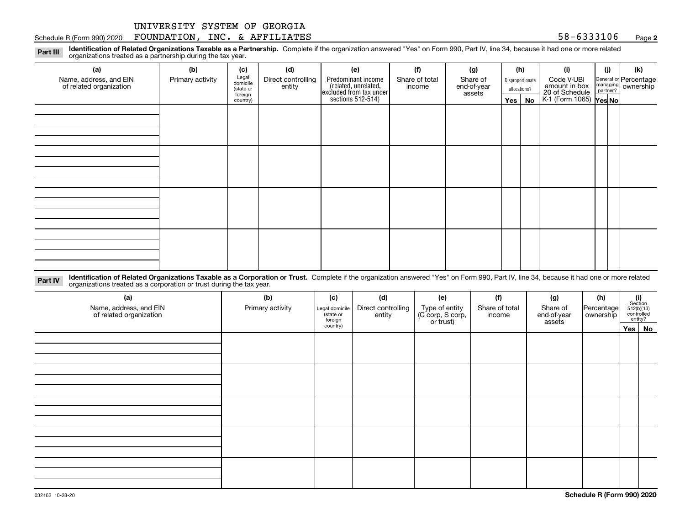#### Schedule R (Form 990) 2020 Page FOUNDATION, INC. & AFFILIATES 58-6333106

**2**

**Identification of Related Organizations Taxable as a Partnership.** Complete if the organization answered "Yes" on Form 990, Part IV, line 34, because it had one or more related **Part III** organizations treated as a partnership during the tax year.

| (a)                                               | (b)              | (c)                  | (d)                          | (e)                                                                 | (f)                      | (g)                     | (h) |                  | (i)                                      | (j) | (k)                                                       |
|---------------------------------------------------|------------------|----------------------|------------------------------|---------------------------------------------------------------------|--------------------------|-------------------------|-----|------------------|------------------------------------------|-----|-----------------------------------------------------------|
| Name, address, and EIN<br>of related organization | Primary activity | Legal<br>domicile    | Direct controlling<br>entity | Predominant income                                                  | Share of total<br>income | Share of<br>end-of-year |     | Disproportionate | Code V-UBI<br>amount in box              |     | General or Percentage<br>managing<br>partner?<br>partner? |
|                                                   |                  | (state or<br>foreign |                              |                                                                     |                          | assets                  |     | allocations?     |                                          |     |                                                           |
|                                                   |                  | country)             |                              | related, unrelated,<br>excluded from tax under<br>sections 512-514) |                          |                         |     | Yes   No         | 20 of Schedule<br>K-1 (Form 1065) Yes No |     |                                                           |
|                                                   |                  |                      |                              |                                                                     |                          |                         |     |                  |                                          |     |                                                           |
|                                                   |                  |                      |                              |                                                                     |                          |                         |     |                  |                                          |     |                                                           |
|                                                   |                  |                      |                              |                                                                     |                          |                         |     |                  |                                          |     |                                                           |
|                                                   |                  |                      |                              |                                                                     |                          |                         |     |                  |                                          |     |                                                           |
|                                                   |                  |                      |                              |                                                                     |                          |                         |     |                  |                                          |     |                                                           |
|                                                   |                  |                      |                              |                                                                     |                          |                         |     |                  |                                          |     |                                                           |
|                                                   |                  |                      |                              |                                                                     |                          |                         |     |                  |                                          |     |                                                           |
|                                                   |                  |                      |                              |                                                                     |                          |                         |     |                  |                                          |     |                                                           |
|                                                   |                  |                      |                              |                                                                     |                          |                         |     |                  |                                          |     |                                                           |
|                                                   |                  |                      |                              |                                                                     |                          |                         |     |                  |                                          |     |                                                           |
|                                                   |                  |                      |                              |                                                                     |                          |                         |     |                  |                                          |     |                                                           |
|                                                   |                  |                      |                              |                                                                     |                          |                         |     |                  |                                          |     |                                                           |
|                                                   |                  |                      |                              |                                                                     |                          |                         |     |                  |                                          |     |                                                           |
|                                                   |                  |                      |                              |                                                                     |                          |                         |     |                  |                                          |     |                                                           |
|                                                   |                  |                      |                              |                                                                     |                          |                         |     |                  |                                          |     |                                                           |
|                                                   |                  |                      |                              |                                                                     |                          |                         |     |                  |                                          |     |                                                           |
|                                                   |                  |                      |                              |                                                                     |                          |                         |     |                  |                                          |     |                                                           |

**Identification of Related Organizations Taxable as a Corporation or Trust.** Complete if the organization answered "Yes" on Form 990, Part IV, line 34, because it had one or more related **Part IV** organizations treated as a corporation or trust during the tax year.

| (a)<br>Name, address, and EIN<br>of related organization | (b)<br>Primary activity | (c)<br>Legal domicile<br>state or<br>foreign | (d)<br>Direct controlling<br>entity | (e)<br>Type of entity<br>(C corp, S corp,<br>or trust) | (f)<br>Share of total<br>income | (g)<br>Share of<br>end-of-year<br>assets | (h)<br>Percentage<br>ownership | $\begin{array}{c} \textbf{(i)}\\ \text{Section}\\ 512 \text{(b)} \text{(13)}\\ \text{controlled}\\ \text{entity?} \end{array}$ |
|----------------------------------------------------------|-------------------------|----------------------------------------------|-------------------------------------|--------------------------------------------------------|---------------------------------|------------------------------------------|--------------------------------|--------------------------------------------------------------------------------------------------------------------------------|
|                                                          |                         | country)                                     |                                     |                                                        |                                 |                                          |                                | Yes   No                                                                                                                       |
|                                                          |                         |                                              |                                     |                                                        |                                 |                                          |                                |                                                                                                                                |
|                                                          |                         |                                              |                                     |                                                        |                                 |                                          |                                |                                                                                                                                |
|                                                          |                         |                                              |                                     |                                                        |                                 |                                          |                                |                                                                                                                                |
|                                                          |                         |                                              |                                     |                                                        |                                 |                                          |                                |                                                                                                                                |
|                                                          |                         |                                              |                                     |                                                        |                                 |                                          |                                |                                                                                                                                |
|                                                          |                         |                                              |                                     |                                                        |                                 |                                          |                                |                                                                                                                                |
|                                                          |                         |                                              |                                     |                                                        |                                 |                                          |                                |                                                                                                                                |
|                                                          |                         |                                              |                                     |                                                        |                                 |                                          |                                |                                                                                                                                |
|                                                          |                         |                                              |                                     |                                                        |                                 |                                          |                                |                                                                                                                                |
|                                                          |                         |                                              |                                     |                                                        |                                 |                                          |                                |                                                                                                                                |
|                                                          |                         |                                              |                                     |                                                        |                                 |                                          |                                |                                                                                                                                |
|                                                          |                         |                                              |                                     |                                                        |                                 |                                          |                                |                                                                                                                                |
|                                                          |                         |                                              |                                     |                                                        |                                 |                                          |                                |                                                                                                                                |
|                                                          |                         |                                              |                                     |                                                        |                                 |                                          |                                |                                                                                                                                |
|                                                          |                         |                                              |                                     |                                                        |                                 |                                          |                                |                                                                                                                                |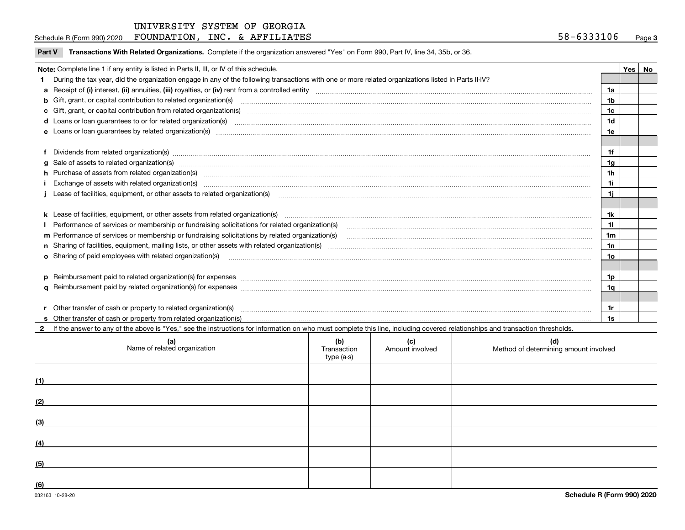Schedule R (Form 990) 2020 Page FOUNDATION, INC. & AFFILIATES 58-6333106

|  |  | Part V Transactions With Related Organizations. Complete if the organization answered "Yes" on Form 990, Part IV, line 34, 35b, or 36 |  |
|--|--|---------------------------------------------------------------------------------------------------------------------------------------|--|
|--|--|---------------------------------------------------------------------------------------------------------------------------------------|--|

| Note: Complete line 1 if any entity is listed in Parts II, III, or IV of this schedule. |                                                                                                                                                                                                                                |                |  |  |  |
|-----------------------------------------------------------------------------------------|--------------------------------------------------------------------------------------------------------------------------------------------------------------------------------------------------------------------------------|----------------|--|--|--|
|                                                                                         | During the tax year, did the organization engage in any of the following transactions with one or more related organizations listed in Parts II-IV?                                                                            |                |  |  |  |
|                                                                                         |                                                                                                                                                                                                                                | 1a             |  |  |  |
|                                                                                         |                                                                                                                                                                                                                                | 1b             |  |  |  |
|                                                                                         | c Gift, grant, or capital contribution from related organization(s)                                                                                                                                                            | 1c             |  |  |  |
|                                                                                         | d Loans or loan guarantees to or for related organization(s) committion contracts are constructed as a control or contract or contract or contract or contract or contract or contract or contract or contract or contract or  | 1d             |  |  |  |
|                                                                                         | e Loans or loan guarantees by related organization(s) manufaction contraction and contract the contract of the contract or contract or contract or contract or contract or contract or contract or contract or contract or con | 1e             |  |  |  |
|                                                                                         |                                                                                                                                                                                                                                |                |  |  |  |
|                                                                                         | f Dividends from related organization(s) material contents and content to the content of the content of the content of the content of the content of the content of the content of the content of the content of the content o | 1f             |  |  |  |
|                                                                                         | g Sale of assets to related organization(s) www.assettion.com/www.assettion.com/www.assettion.com/www.assettion.com/www.assettion.com/www.assettion.com/www.assettion.com/www.assettion.com/www.assettion.com/www.assettion.co | 1 <sub>g</sub> |  |  |  |
|                                                                                         | h Purchase of assets from related organization(s) manufactured and content to content the content of assets from related organization(s)                                                                                       | 1 <sub>h</sub> |  |  |  |
|                                                                                         |                                                                                                                                                                                                                                | 1i             |  |  |  |
|                                                                                         | Lease of facilities, equipment, or other assets to related organization(s) Chromomorom Chromomorom Chromomorom Chromomorom Chromomorom Chromomorom Chromomorom Chromomorom Chromomorom Chromomorom Chromomorom Chromomorom Chr | 1i             |  |  |  |
|                                                                                         |                                                                                                                                                                                                                                |                |  |  |  |
|                                                                                         |                                                                                                                                                                                                                                | 1k             |  |  |  |
|                                                                                         |                                                                                                                                                                                                                                | 11             |  |  |  |
|                                                                                         |                                                                                                                                                                                                                                | 1m             |  |  |  |
|                                                                                         |                                                                                                                                                                                                                                | 1n             |  |  |  |
|                                                                                         |                                                                                                                                                                                                                                | 1o             |  |  |  |
|                                                                                         |                                                                                                                                                                                                                                |                |  |  |  |
|                                                                                         | p Reimbursement paid to related organization(s) for expenses [111] resummand content to content the set of the set of the set of the set of the set of the set of the set of the set of the set of the set of the set of the s | 1p             |  |  |  |
|                                                                                         |                                                                                                                                                                                                                                | 1a             |  |  |  |
|                                                                                         |                                                                                                                                                                                                                                |                |  |  |  |
|                                                                                         |                                                                                                                                                                                                                                | 1r             |  |  |  |
|                                                                                         |                                                                                                                                                                                                                                | 1s             |  |  |  |

**2**If the answer to any of the above is "Yes," see the instructions for information on who must complete this line, including covered relationships and transaction thresholds.

|     | (a)<br>Name of related organization | (b)<br>Transaction<br>type (a-s) | (c)<br>Amount involved | (d)<br>Method of determining amount involved |
|-----|-------------------------------------|----------------------------------|------------------------|----------------------------------------------|
| (1) |                                     |                                  |                        |                                              |
| (2) |                                     |                                  |                        |                                              |
| (3) |                                     |                                  |                        |                                              |
| (4) |                                     |                                  |                        |                                              |
| (5) |                                     |                                  |                        |                                              |
| (6) |                                     |                                  |                        |                                              |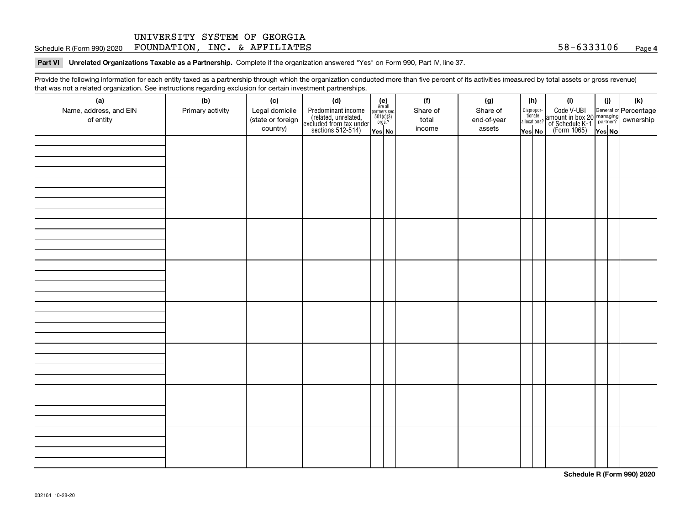Schedule R (Form 990) 2020 Page FOUNDATION, INC. & AFFILIATES 58-6333106

Provide the following information for each entity taxed as a partnership through which the organization conducted more than five percent of its activities (measured by total assets or gross revenue) that was not a related organization. See instructions regarding exclusion for certain investment partnerships.

| .<br>(a)               | $\cdot$ g $\cdot$ , $\cdot$ , $\cdot$ , $\cdot$ , $\cdot$ , $\cdot$ , $\cdot$<br>(b) | (c)               | .<br><u></u><br>(d)                                                                        |                                                          |  | (f)      | (g)         |        | (h)                   | (i)                                                                                              | (j)    | (k) |
|------------------------|--------------------------------------------------------------------------------------|-------------------|--------------------------------------------------------------------------------------------|----------------------------------------------------------|--|----------|-------------|--------|-----------------------|--------------------------------------------------------------------------------------------------|--------|-----|
| Name, address, and EIN | Primary activity                                                                     | Legal domicile    | Predominant income<br>(related, unrelated,<br>excluded from tax under<br>sections 512-514) | (e)<br>Are all<br>partners sec.<br>$501(c)(3)$<br>orgs.? |  | Share of | Share of    |        | Dispropor-<br>tionate | Code V-UBI<br>amount in box 20 managing<br>of Schedule K-1<br>(Form 1065)<br>$\overline{Yes}$ No |        |     |
| of entity              |                                                                                      | (state or foreign |                                                                                            |                                                          |  | total    | end-of-year |        | allocations?          |                                                                                                  |        |     |
|                        |                                                                                      | country)          |                                                                                            | Yes No                                                   |  | income   | assets      | Yes No |                       |                                                                                                  | Yes No |     |
|                        |                                                                                      |                   |                                                                                            |                                                          |  |          |             |        |                       |                                                                                                  |        |     |
|                        |                                                                                      |                   |                                                                                            |                                                          |  |          |             |        |                       |                                                                                                  |        |     |
|                        |                                                                                      |                   |                                                                                            |                                                          |  |          |             |        |                       |                                                                                                  |        |     |
|                        |                                                                                      |                   |                                                                                            |                                                          |  |          |             |        |                       |                                                                                                  |        |     |
|                        |                                                                                      |                   |                                                                                            |                                                          |  |          |             |        |                       |                                                                                                  |        |     |
|                        |                                                                                      |                   |                                                                                            |                                                          |  |          |             |        |                       |                                                                                                  |        |     |
|                        |                                                                                      |                   |                                                                                            |                                                          |  |          |             |        |                       |                                                                                                  |        |     |
|                        |                                                                                      |                   |                                                                                            |                                                          |  |          |             |        |                       |                                                                                                  |        |     |
|                        |                                                                                      |                   |                                                                                            |                                                          |  |          |             |        |                       |                                                                                                  |        |     |
|                        |                                                                                      |                   |                                                                                            |                                                          |  |          |             |        |                       |                                                                                                  |        |     |
|                        |                                                                                      |                   |                                                                                            |                                                          |  |          |             |        |                       |                                                                                                  |        |     |
|                        |                                                                                      |                   |                                                                                            |                                                          |  |          |             |        |                       |                                                                                                  |        |     |
|                        |                                                                                      |                   |                                                                                            |                                                          |  |          |             |        |                       |                                                                                                  |        |     |
|                        |                                                                                      |                   |                                                                                            |                                                          |  |          |             |        |                       |                                                                                                  |        |     |
|                        |                                                                                      |                   |                                                                                            |                                                          |  |          |             |        |                       |                                                                                                  |        |     |
|                        |                                                                                      |                   |                                                                                            |                                                          |  |          |             |        |                       |                                                                                                  |        |     |
|                        |                                                                                      |                   |                                                                                            |                                                          |  |          |             |        |                       |                                                                                                  |        |     |
|                        |                                                                                      |                   |                                                                                            |                                                          |  |          |             |        |                       |                                                                                                  |        |     |
|                        |                                                                                      |                   |                                                                                            |                                                          |  |          |             |        |                       |                                                                                                  |        |     |
|                        |                                                                                      |                   |                                                                                            |                                                          |  |          |             |        |                       |                                                                                                  |        |     |
|                        |                                                                                      |                   |                                                                                            |                                                          |  |          |             |        |                       |                                                                                                  |        |     |
|                        |                                                                                      |                   |                                                                                            |                                                          |  |          |             |        |                       |                                                                                                  |        |     |
|                        |                                                                                      |                   |                                                                                            |                                                          |  |          |             |        |                       |                                                                                                  |        |     |
|                        |                                                                                      |                   |                                                                                            |                                                          |  |          |             |        |                       |                                                                                                  |        |     |
|                        |                                                                                      |                   |                                                                                            |                                                          |  |          |             |        |                       |                                                                                                  |        |     |
|                        |                                                                                      |                   |                                                                                            |                                                          |  |          |             |        |                       |                                                                                                  |        |     |
|                        |                                                                                      |                   |                                                                                            |                                                          |  |          |             |        |                       |                                                                                                  |        |     |
|                        |                                                                                      |                   |                                                                                            |                                                          |  |          |             |        |                       |                                                                                                  |        |     |
|                        |                                                                                      |                   |                                                                                            |                                                          |  |          |             |        |                       |                                                                                                  |        |     |
|                        |                                                                                      |                   |                                                                                            |                                                          |  |          |             |        |                       |                                                                                                  |        |     |

**4**

**Schedule R (Form 990) 2020**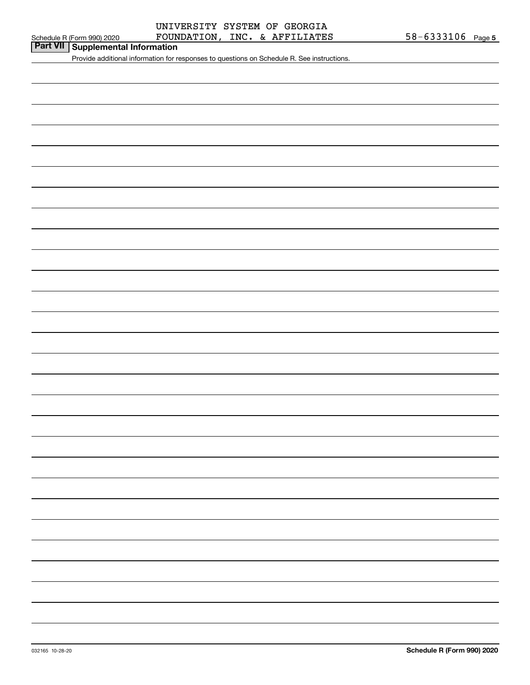# Schedule R (Form 990) 2020 FOUNDATION, INC. & AFFILIATES 58-6333106 <sub>Page</sub> UNIVERSITY SYSTEM OF GEORGIA

# **Part VII Supplemental Information**

Provide additional information for responses to questions on Schedule R. See instructions.